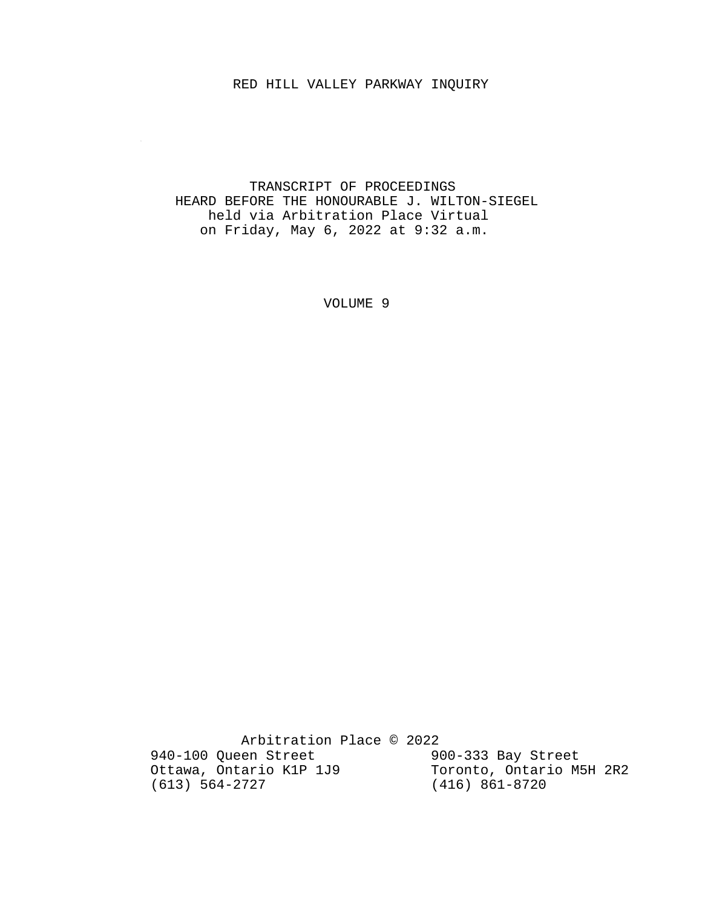### RED HILL VALLEY PARKWAY INQUIRY

 $\sim 10^{-1}$ 

### TRANSCRIPT OF PROCEEDINGS HEARD BEFORE THE HONOURABLE J. WILTON-SIEGEL held via Arbitration Place Virtual on Friday, May 6, 2022 at 9:32 a.m.

VOLUME 9

 Arbitration Place © 2022 940-100 Queen Street 900-333 Bay Street Ottawa, Ontario K1P 1J9 Toronto, Ontario M5H 2R2 (613) 564-2727 (416) 861-8720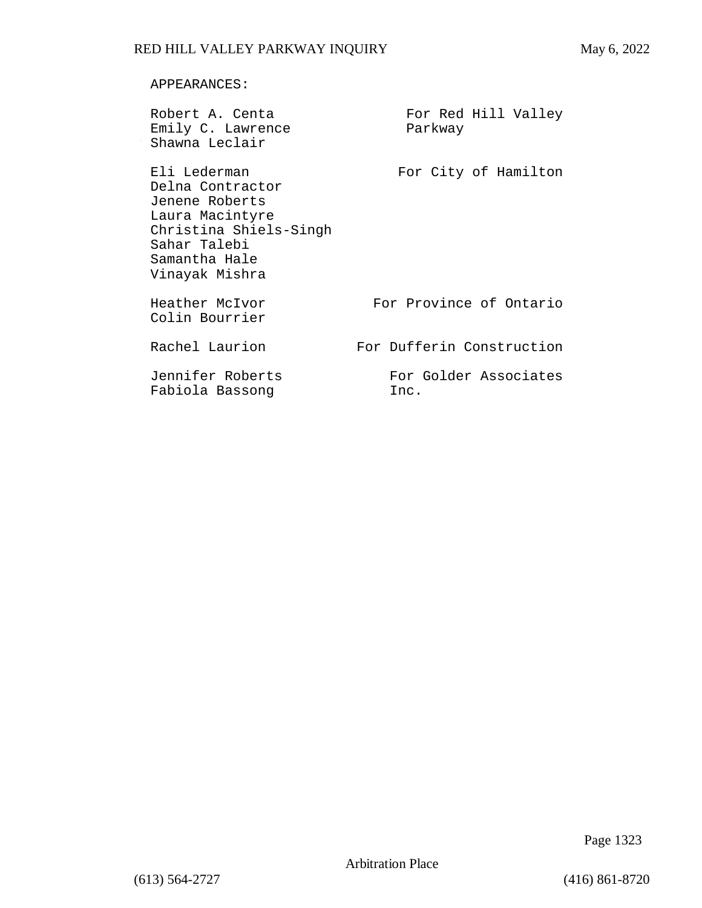### APPEARANCES:

| Robert A. Centa<br>Emily C. Lawrence<br>Shawna Leclair                                                                                             | For Red Hill Valley<br>Parkway |
|----------------------------------------------------------------------------------------------------------------------------------------------------|--------------------------------|
| Eli Lederman<br>Delna Contractor<br>Jenene Roberts<br>Laura Macintyre<br>Christina Shiels-Singh<br>Sahar Talebi<br>Samantha Hale<br>Vinayak Mishra | For City of Hamilton           |
| Heather McIvor<br>Colin Bourrier                                                                                                                   | For Province of Ontario        |
| Rachel Laurion                                                                                                                                     | For Dufferin Construction      |
| Jennifer Roberts<br>Fabiola Bassong                                                                                                                | For Golder Associates<br>Inc.  |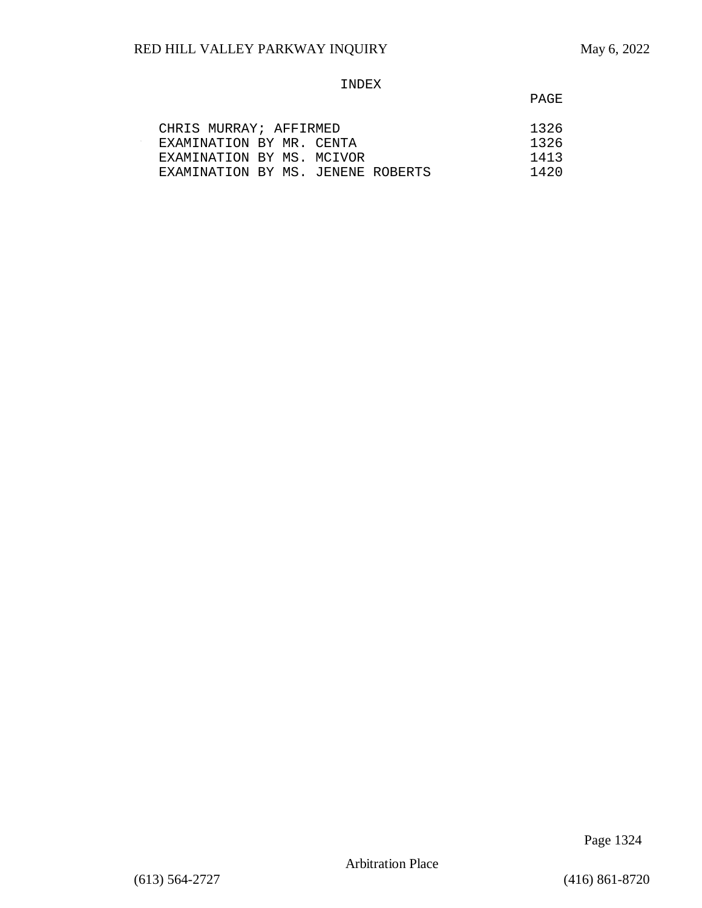$\sim$ 

### INDEX

**PAGE** 

| CHRIS MURRAY; AFFIRMED            |  | 1326 |
|-----------------------------------|--|------|
| EXAMINATION BY MR. CENTA          |  | 1326 |
| EXAMINATION BY MS. MCIVOR         |  | 1413 |
| EXAMINATION BY MS. JENENE ROBERTS |  | 1420 |

Page 1324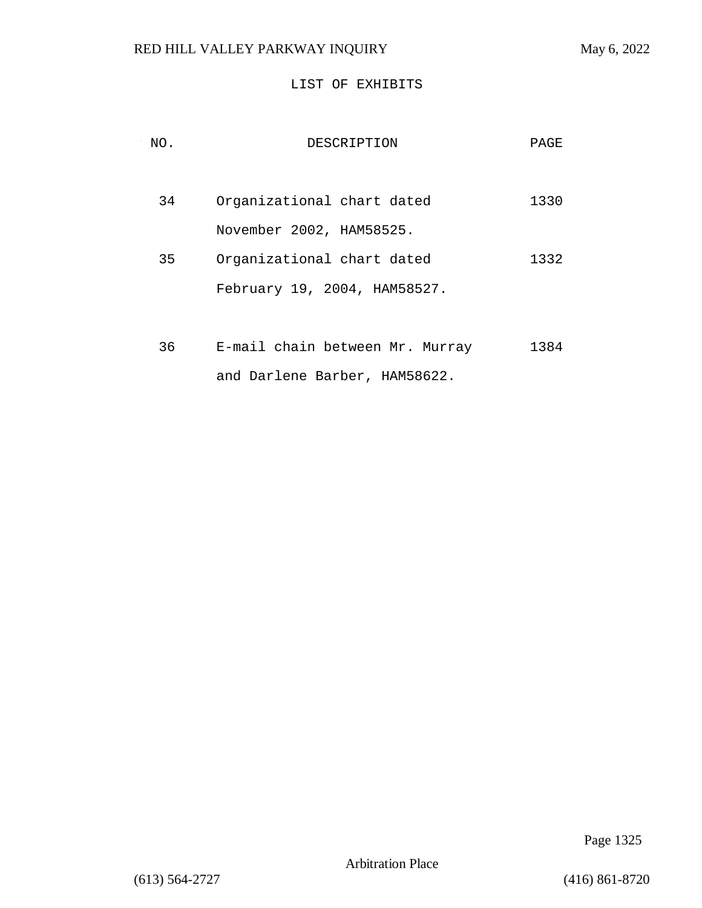### LIST OF EXHIBITS

| NO. | DESCRIPTION                     | PAGE |
|-----|---------------------------------|------|
| 34  | Organizational chart dated      | 1330 |
|     | November 2002, HAM58525.        |      |
| 35  | Organizational chart dated      | 1332 |
|     | February 19, 2004, HAM58527.    |      |
|     |                                 |      |
| 36  | E-mail chain between Mr. Murray | 1384 |

and Darlene Barber, HAM58622.

Page 1325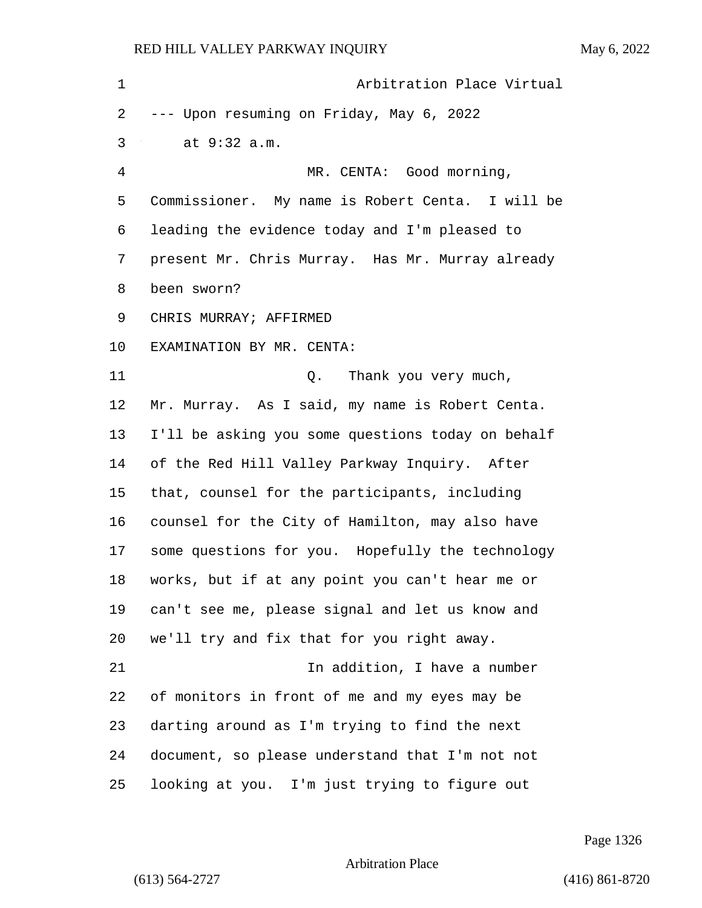| 1  | Arbitration Place Virtual                         |
|----|---------------------------------------------------|
| 2  | --- Upon resuming on Friday, May 6, 2022          |
| 3  | at 9:32 a.m.                                      |
| 4  | MR. CENTA: Good morning,                          |
| 5  | Commissioner. My name is Robert Centa. I will be  |
| 6  | leading the evidence today and I'm pleased to     |
| 7  | present Mr. Chris Murray. Has Mr. Murray already  |
| 8  | been sworn?                                       |
| 9  | CHRIS MURRAY; AFFIRMED                            |
| 10 | EXAMINATION BY MR. CENTA:                         |
| 11 | Thank you very much,<br>Q.                        |
| 12 | Mr. Murray. As I said, my name is Robert Centa.   |
| 13 | I'll be asking you some questions today on behalf |
| 14 | of the Red Hill Valley Parkway Inquiry. After     |
| 15 | that, counsel for the participants, including     |
| 16 | counsel for the City of Hamilton, may also have   |
| 17 | some questions for you. Hopefully the technology  |
| 18 | works, but if at any point you can't hear me or   |
| 19 | can't see me, please signal and let us know and   |
| 20 | we'll try and fix that for you right away.        |
| 21 | In addition, I have a number                      |
| 22 | of monitors in front of me and my eyes may be     |
| 23 | darting around as I'm trying to find the next     |
| 24 | document, so please understand that I'm not not   |
| 25 | looking at you. I'm just trying to figure out     |

Page 1326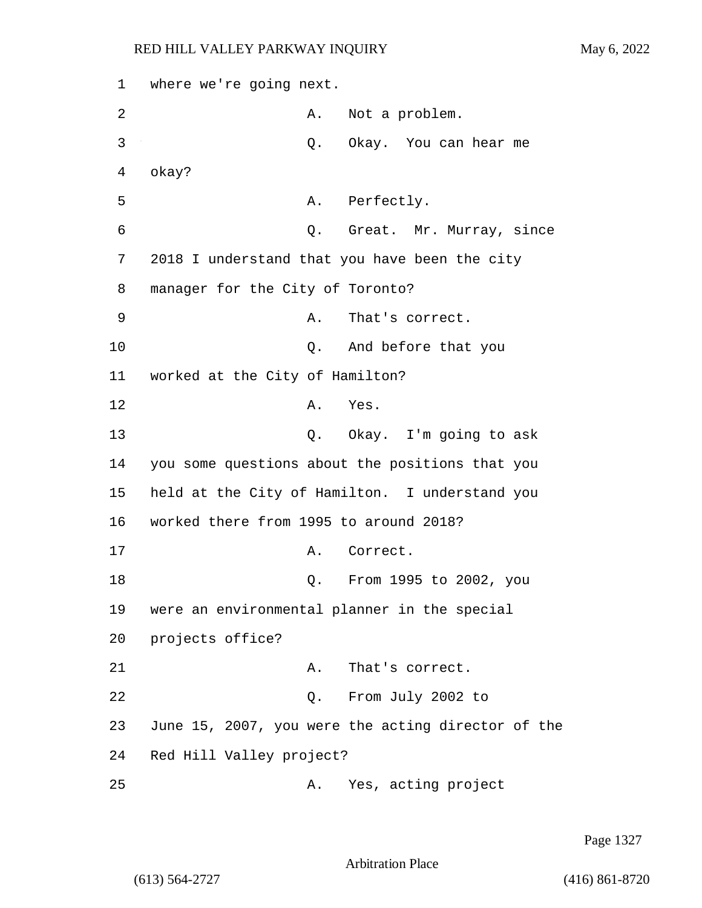1 where we're going next. 2 A. Not a problem. 3 Q. Okay. You can hear me 4 okay? 5 A. Perfectly. 6 Q. Great. Mr. Murray, since 7 2018 I understand that you have been the city 8 manager for the City of Toronto? 9 A. That's correct. 10 Q. And before that you 11 worked at the City of Hamilton? 12 A. Yes. 13 Q. Okay. I'm going to ask 14 you some questions about the positions that you 15 held at the City of Hamilton. I understand you 16 worked there from 1995 to around 2018? 17 A. Correct. 18 Q. From 1995 to 2002, you 19 were an environmental planner in the special 20 projects office? 21 A. That's correct. 22 Q. From July 2002 to 23 June 15, 2007, you were the acting director of the 24 Red Hill Valley project? 25 A. Yes, acting project

Page 1327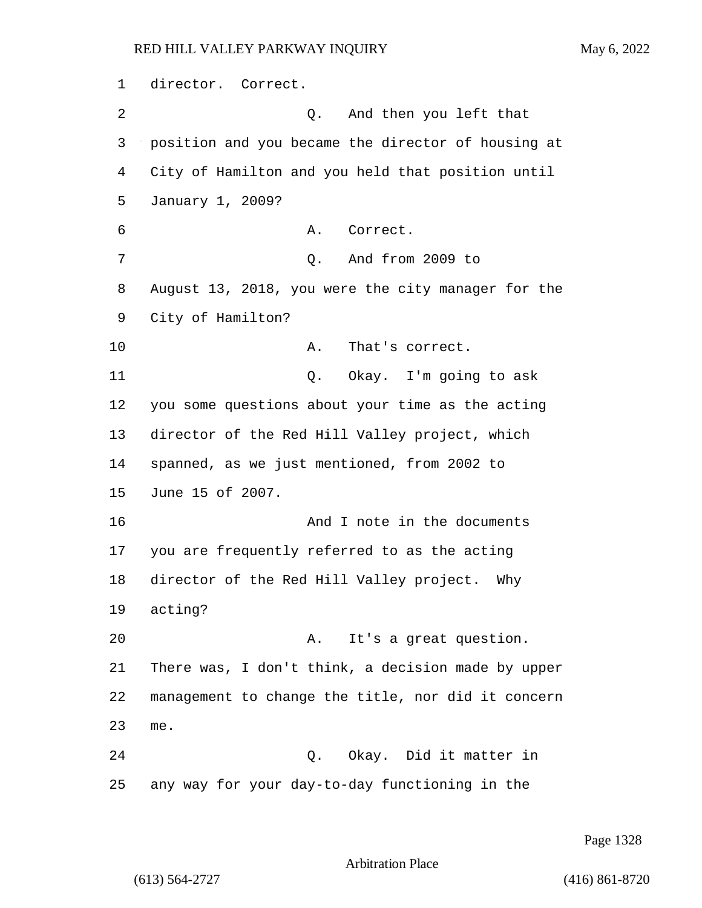1 director. Correct. 2 Q. And then you left that 3 position and you became the director of housing at 4 City of Hamilton and you held that position until 5 January 1, 2009? 6 A. Correct. 7 Q. And from 2009 to 8 August 13, 2018, you were the city manager for the 9 City of Hamilton? 10 A. That's correct. 11 Q. Okay. I'm going to ask 12 you some questions about your time as the acting 13 director of the Red Hill Valley project, which 14 spanned, as we just mentioned, from 2002 to 15 June 15 of 2007. 16 And I note in the documents 17 you are frequently referred to as the acting 18 director of the Red Hill Valley project. Why 19 acting? 20 A. It's a great question. 21 There was, I don't think, a decision made by upper 22 management to change the title, nor did it concern 23 me. 24 Q. Okay. Did it matter in 25 any way for your day-to-day functioning in the

Page 1328

Arbitration Place

(613) 564-2727 (416) 861-8720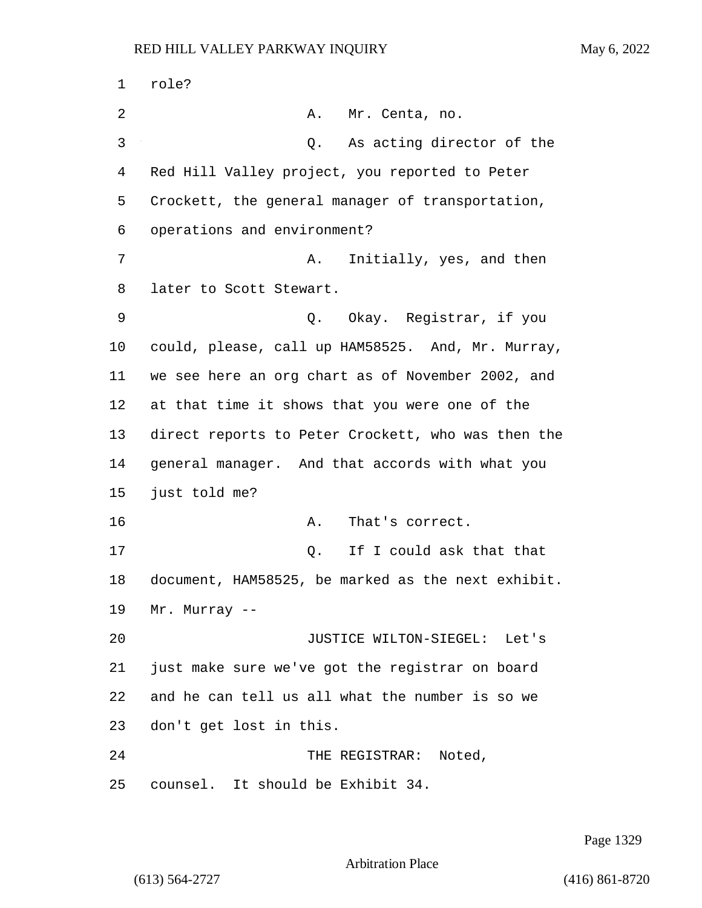1 role? 2 A. Mr. Centa, no. 3 Q. As acting director of the Red Hill Valley project, you reported to Peter Crockett, the general manager of transportation, operations and environment? 7 A. Initially, yes, and then later to Scott Stewart. 9 Q. Okay. Registrar, if you could, please, call up HAM58525. And, Mr. Murray, we see here an org chart as of November 2002, and at that time it shows that you were one of the direct reports to Peter Crockett, who was then the general manager. And that accords with what you just told me? 16 A. That's correct. 17 and 17 Q. If I could ask that that document, HAM58525, be marked as the next exhibit. Mr. Murray -- 20 JUSTICE WILTON-SIEGEL: Let's just make sure we've got the registrar on board and he can tell us all what the number is so we don't get lost in this. 24 THE REGISTRAR: Noted, counsel. It should be Exhibit 34.

Page 1329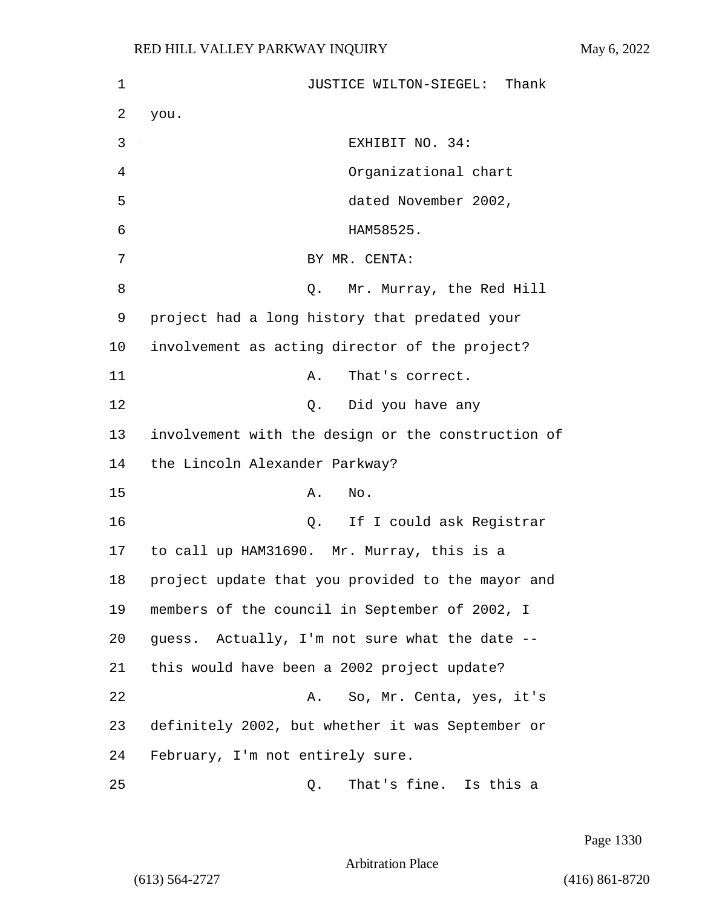| 1  | JUSTICE WILTON-SIEGEL: Thank                       |
|----|----------------------------------------------------|
| 2  | you.                                               |
| 3  | EXHIBIT NO. 34:                                    |
| 4  | Organizational chart                               |
| 5  | dated November 2002,                               |
| 6  | HAM58525.                                          |
| 7  | BY MR. CENTA:                                      |
| 8  | Mr. Murray, the Red Hill<br>Q.                     |
| 9  | project had a long history that predated your      |
| 10 | involvement as acting director of the project?     |
| 11 | That's correct.<br>Α.                              |
| 12 | Q. Did you have any                                |
| 13 | involvement with the design or the construction of |
| 14 | the Lincoln Alexander Parkway?                     |
| 15 | No.<br>Α.                                          |
| 16 | Q. If I could ask Registrar                        |
| 17 | to call up HAM31690.  Mr. Murray, this is a        |
| 18 | project update that you provided to the mayor and  |
| 19 | members of the council in September of 2002, I     |
| 20 | guess. Actually, I'm not sure what the date --     |
| 21 | this would have been a 2002 project update?        |
| 22 | So, Mr. Centa, yes, it's<br>A.                     |
| 23 | definitely 2002, but whether it was September or   |
| 24 | February, I'm not entirely sure.                   |
| 25 | That's fine. Is this a<br>Q.                       |

Page 1330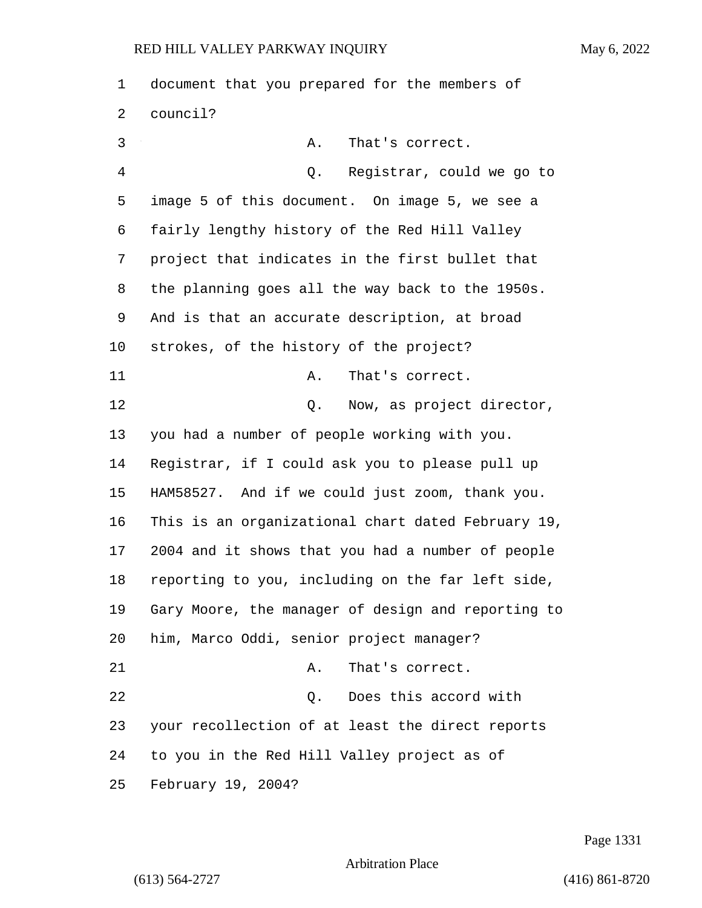document that you prepared for the members of council? 3 A. That's correct. 4 Q. Registrar, could we go to image 5 of this document. On image 5, we see a fairly lengthy history of the Red Hill Valley project that indicates in the first bullet that the planning goes all the way back to the 1950s. And is that an accurate description, at broad strokes, of the history of the project? 11 A. That's correct. 12 and 12 Q. Now, as project director, you had a number of people working with you. Registrar, if I could ask you to please pull up HAM58527. And if we could just zoom, thank you. This is an organizational chart dated February 19, 2004 and it shows that you had a number of people reporting to you, including on the far left side, Gary Moore, the manager of design and reporting to him, Marco Oddi, senior project manager? 21 A. That's correct. 22 Q. Does this accord with your recollection of at least the direct reports to you in the Red Hill Valley project as of February 19, 2004?

Page 1331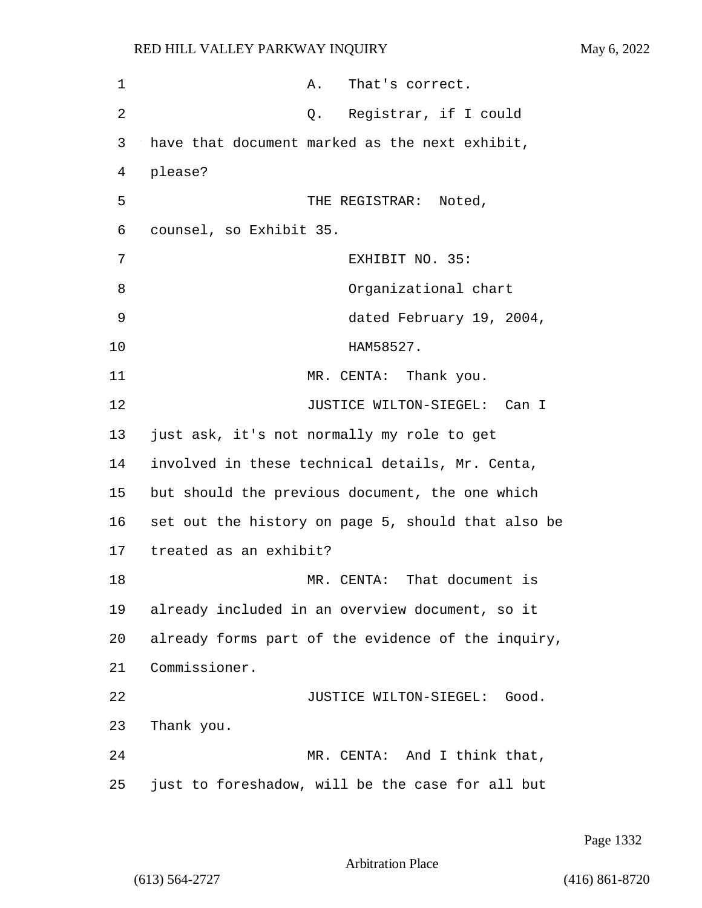| 1  | That's correct.<br>Α.                              |
|----|----------------------------------------------------|
| 2  | Q. Registrar, if I could                           |
| 3  | have that document marked as the next exhibit,     |
| 4  | please?                                            |
| 5  | THE REGISTRAR: Noted,                              |
| 6  | counsel, so Exhibit 35.                            |
| 7  | EXHIBIT NO. 35:                                    |
| 8  | Organizational chart                               |
| 9  | dated February 19, 2004,                           |
| 10 | HAM58527.                                          |
| 11 | MR. CENTA: Thank you.                              |
| 12 | JUSTICE WILTON-SIEGEL: Can I                       |
| 13 | just ask, it's not normally my role to get         |
| 14 | involved in these technical details, Mr. Centa,    |
| 15 | but should the previous document, the one which    |
| 16 | set out the history on page 5, should that also be |
| 17 | treated as an exhibit?                             |
| 18 | MR. CENTA: That document is                        |
| 19 | already included in an overview document, so it    |
| 20 | already forms part of the evidence of the inquiry, |
| 21 | Commissioner.                                      |
| 22 | JUSTICE WILTON-SIEGEL:<br>Good.                    |
| 23 | Thank you.                                         |
| 24 | MR. CENTA: And I think that,                       |
| 25 | just to foreshadow, will be the case for all but   |

Page 1332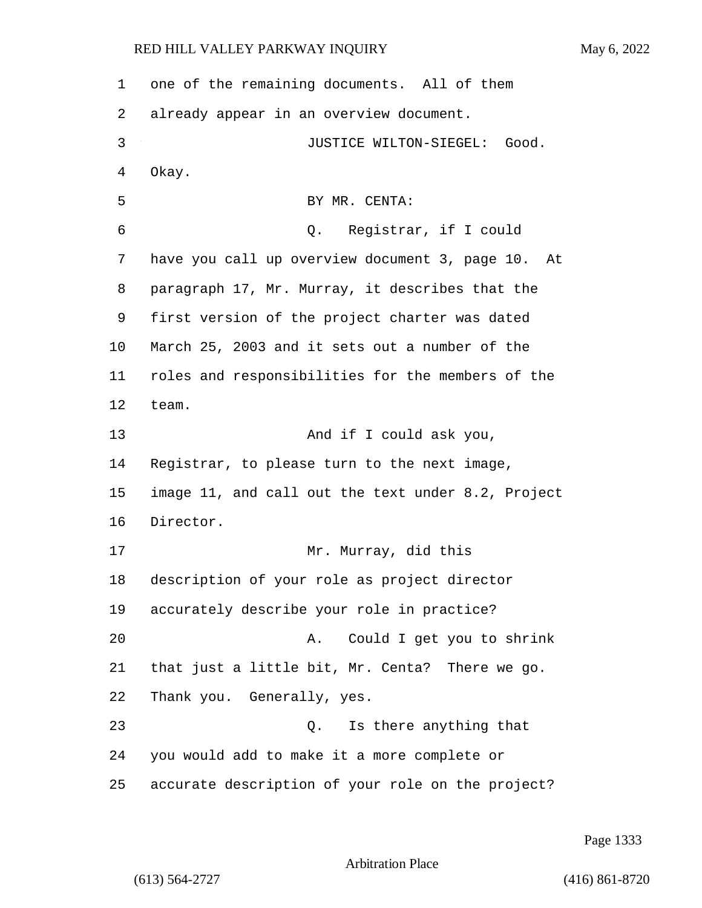one of the remaining documents. All of them already appear in an overview document. 3 JUSTICE WILTON-SIEGEL: Good. Okay. 5 BY MR. CENTA: 6 Q. Registrar, if I could have you call up overview document 3, page 10. At paragraph 17, Mr. Murray, it describes that the first version of the project charter was dated March 25, 2003 and it sets out a number of the roles and responsibilities for the members of the team. 13 And if I could ask you, Registrar, to please turn to the next image, image 11, and call out the text under 8.2, Project Director. 17 Mr. Murray, did this description of your role as project director accurately describe your role in practice? 20 A. Could I get you to shrink that just a little bit, Mr. Centa? There we go. Thank you. Generally, yes. 23 Q. Is there anything that you would add to make it a more complete or accurate description of your role on the project?

Page 1333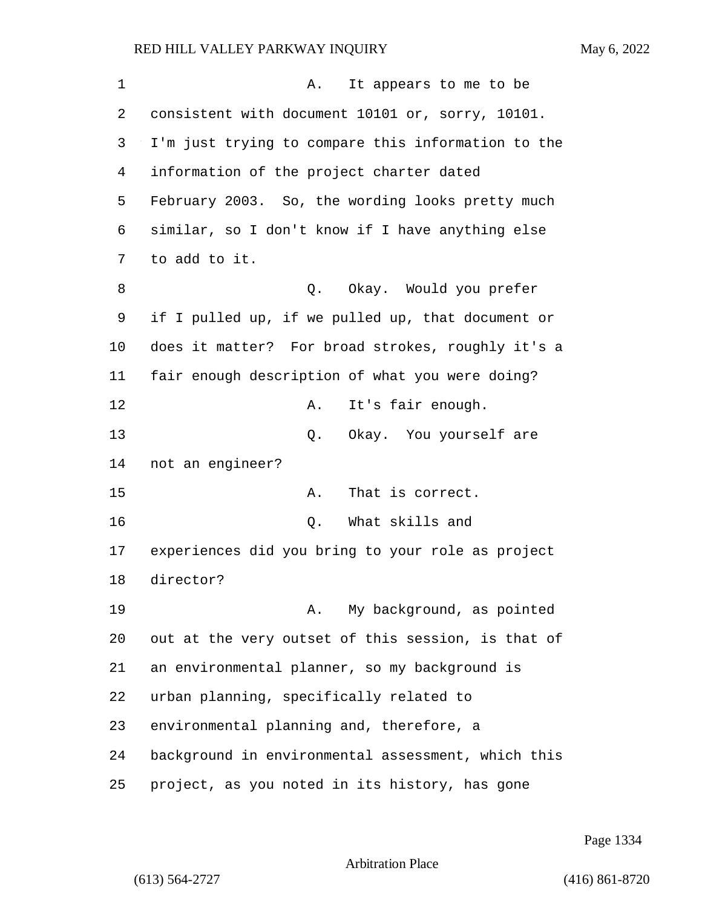| 1  | It appears to me to be<br>Α.                       |
|----|----------------------------------------------------|
| 2  | consistent with document 10101 or, sorry, 10101.   |
| 3  | I'm just trying to compare this information to the |
| 4  | information of the project charter dated           |
| 5  | February 2003. So, the wording looks pretty much   |
| 6  | similar, so I don't know if I have anything else   |
| 7  | to add to it.                                      |
| 8  | Okay.  Would you prefer<br>Q.                      |
| 9  | if I pulled up, if we pulled up, that document or  |
| 10 | does it matter? For broad strokes, roughly it's a  |
| 11 | fair enough description of what you were doing?    |
| 12 | It's fair enough.<br>Α.                            |
| 13 | Okay. You yourself are<br>Q.                       |
| 14 | not an engineer?                                   |
| 15 | That is correct.<br>Α.                             |
| 16 | What skills and<br>Q.                              |
| 17 | experiences did you bring to your role as project  |
| 18 | director?                                          |
| 19 | My background, as pointed<br>Α.                    |
| 20 | out at the very outset of this session, is that of |
| 21 | an environmental planner, so my background is      |
| 22 | urban planning, specifically related to            |
| 23 | environmental planning and, therefore, a           |
| 24 | background in environmental assessment, which this |
| 25 | project, as you noted in its history, has gone     |

Page 1334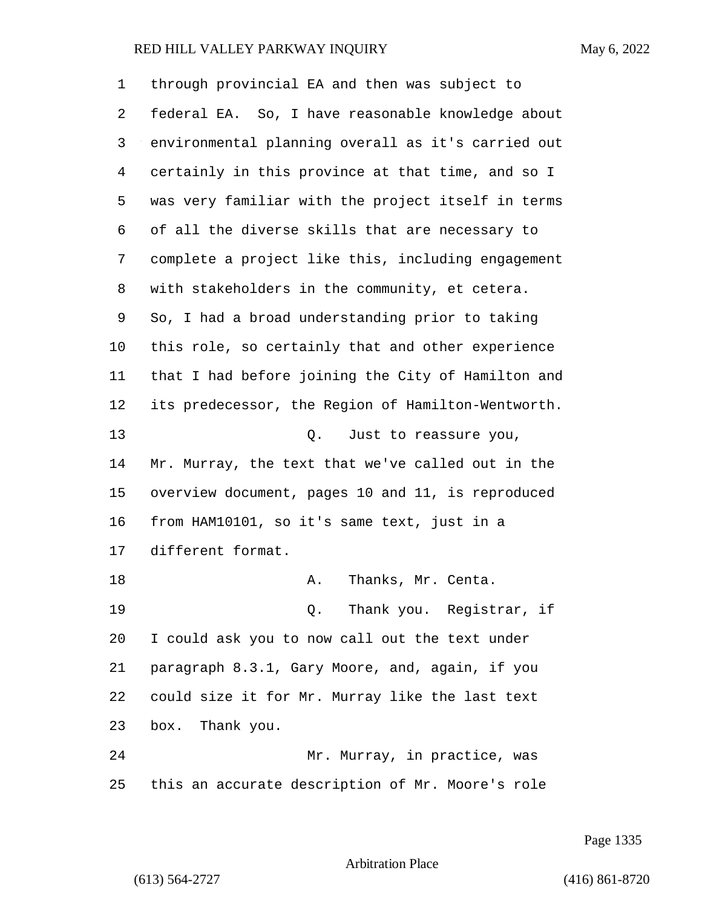| 1  | through provincial EA and then was subject to      |
|----|----------------------------------------------------|
| 2  | federal EA. So, I have reasonable knowledge about  |
| 3  | environmental planning overall as it's carried out |
| 4  | certainly in this province at that time, and so I  |
| 5  | was very familiar with the project itself in terms |
| 6  | of all the diverse skills that are necessary to    |
| 7  | complete a project like this, including engagement |
| 8  | with stakeholders in the community, et cetera.     |
| 9  | So, I had a broad understanding prior to taking    |
| 10 | this role, so certainly that and other experience  |
| 11 | that I had before joining the City of Hamilton and |
| 12 | its predecessor, the Region of Hamilton-Wentworth. |
| 13 | Q. Just to reassure you,                           |
| 14 | Mr. Murray, the text that we've called out in the  |
| 15 | overview document, pages 10 and 11, is reproduced  |
| 16 | from HAM10101, so it's same text, just in a        |
| 17 | different format.                                  |
| 18 | Thanks, Mr. Centa.<br>Α.                           |
| 19 | Q. Thank you. Registrar, if                        |
| 20 | I could ask you to now call out the text under     |
| 21 | paragraph 8.3.1, Gary Moore, and, again, if you    |
| 22 | could size it for Mr. Murray like the last text    |
| 23 | Thank you.<br>box.                                 |
| 24 | Mr. Murray, in practice, was                       |
| 25 | this an accurate description of Mr. Moore's role   |

Page 1335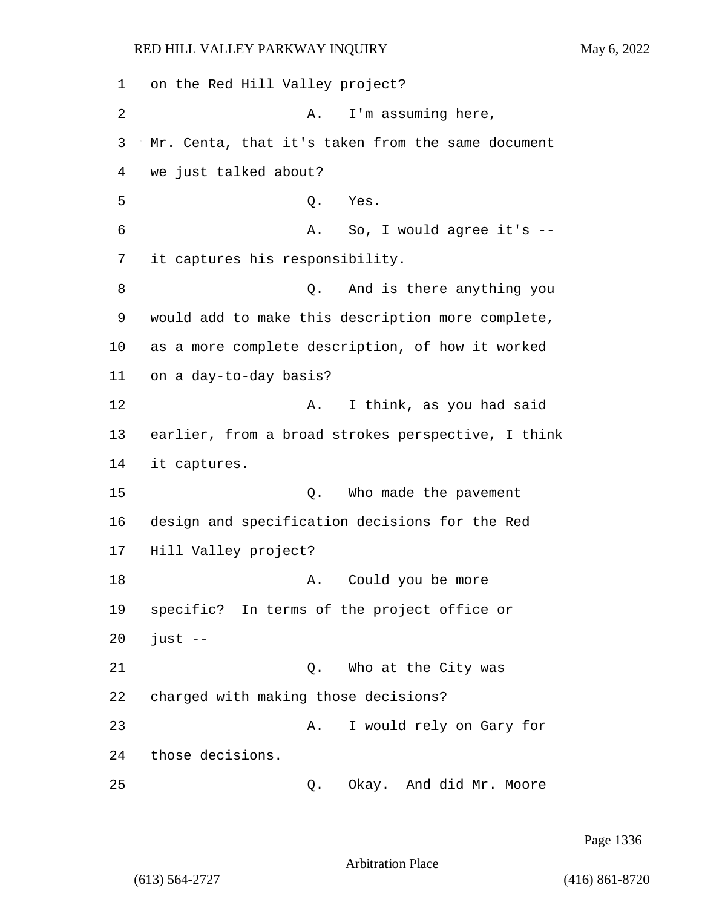1 on the Red Hill Valley project? 2 A. I'm assuming here, 3 Mr. Centa, that it's taken from the same document 4 we just talked about? 5 Q. Yes. 6 A. So, I would agree it's -- 7 it captures his responsibility. 8 and is there anything you 9 would add to make this description more complete, 10 as a more complete description, of how it worked 11 on a day-to-day basis? 12 A. I think, as you had said 13 earlier, from a broad strokes perspective, I think 14 it captures. 15 C. Who made the pavement 16 design and specification decisions for the Red 17 Hill Valley project? 18 A. Could you be more 19 specific? In terms of the project office or  $20$  just  $-$ 21 Q. Who at the City was 22 charged with making those decisions? 23 A. I would rely on Gary for 24 those decisions. 25 Q. Okay. And did Mr. Moore

Page 1336

Arbitration Place

(613) 564-2727 (416) 861-8720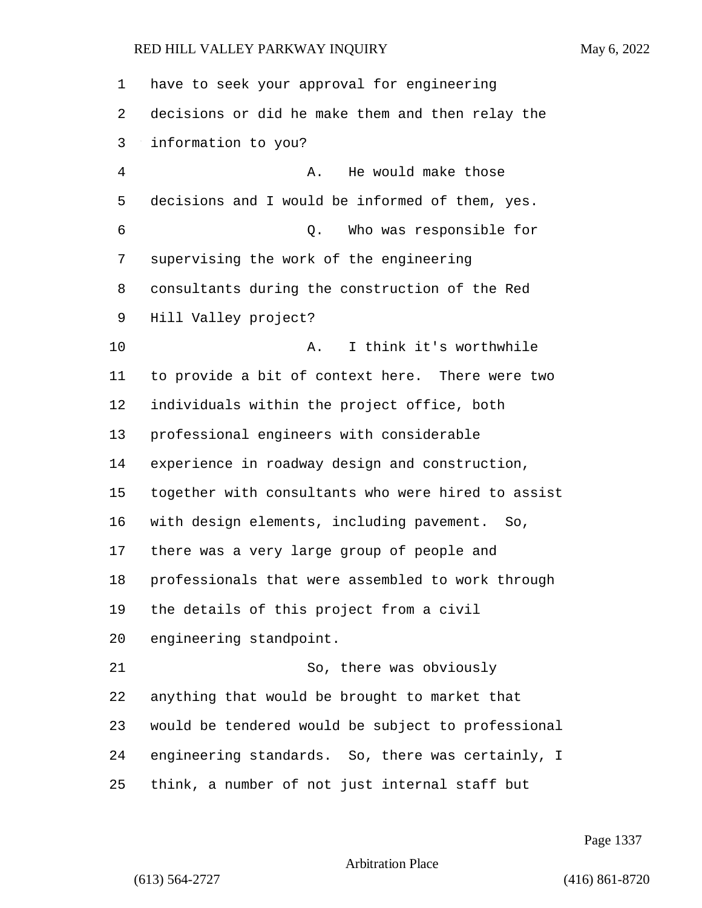| $\mathbf 1$    | have to seek your approval for engineering         |
|----------------|----------------------------------------------------|
| 2              | decisions or did he make them and then relay the   |
| 3              | information to you?                                |
| $\overline{4}$ | He would make those<br>Α.                          |
| 5              | decisions and I would be informed of them, yes.    |
| 6              | Who was responsible for<br>Q.                      |
| 7              | supervising the work of the engineering            |
| 8              | consultants during the construction of the Red     |
| 9              | Hill Valley project?                               |
| 10             | I think it's worthwhile<br>Α.                      |
| 11             | to provide a bit of context here. There were two   |
| 12             | individuals within the project office, both        |
| 13             | professional engineers with considerable           |
| 14             | experience in roadway design and construction,     |
| 15             | together with consultants who were hired to assist |
| 16             | with design elements, including pavement. So,      |
| 17             | there was a very large group of people and         |
| 18             | professionals that were assembled to work through  |
| 19             | the details of this project from a civil           |
| 20             | engineering standpoint.                            |
| 21             | So, there was obviously                            |
| 22             | anything that would be brought to market that      |
| 23             | would be tendered would be subject to professional |
| 24             | engineering standards. So, there was certainly, I  |
| 25             | think, a number of not just internal staff but     |

Page 1337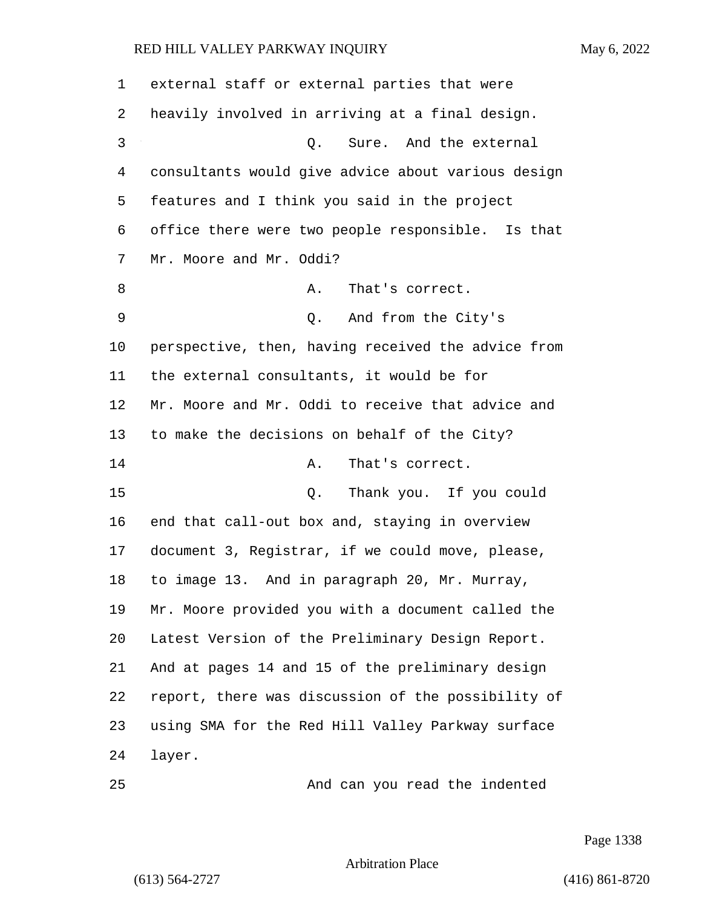| 1  | external staff or external parties that were       |
|----|----------------------------------------------------|
| 2  | heavily involved in arriving at a final design.    |
| 3  | Sure. And the external<br>Q.                       |
| 4  | consultants would give advice about various design |
| 5  | features and I think you said in the project       |
| 6  | office there were two people responsible. Is that  |
| 7  | Mr. Moore and Mr. Oddi?                            |
| 8  | That's correct.<br>Α.                              |
| 9  | And from the City's<br>Q.                          |
| 10 | perspective, then, having received the advice from |
| 11 | the external consultants, it would be for          |
| 12 | Mr. Moore and Mr. Oddi to receive that advice and  |
| 13 | to make the decisions on behalf of the City?       |
| 14 | That's correct.<br>Α.                              |
| 15 | Thank you. If you could<br>Q.                      |
| 16 | end that call-out box and, staying in overview     |
| 17 | document 3, Registrar, if we could move, please,   |
| 18 | to image 13. And in paragraph 20, Mr. Murray,      |
| 19 | Mr. Moore provided you with a document called the  |
| 20 | Latest Version of the Preliminary Design Report.   |
| 21 | And at pages 14 and 15 of the preliminary design   |
| 22 | report, there was discussion of the possibility of |
| 23 | using SMA for the Red Hill Valley Parkway surface  |
| 24 | layer.                                             |
| 25 | And can you read the indented                      |

Page 1338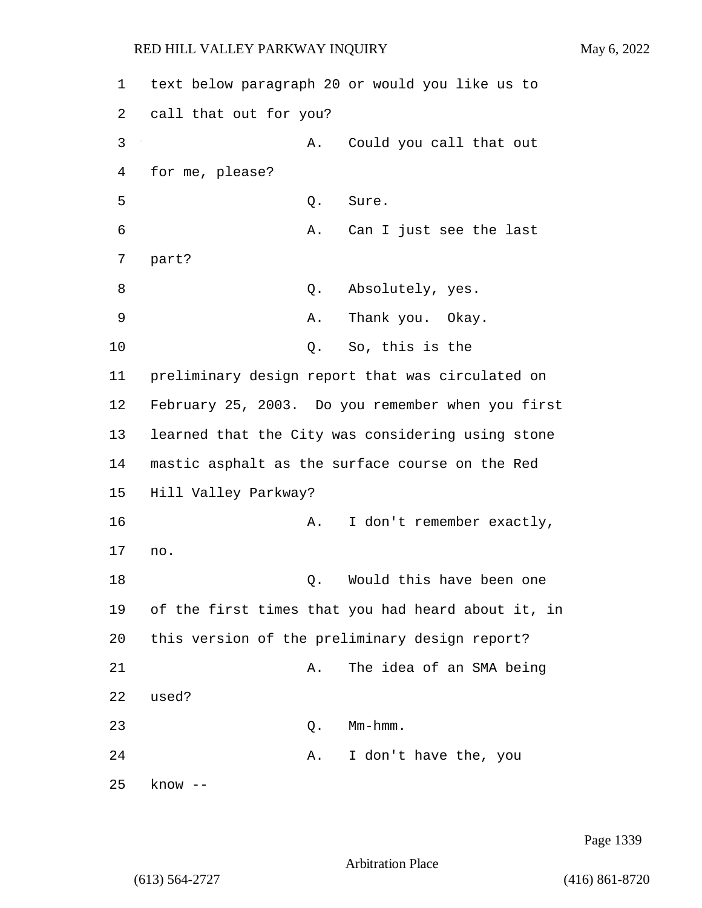1 text below paragraph 20 or would you like us to 2 call that out for you? 3 A. Could you call that out 4 for me, please? 5 Q. Sure. 6 A. Can I just see the last 7 part? 8 absolutely, yes. 9 A. Thank you. Okay. 10 Q. So, this is the 11 preliminary design report that was circulated on 12 February 25, 2003. Do you remember when you first 13 learned that the City was considering using stone 14 mastic asphalt as the surface course on the Red 15 Hill Valley Parkway? 16 A. I don't remember exactly, 17 no. 18 and 18 Q. Would this have been one 19 of the first times that you had heard about it, in 20 this version of the preliminary design report? 21 A. The idea of an SMA being 22 used? 23 Q. Mm-hmm. 24 A. I don't have the, you 25 know --

Page 1339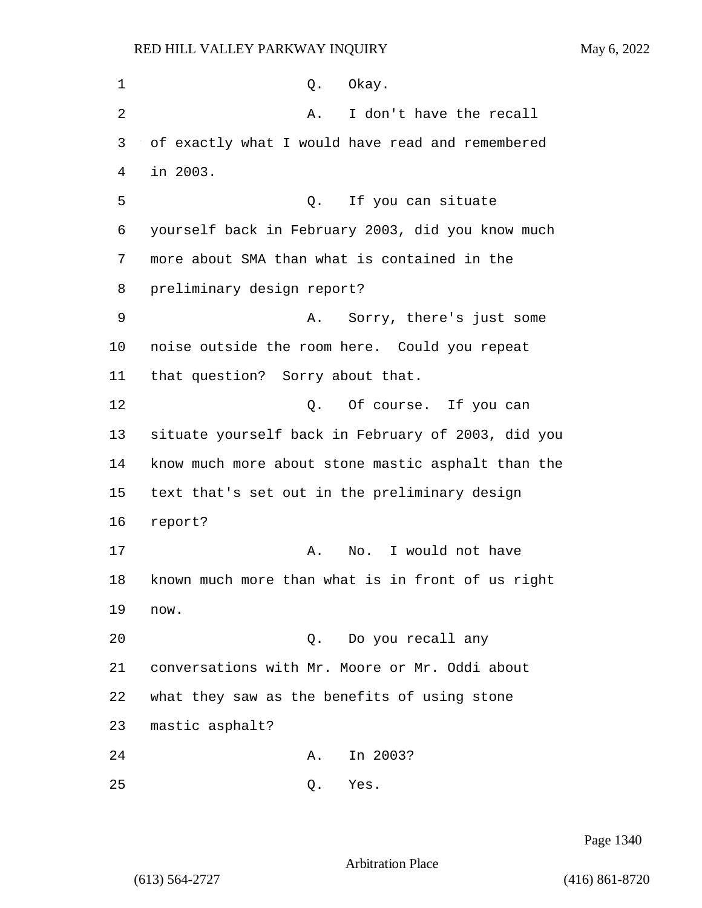1 0. Okay. 2 A. I don't have the recall 3 of exactly what I would have read and remembered 4 in 2003. 5 Q. If you can situate 6 yourself back in February 2003, did you know much 7 more about SMA than what is contained in the 8 preliminary design report? 9 A. Sorry, there's just some 10 noise outside the room here. Could you repeat 11 that question? Sorry about that. 12 O. Of course. If you can 13 situate yourself back in February of 2003, did you 14 know much more about stone mastic asphalt than the 15 text that's set out in the preliminary design 16 report? 17 A. No. I would not have 18 known much more than what is in front of us right 19 now. 20 Q. Do you recall any 21 conversations with Mr. Moore or Mr. Oddi about 22 what they saw as the benefits of using stone 23 mastic asphalt? 24 A. In 2003? 25 Q. Yes.

Page 1340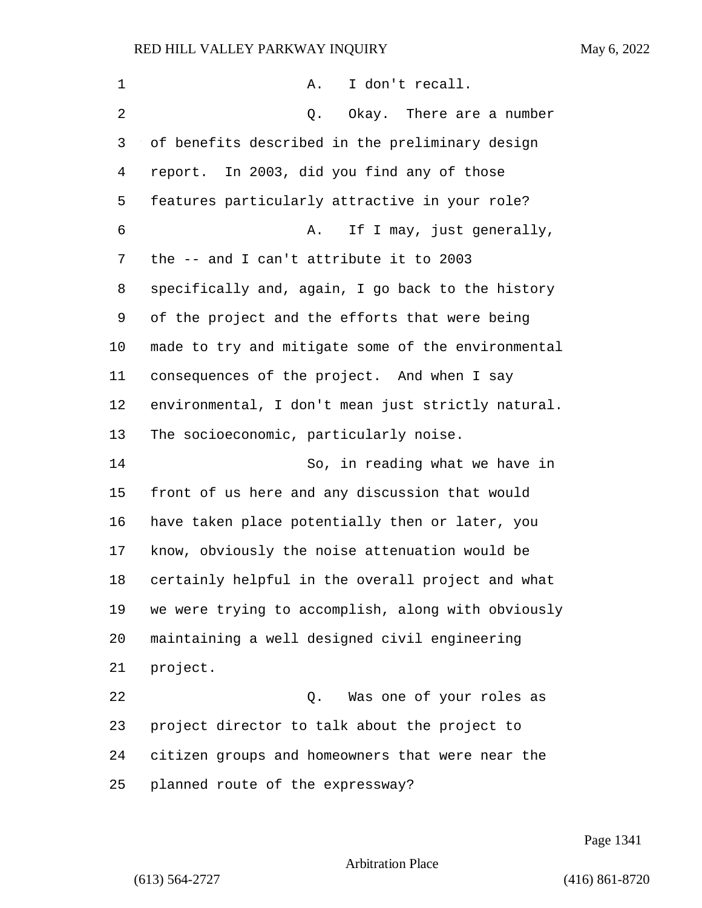| 1              | I don't recall.<br>Α.                              |
|----------------|----------------------------------------------------|
| $\overline{2}$ | Okay. There are a number<br>Q.                     |
| 3              | of benefits described in the preliminary design    |
| 4              | report. In 2003, did you find any of those         |
| 5              | features particularly attractive in your role?     |
| 6              | If I may, just generally,<br>Α.                    |
| 7              | the -- and I can't attribute it to 2003            |
| 8              | specifically and, again, I go back to the history  |
| 9              | of the project and the efforts that were being     |
| $10 \,$        | made to try and mitigate some of the environmental |
| 11             | consequences of the project. And when I say        |
| 12             | environmental, I don't mean just strictly natural. |
| 13             | The socioeconomic, particularly noise.             |
| 14             | So, in reading what we have in                     |
| 15             | front of us here and any discussion that would     |
| 16             | have taken place potentially then or later, you    |
| 17             | know, obviously the noise attenuation would be     |
| 18             | certainly helpful in the overall project and what  |
| 19             | we were trying to accomplish, along with obviously |
| 20             | maintaining a well designed civil engineering      |
| 21             | project.                                           |
| 22             | Was one of your roles as<br>Q.                     |
| 23             | project director to talk about the project to      |
| 24             | citizen groups and homeowners that were near the   |
| 25             | planned route of the expressway?                   |

Page 1341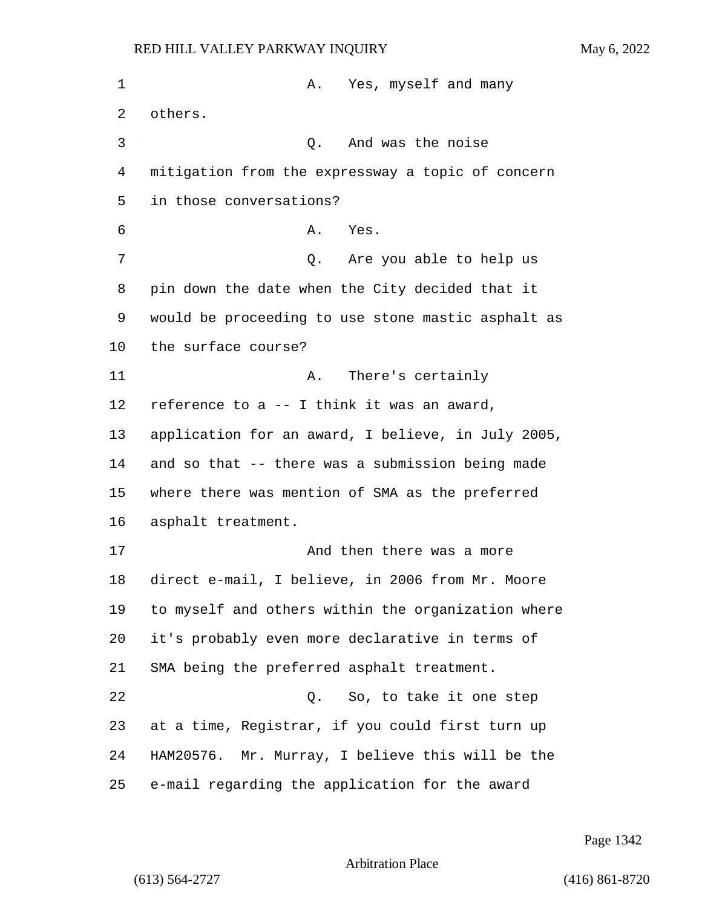| 1  | Yes, myself and many<br>Α.                         |
|----|----------------------------------------------------|
| 2  | others.                                            |
| 3  | And was the noise<br>Q.                            |
| 4  | mitigation from the expressway a topic of concern  |
| 5  | in those conversations?                            |
| 6  | Yes.<br>Α.                                         |
| 7  | Are you able to help us<br>Q.                      |
| 8  | pin down the date when the City decided that it    |
| 9  | would be proceeding to use stone mastic asphalt as |
| 10 | the surface course?                                |
| 11 | There's certainly<br>Α.                            |
| 12 | reference to a -- I think it was an award,         |
| 13 | application for an award, I believe, in July 2005, |
| 14 | and so that -- there was a submission being made   |
| 15 | where there was mention of SMA as the preferred    |
| 16 | asphalt treatment.                                 |
| 17 | And then there was a more                          |
| 18 | direct e-mail, I believe, in 2006 from Mr. Moore   |
| 19 | to myself and others within the organization where |
| 20 | it's probably even more declarative in terms of    |
| 21 | SMA being the preferred asphalt treatment.         |
| 22 | Q. So, to take it one step                         |
| 23 | at a time, Registrar, if you could first turn up   |
| 24 | HAM20576. Mr. Murray, I believe this will be the   |
| 25 | e-mail regarding the application for the award     |

Page 1342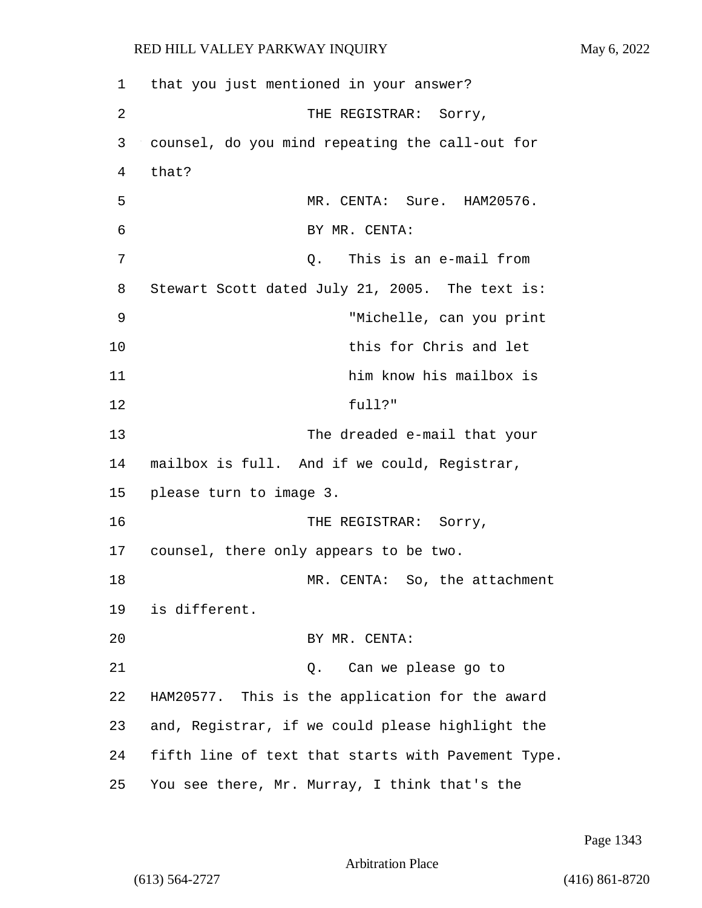| 1  | that you just mentioned in your answer?            |
|----|----------------------------------------------------|
| 2  | THE REGISTRAR: Sorry,                              |
| 3  | counsel, do you mind repeating the call-out for    |
| 4  | that?                                              |
| 5  | MR. CENTA: Sure. HAM20576.                         |
| 6  | BY MR. CENTA:                                      |
| 7  | This is an e-mail from<br>Q.                       |
| 8  | Stewart Scott dated July 21, 2005. The text is:    |
| 9  | "Michelle, can you print                           |
| 10 | this for Chris and let                             |
| 11 | him know his mailbox is                            |
| 12 | full?"                                             |
| 13 | The dreaded e-mail that your                       |
| 14 | mailbox is full. And if we could, Registrar,       |
| 15 | please turn to image 3.                            |
| 16 | THE REGISTRAR: Sorry,                              |
| 17 | counsel, there only appears to be two.             |
| 18 | MR. CENTA: So, the attachment                      |
| 19 | is different.                                      |
| 20 | BY MR. CENTA:                                      |
| 21 | Can we please go to<br>О.                          |
| 22 | HAM20577. This is the application for the award    |
| 23 | and, Registrar, if we could please highlight the   |
| 24 | fifth line of text that starts with Pavement Type. |
| 25 | You see there, Mr. Murray, I think that's the      |

Page 1343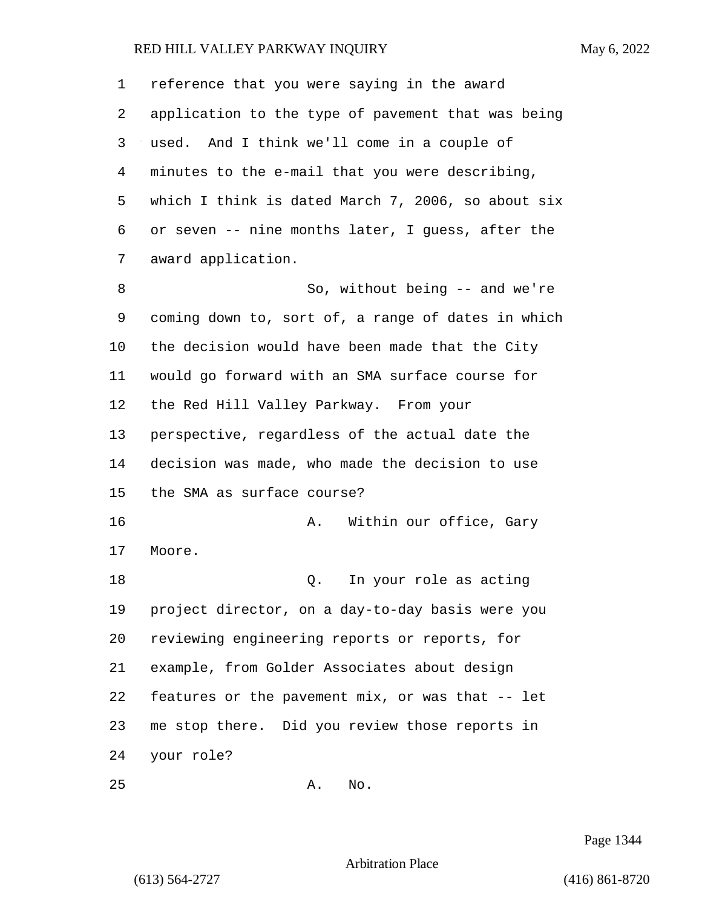| 1  | reference that you were saying in the award        |  |  |  |
|----|----------------------------------------------------|--|--|--|
| 2  | application to the type of pavement that was being |  |  |  |
| 3  | used. And I think we'll come in a couple of        |  |  |  |
| 4  | minutes to the e-mail that you were describing,    |  |  |  |
| 5  | which I think is dated March 7, 2006, so about six |  |  |  |
| 6  | or seven -- nine months later, I guess, after the  |  |  |  |
| 7  | award application.                                 |  |  |  |
| 8  | So, without being -- and we're                     |  |  |  |
| 9  | coming down to, sort of, a range of dates in which |  |  |  |
| 10 | the decision would have been made that the City    |  |  |  |
| 11 | would go forward with an SMA surface course for    |  |  |  |
| 12 | the Red Hill Valley Parkway. From your             |  |  |  |
| 13 | perspective, regardless of the actual date the     |  |  |  |
| 14 | decision was made, who made the decision to use    |  |  |  |
| 15 | the SMA as surface course?                         |  |  |  |
| 16 | Within our office, Gary<br>Α.                      |  |  |  |
| 17 | Moore.                                             |  |  |  |
| 18 | In your role as acting<br>Q.                       |  |  |  |
| 19 | project director, on a day-to-day basis were you   |  |  |  |
| 20 | reviewing engineering reports or reports, for      |  |  |  |
| 21 | example, from Golder Associates about design       |  |  |  |
| 22 | features or the pavement mix, or was that -- let   |  |  |  |
| 23 | me stop there. Did you review those reports in     |  |  |  |
| 24 | your role?                                         |  |  |  |
| 25 | No.<br>Α.                                          |  |  |  |

Page 1344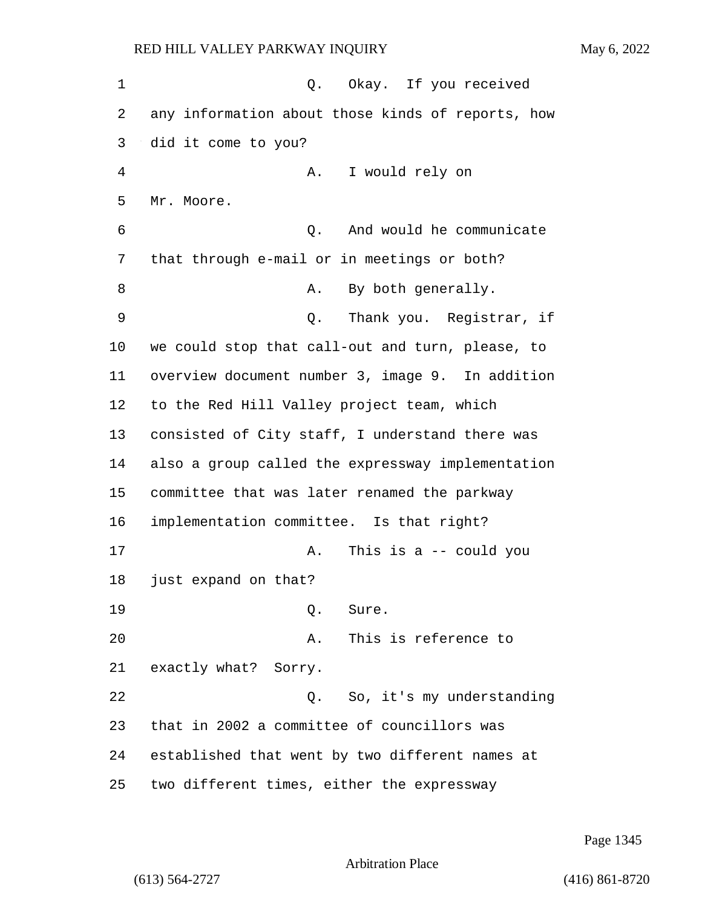1 0. Okay. If you received any information about those kinds of reports, how did it come to you? 4 A. I would rely on Mr. Moore. 6 Q. And would he communicate that through e-mail or in meetings or both? 8 A. By both generally. 9 Q. Thank you. Registrar, if we could stop that call-out and turn, please, to overview document number 3, image 9. In addition to the Red Hill Valley project team, which consisted of City staff, I understand there was also a group called the expressway implementation committee that was later renamed the parkway implementation committee. Is that right? 17 A. This is a -- could you just expand on that? 19 Q. Sure. 20 A. This is reference to exactly what? Sorry. 22 Q. So, it's my understanding that in 2002 a committee of councillors was established that went by two different names at two different times, either the expressway

Page 1345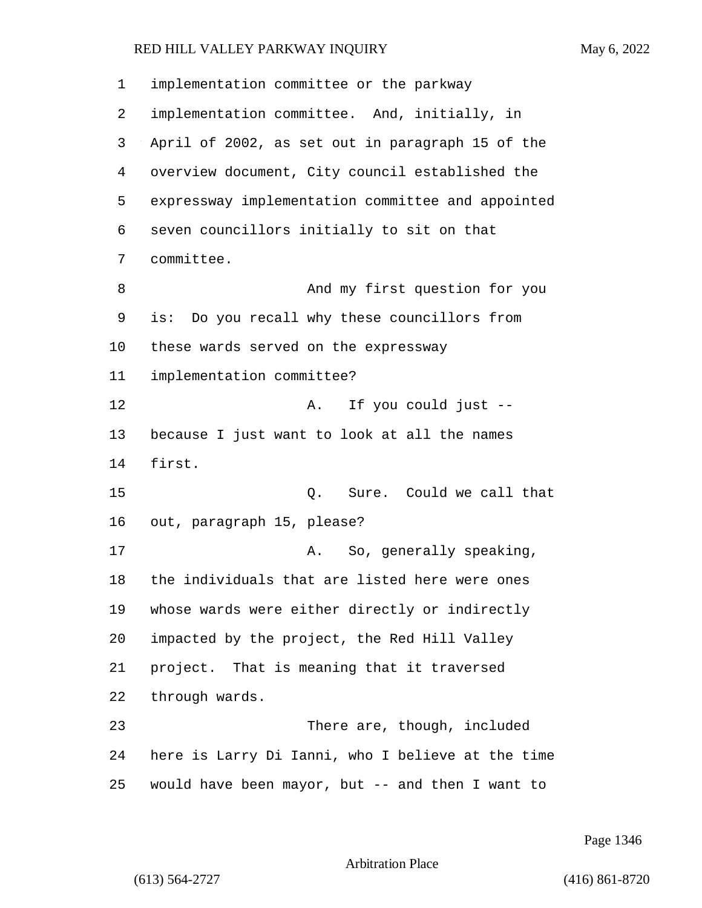| 1  | implementation committee or the parkway           |  |  |  |
|----|---------------------------------------------------|--|--|--|
| 2  | implementation committee. And, initially, in      |  |  |  |
| 3  | April of 2002, as set out in paragraph 15 of the  |  |  |  |
| 4  | overview document, City council established the   |  |  |  |
| 5  | expressway implementation committee and appointed |  |  |  |
| 6  | seven councillors initially to sit on that        |  |  |  |
| 7  | committee.                                        |  |  |  |
| 8  | And my first question for you                     |  |  |  |
| 9  | is: Do you recall why these councillors from      |  |  |  |
| 10 | these wards served on the expressway              |  |  |  |
| 11 | implementation committee?                         |  |  |  |
| 12 | If you could just --<br>Α.                        |  |  |  |
| 13 | because I just want to look at all the names      |  |  |  |
| 14 | first.                                            |  |  |  |
| 15 | Sure. Could we call that<br>Q.                    |  |  |  |
| 16 | out, paragraph 15, please?                        |  |  |  |
| 17 | So, generally speaking,<br>Α.                     |  |  |  |
| 18 | the individuals that are listed here were ones    |  |  |  |
| 19 | whose wards were either directly or indirectly    |  |  |  |
| 20 | impacted by the project, the Red Hill Valley      |  |  |  |
| 21 | project. That is meaning that it traversed        |  |  |  |
| 22 | through wards.                                    |  |  |  |
| 23 | There are, though, included                       |  |  |  |
| 24 | here is Larry Di Ianni, who I believe at the time |  |  |  |
| 25 | would have been mayor, but -- and then I want to  |  |  |  |

Page 1346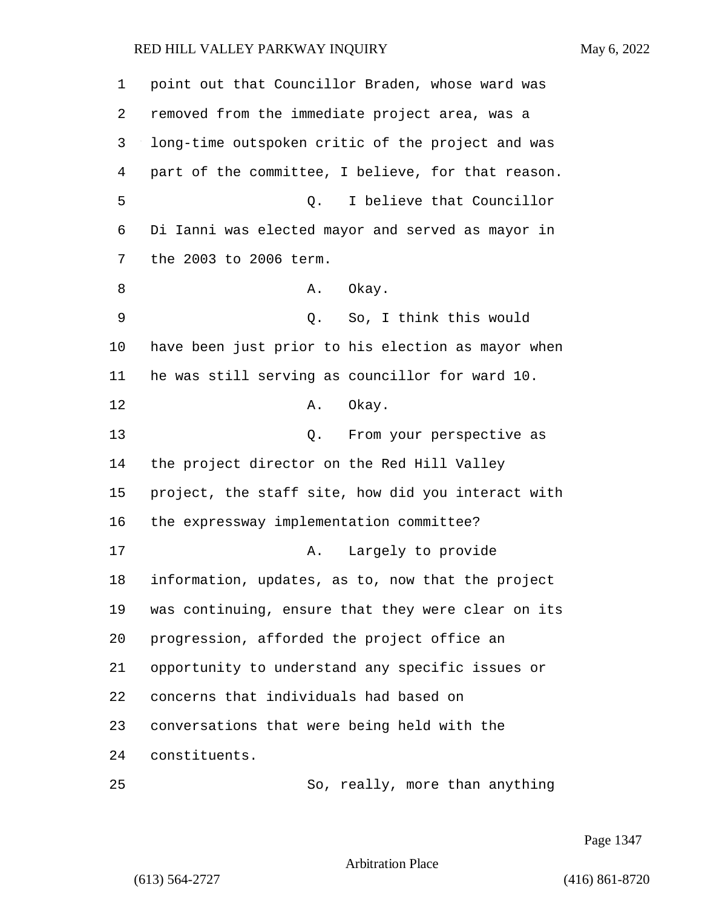point out that Councillor Braden, whose ward was removed from the immediate project area, was a long-time outspoken critic of the project and was part of the committee, I believe, for that reason. 5 Q. I believe that Councillor Di Ianni was elected mayor and served as mayor in the 2003 to 2006 term. 8 A. Okay. 9 Q. So, I think this would have been just prior to his election as mayor when he was still serving as councillor for ward 10. 12 A. Okay. 13 C. From your perspective as the project director on the Red Hill Valley project, the staff site, how did you interact with the expressway implementation committee? 17 A. Largely to provide information, updates, as to, now that the project was continuing, ensure that they were clear on its progression, afforded the project office an opportunity to understand any specific issues or concerns that individuals had based on conversations that were being held with the constituents.

25 So, really, more than anything

Page 1347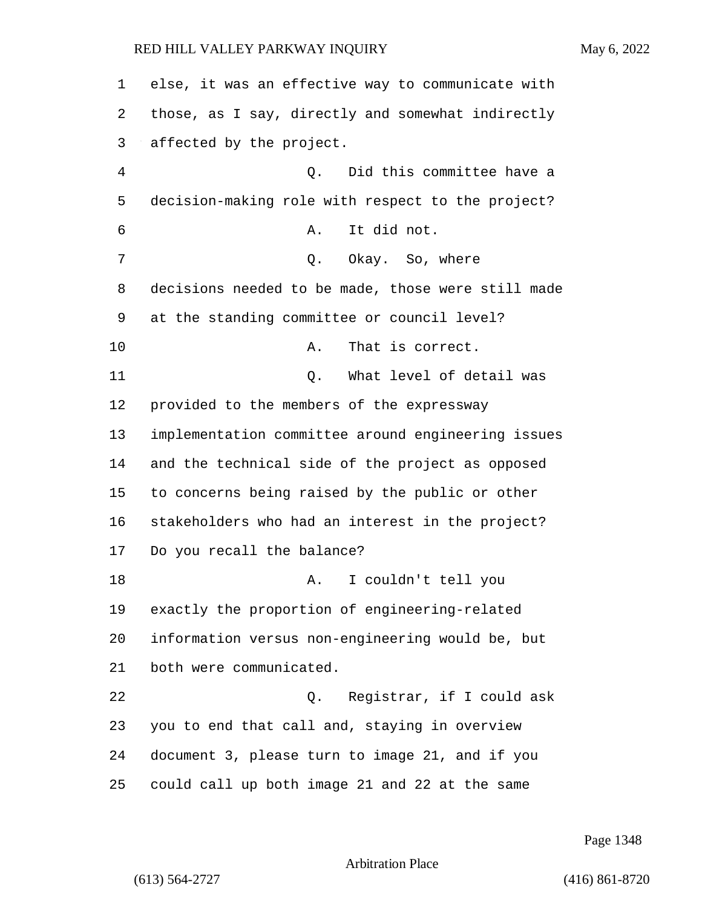| 1  | else, it was an effective way to communicate with  |  |  |  |  |
|----|----------------------------------------------------|--|--|--|--|
| 2  | those, as I say, directly and somewhat indirectly  |  |  |  |  |
| 3  | affected by the project.                           |  |  |  |  |
| 4  | Did this committee have a<br>Q.                    |  |  |  |  |
| 5  | decision-making role with respect to the project?  |  |  |  |  |
| 6  | It did not.<br>Α.                                  |  |  |  |  |
| 7  | Okay. So, where<br>Q.                              |  |  |  |  |
| 8  | decisions needed to be made, those were still made |  |  |  |  |
| 9  | at the standing committee or council level?        |  |  |  |  |
| 10 | That is correct.<br>Α.                             |  |  |  |  |
| 11 | What level of detail was<br>Q.                     |  |  |  |  |
| 12 | provided to the members of the expressway          |  |  |  |  |
| 13 | implementation committee around engineering issues |  |  |  |  |
| 14 | and the technical side of the project as opposed   |  |  |  |  |
| 15 | to concerns being raised by the public or other    |  |  |  |  |
| 16 | stakeholders who had an interest in the project?   |  |  |  |  |
| 17 | Do you recall the balance?                         |  |  |  |  |
| 18 | I couldn't tell you<br>Α.                          |  |  |  |  |
| 19 | exactly the proportion of engineering-related      |  |  |  |  |
| 20 | information versus non-engineering would be, but   |  |  |  |  |
| 21 | both were communicated.                            |  |  |  |  |
| 22 | Registrar, if I could ask<br>0.                    |  |  |  |  |
| 23 | you to end that call and, staying in overview      |  |  |  |  |
| 24 | document 3, please turn to image 21, and if you    |  |  |  |  |
| 25 | could call up both image 21 and 22 at the same     |  |  |  |  |

Page 1348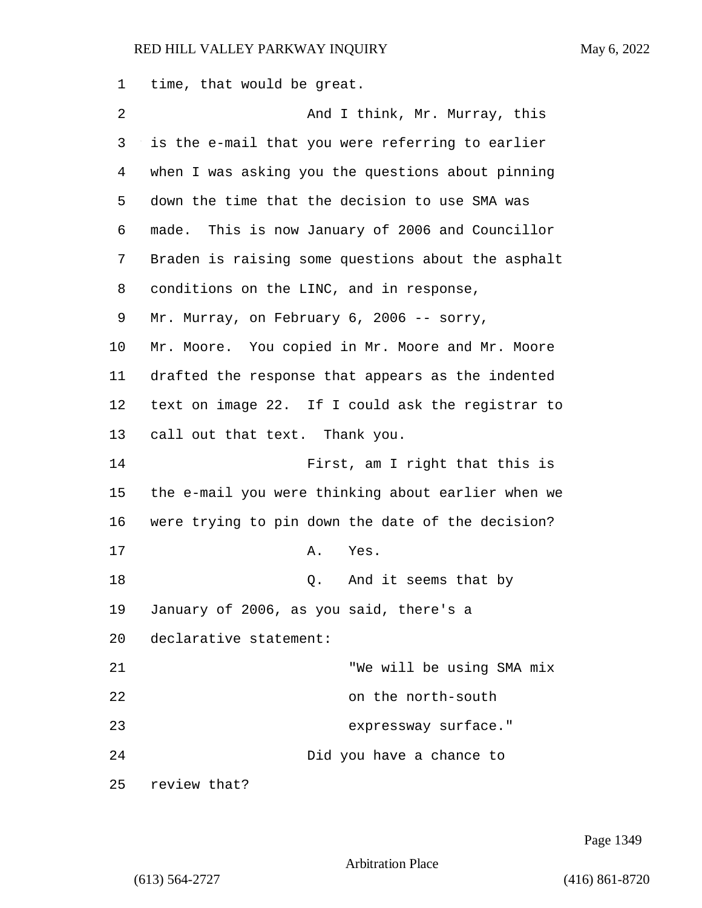1 time, that would be great.

| $\overline{2}$ | And I think, Mr. Murray, this                      |  |  |  |  |
|----------------|----------------------------------------------------|--|--|--|--|
| 3              | is the e-mail that you were referring to earlier   |  |  |  |  |
| 4              | when I was asking you the questions about pinning  |  |  |  |  |
| 5              | down the time that the decision to use SMA was     |  |  |  |  |
| 6              | made. This is now January of 2006 and Councillor   |  |  |  |  |
| 7              | Braden is raising some questions about the asphalt |  |  |  |  |
| 8              | conditions on the LINC, and in response,           |  |  |  |  |
| 9              | Mr. Murray, on February 6, 2006 -- sorry,          |  |  |  |  |
| 10             | Mr. Moore. You copied in Mr. Moore and Mr. Moore   |  |  |  |  |
| 11             | drafted the response that appears as the indented  |  |  |  |  |
| 12             | text on image 22. If I could ask the registrar to  |  |  |  |  |
| 13             | call out that text. Thank you.                     |  |  |  |  |
| 14             | First, am I right that this is                     |  |  |  |  |
| 15             | the e-mail you were thinking about earlier when we |  |  |  |  |
| 16             | were trying to pin down the date of the decision?  |  |  |  |  |
| 17             | Α.<br>Yes.                                         |  |  |  |  |
| 18             | And it seems that by<br>Q.                         |  |  |  |  |
| 19             | January of 2006, as you said, there's a            |  |  |  |  |
| 20             | declarative statement:                             |  |  |  |  |
| 21             | "We will be using SMA mix                          |  |  |  |  |
| 22             | on the north-south                                 |  |  |  |  |
| 23             | expressway surface."                               |  |  |  |  |
| 24             | Did you have a chance to                           |  |  |  |  |
| 25             | review that?                                       |  |  |  |  |

Page 1349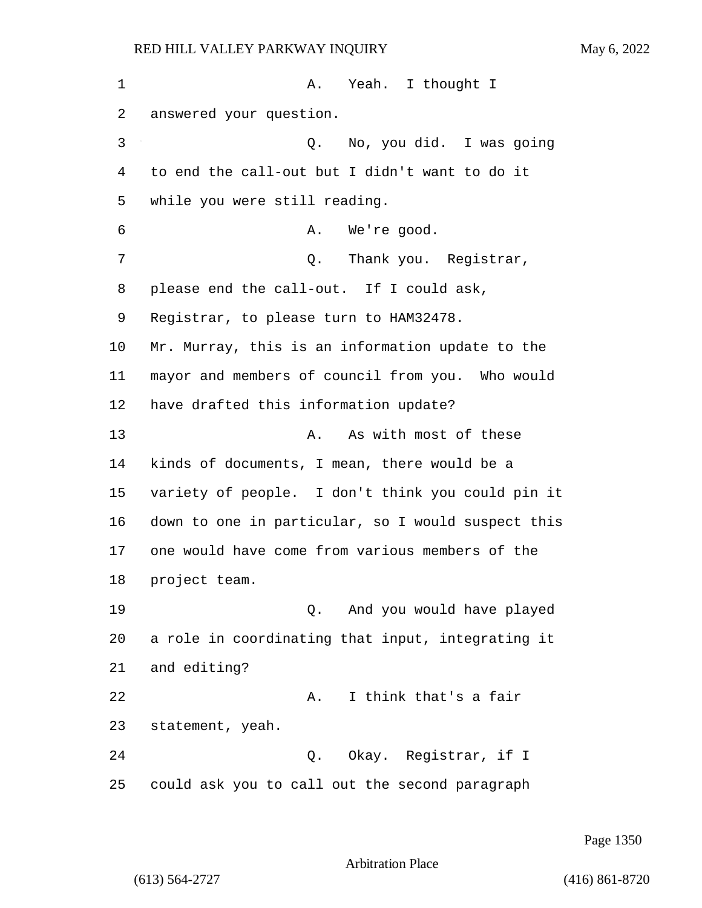1 A. Yeah. I thought I answered your question. 3 Q. No, you did. I was going to end the call-out but I didn't want to do it while you were still reading. 6 A. We're good. 7 C. Thank you. Reqistrar, please end the call-out. If I could ask, Registrar, to please turn to HAM32478. Mr. Murray, this is an information update to the mayor and members of council from you. Who would have drafted this information update? 13 A. As with most of these kinds of documents, I mean, there would be a variety of people. I don't think you could pin it down to one in particular, so I would suspect this one would have come from various members of the project team. 19 Q. And you would have played a role in coordinating that input, integrating it and editing? 22 A. I think that's a fair statement, yeah. 24 Q. Okay. Registrar, if I could ask you to call out the second paragraph

Page 1350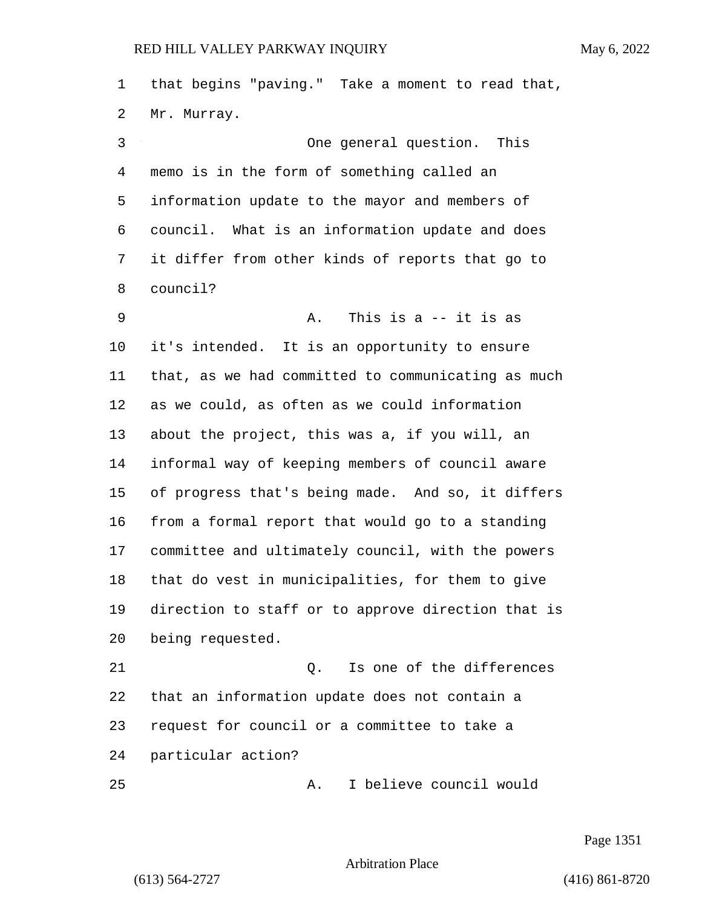that begins "paving." Take a moment to read that, Mr. Murray. 3 One general question. This memo is in the form of something called an information update to the mayor and members of council. What is an information update and does it differ from other kinds of reports that go to council? 9 A. This is a -- it is as it's intended. It is an opportunity to ensure that, as we had committed to communicating as much as we could, as often as we could information about the project, this was a, if you will, an informal way of keeping members of council aware of progress that's being made. And so, it differs from a formal report that would go to a standing committee and ultimately council, with the powers that do vest in municipalities, for them to give direction to staff or to approve direction that is being requested. 21 Q. Is one of the differences that an information update does not contain a request for council or a committee to take a particular action?

25 A. I believe council would

Page 1351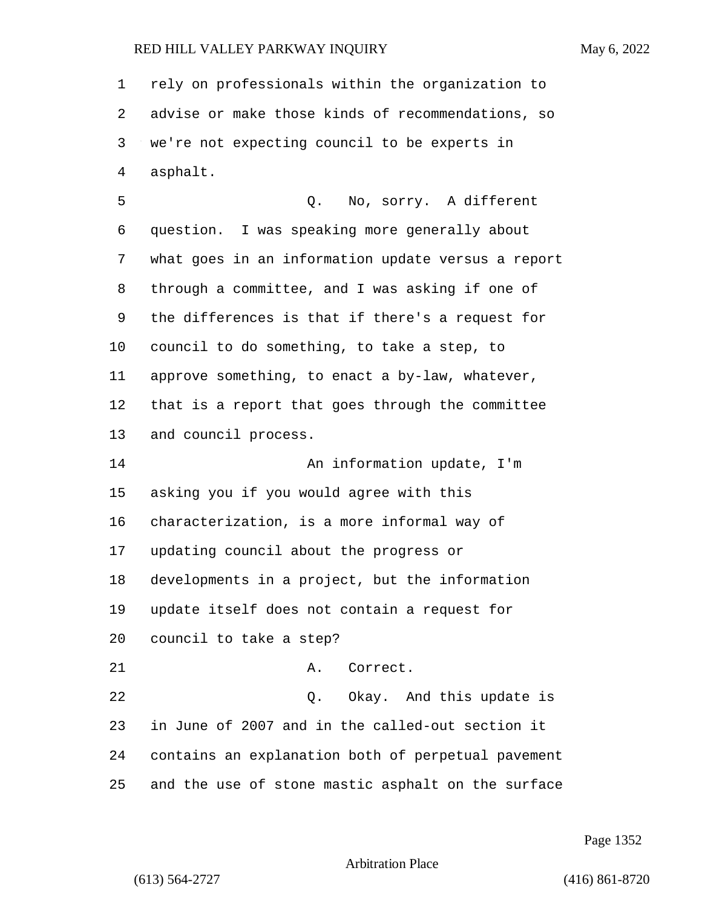| $\mathbf{1}$ | rely on professionals within the organization to   |
|--------------|----------------------------------------------------|
| 2            | advise or make those kinds of recommendations, so  |
| 3            | we're not expecting council to be experts in       |
| 4            | asphalt.                                           |
| 5            | Q. No, sorry. A different                          |
| 6            | question. I was speaking more generally about      |
| 7            | what goes in an information update versus a report |
| 8            | through a committee, and I was asking if one of    |
| 9            | the differences is that if there's a request for   |
| 10           | council to do something, to take a step, to        |
| 11           | approve something, to enact a by-law, whatever,    |
| 12           | that is a report that goes through the committee   |
| 13           | and council process.                               |
| 14           | An information update, I'm                         |
| 15           | asking you if you would agree with this            |
| 16           | characterization, is a more informal way of        |
| 17           | updating council about the progress or             |
| 18           | developments in a project, but the information     |
| 19           | update itself does not contain a request for       |
| 20           | council to take a step?                            |
| 21           | A. Correct.                                        |
| 22           | Q. Okay. And this update is                        |
| 23           | in June of 2007 and in the called-out section it   |
| 24           | contains an explanation both of perpetual pavement |
| 25           | and the use of stone mastic asphalt on the surface |

Page 1352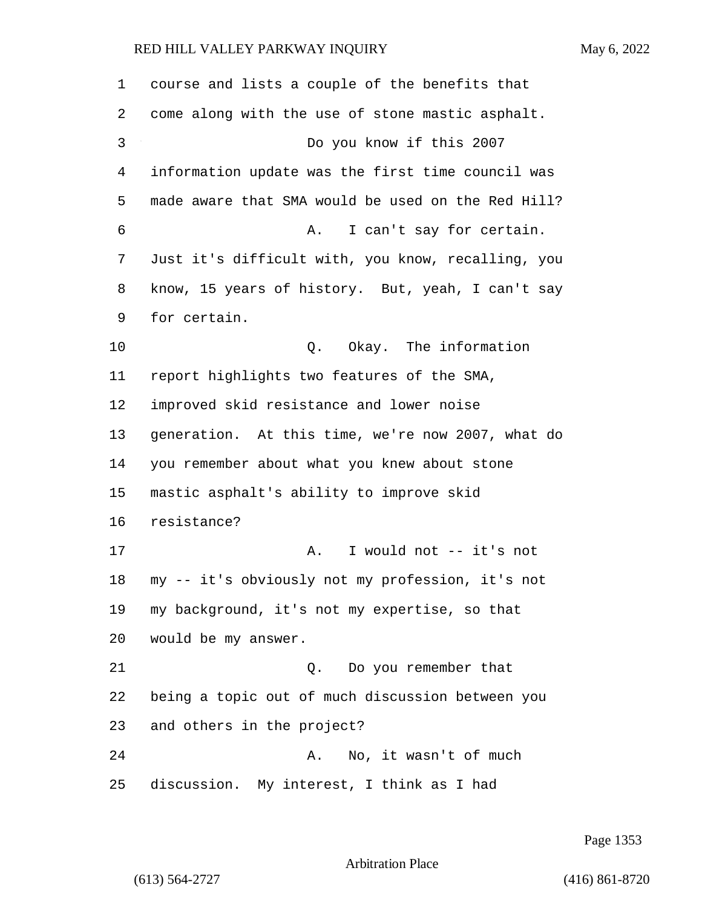| $\mathbf 1$ | course and lists a couple of the benefits that     |
|-------------|----------------------------------------------------|
| 2           | come along with the use of stone mastic asphalt.   |
| 3           | Do you know if this 2007                           |
| 4           | information update was the first time council was  |
| 5           | made aware that SMA would be used on the Red Hill? |
| 6           | I can't say for certain.<br>Α.                     |
| 7           | Just it's difficult with, you know, recalling, you |
| 8           | know, 15 years of history. But, yeah, I can't say  |
| 9           | for certain.                                       |
| 10          | Okay. The information<br>Q.                        |
| 11          | report highlights two features of the SMA,         |
| 12          | improved skid resistance and lower noise           |
| 13          | generation. At this time, we're now 2007, what do  |
| 14          | you remember about what you knew about stone       |
| 15          | mastic asphalt's ability to improve skid           |
| 16          | resistance?                                        |
| 17          | I would not -- it's not<br>Α.                      |
| 18          | my -- it's obviously not my profession, it's not   |
| 19          | my background, it's not my expertise, so that      |
| 20          | would be my answer.                                |
| 21          | Do you remember that<br>Q.                         |
| 22          | being a topic out of much discussion between you   |
| 23          | and others in the project?                         |
| 24          | No, it wasn't of much<br>Α.                        |
| 25          | discussion. My interest, I think as I had          |

Page 1353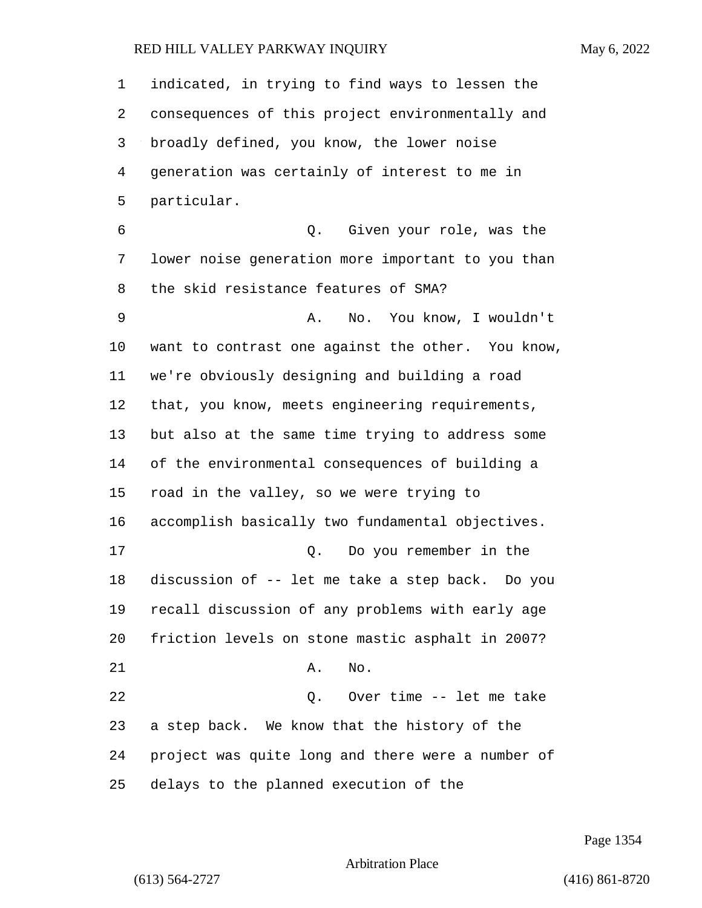indicated, in trying to find ways to lessen the consequences of this project environmentally and broadly defined, you know, the lower noise generation was certainly of interest to me in particular. 6 Q. Given your role, was the lower noise generation more important to you than the skid resistance features of SMA? 9 A. No. You know, I wouldn't want to contrast one against the other. You know, we're obviously designing and building a road that, you know, meets engineering requirements, but also at the same time trying to address some of the environmental consequences of building a road in the valley, so we were trying to accomplish basically two fundamental objectives. 17 Q. Do you remember in the discussion of -- let me take a step back. Do you recall discussion of any problems with early age friction levels on stone mastic asphalt in 2007? 21 A. No. 22 Q. Over time -- let me take a step back. We know that the history of the project was quite long and there were a number of delays to the planned execution of the

Page 1354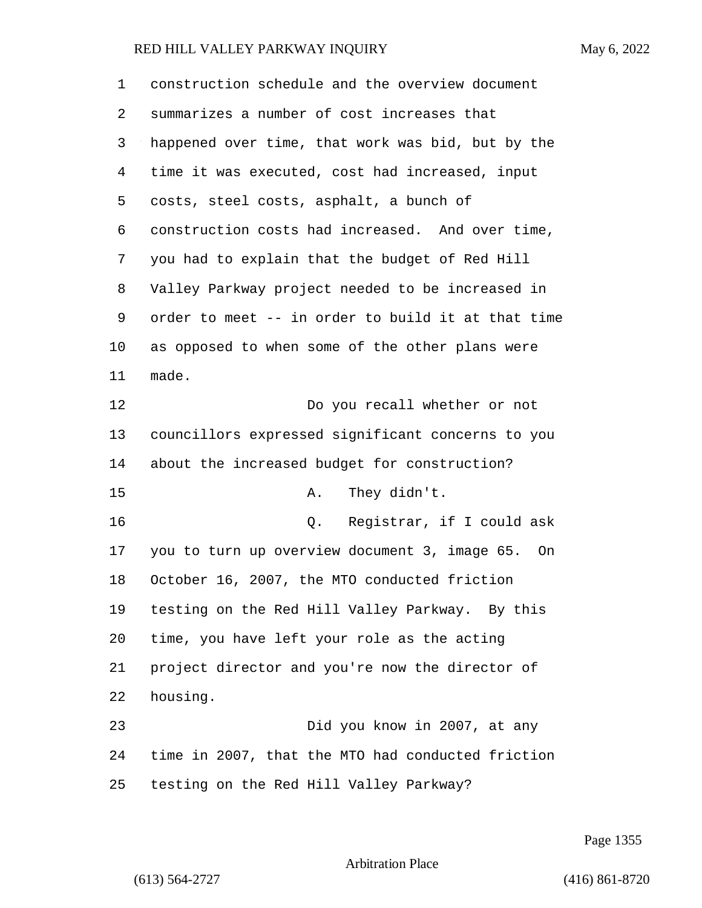construction schedule and the overview document summarizes a number of cost increases that happened over time, that work was bid, but by the time it was executed, cost had increased, input costs, steel costs, asphalt, a bunch of construction costs had increased. And over time, you had to explain that the budget of Red Hill Valley Parkway project needed to be increased in order to meet -- in order to build it at that time as opposed to when some of the other plans were made. 12 Do you recall whether or not councillors expressed significant concerns to you about the increased budget for construction? 15 A. They didn't. 16 Q. Registrar, if I could ask you to turn up overview document 3, image 65. On October 16, 2007, the MTO conducted friction testing on the Red Hill Valley Parkway. By this time, you have left your role as the acting project director and you're now the director of housing. 23 Did you know in 2007, at any time in 2007, that the MTO had conducted friction testing on the Red Hill Valley Parkway?

Page 1355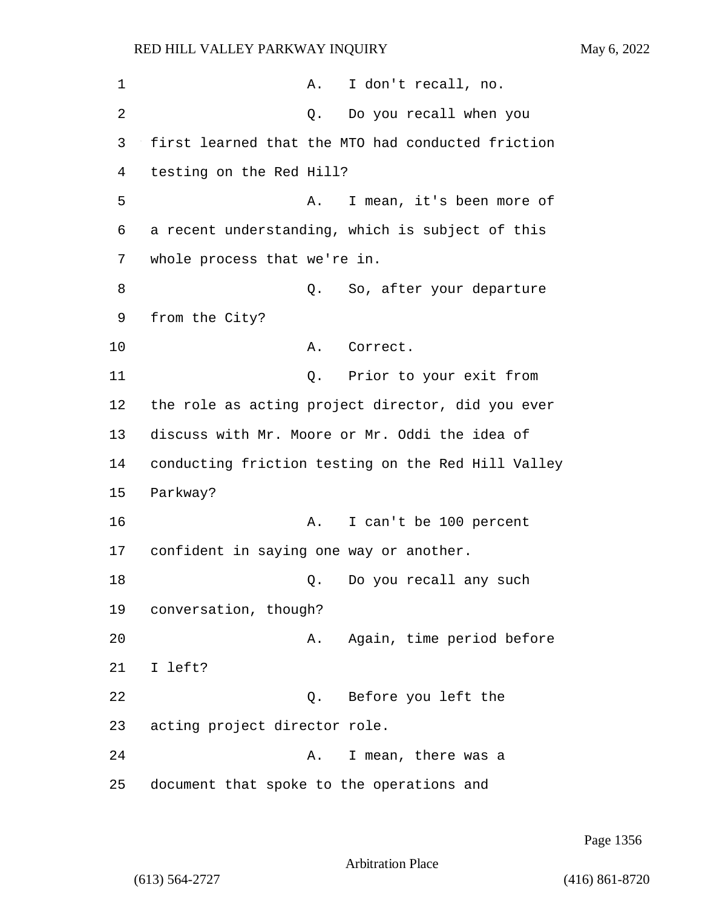| 1              |                                           | Α. | I don't recall, no.                                |
|----------------|-------------------------------------------|----|----------------------------------------------------|
| $\overline{2}$ |                                           | Q. | Do you recall when you                             |
| 3              |                                           |    | first learned that the MTO had conducted friction  |
| 4              | testing on the Red Hill?                  |    |                                                    |
| 5              |                                           | Α. | I mean, it's been more of                          |
| 6              |                                           |    | a recent understanding, which is subject of this   |
| 7              | whole process that we're in.              |    |                                                    |
| 8              |                                           | Q. | So, after your departure                           |
| 9              | from the City?                            |    |                                                    |
| 10             |                                           | Α. | Correct.                                           |
| 11             |                                           |    | Q. Prior to your exit from                         |
| 12             |                                           |    | the role as acting project director, did you ever  |
| 13             |                                           |    | discuss with Mr. Moore or Mr. Oddi the idea of     |
| 14             |                                           |    | conducting friction testing on the Red Hill Valley |
| 15             | Parkway?                                  |    |                                                    |
| 16             |                                           | Α. | I can't be 100 percent                             |
| 17             | confident in saying one way or another.   |    |                                                    |
| 18             |                                           | Q. | Do you recall any such                             |
| 19             | conversation, though?                     |    |                                                    |
| 20             |                                           | Α. | Again, time period before                          |
| 21             | I left?                                   |    |                                                    |
| 22             |                                           | Q. | Before you left the                                |
| 23             | acting project director role.             |    |                                                    |
| 24             |                                           | Α. | I mean, there was a                                |
| 25             | document that spoke to the operations and |    |                                                    |

Page 1356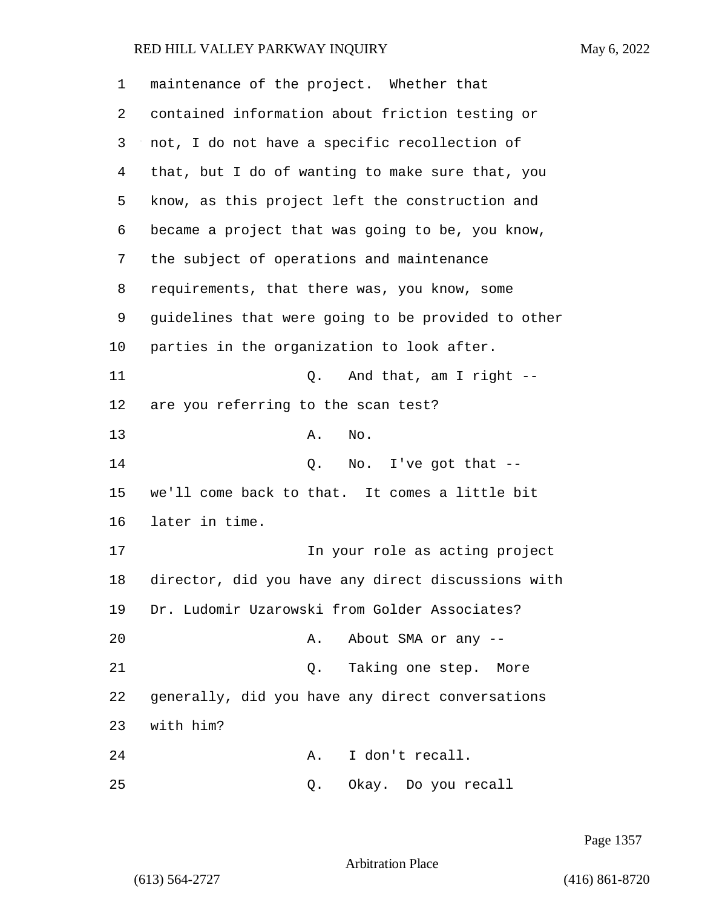maintenance of the project. Whether that contained information about friction testing or not, I do not have a specific recollection of that, but I do of wanting to make sure that, you know, as this project left the construction and became a project that was going to be, you know, the subject of operations and maintenance requirements, that there was, you know, some guidelines that were going to be provided to other parties in the organization to look after. 11 Q. And that, am I right -- are you referring to the scan test? 13 A. No. 14 O. No. I've got that -- we'll come back to that. It comes a little bit later in time. 17 In your role as acting project director, did you have any direct discussions with Dr. Ludomir Uzarowski from Golder Associates? 20 A. About SMA or any --21 Q. Taking one step. More generally, did you have any direct conversations with him? 24 A. I don't recall. 25 Q. Okay. Do you recall

Page 1357

Arbitration Place

(613) 564-2727 (416) 861-8720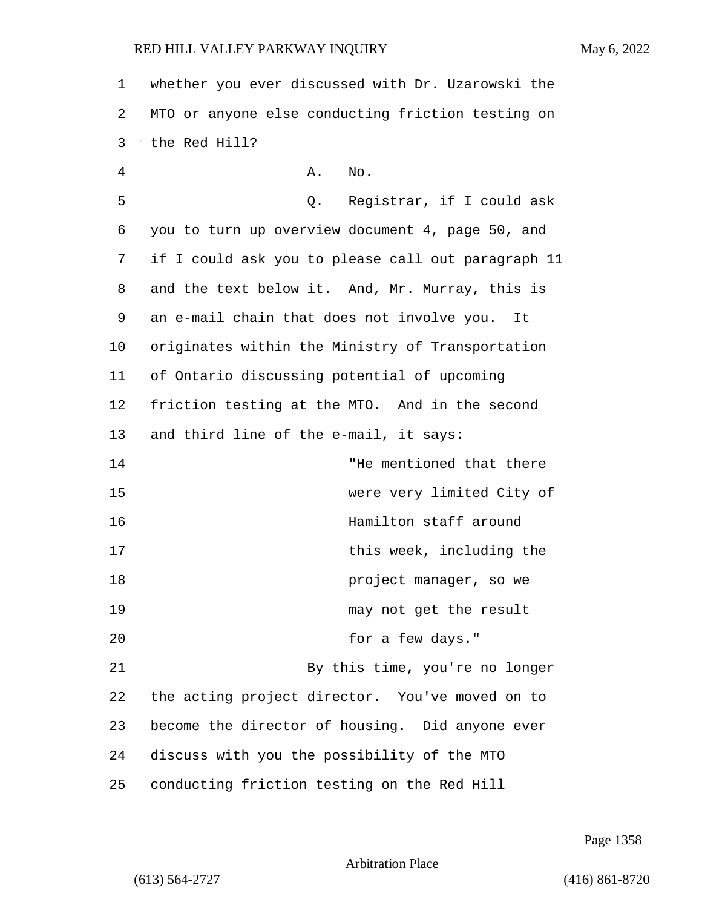1 whether you ever discussed with Dr. Uzarowski the 2 MTO or anyone else conducting friction testing on 3 the Red Hill?

4 A. No. 5 Q. Registrar, if I could ask 6 you to turn up overview document 4, page 50, and 7 if I could ask you to please call out paragraph 11 8 and the text below it. And, Mr. Murray, this is 9 an e-mail chain that does not involve you. It 10 originates within the Ministry of Transportation 11 of Ontario discussing potential of upcoming 12 friction testing at the MTO. And in the second 13 and third line of the e-mail, it says: 14 "He mentioned that there 15 were very limited City of 16 Hamilton staff around 17 this week, including the 18 **project manager, so we** 19 may not get the result 20 for a few days." 21 By this time, you're no longer 22 the acting project director. You've moved on to 23 become the director of housing. Did anyone ever 24 discuss with you the possibility of the MTO 25 conducting friction testing on the Red Hill

Page 1358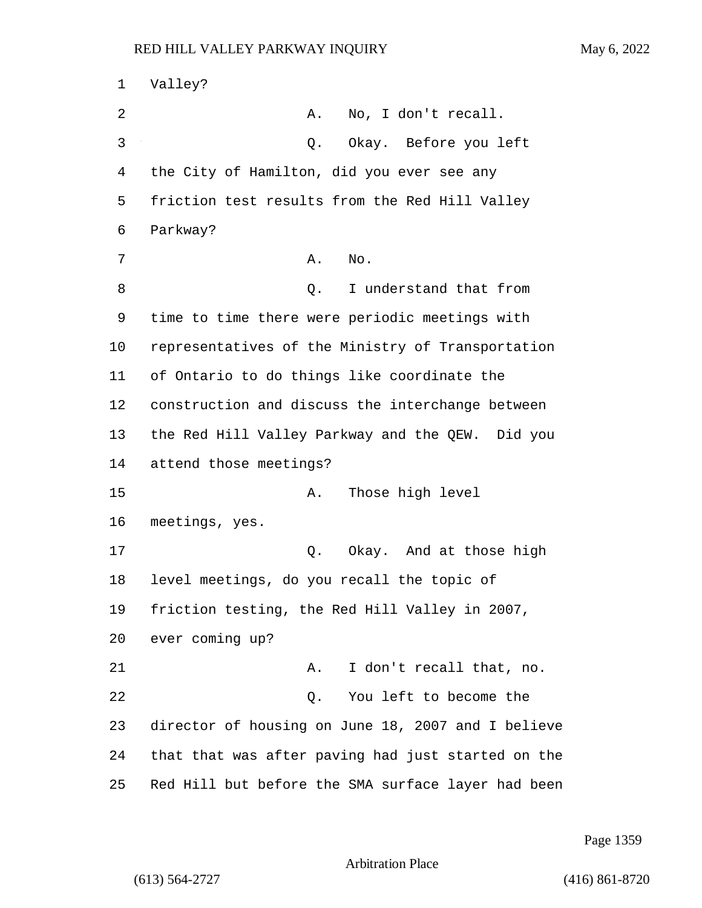1 Valley? 2 A. No, I don't recall. 3 Q. Okay. Before you left 4 the City of Hamilton, did you ever see any 5 friction test results from the Red Hill Valley 6 Parkway? 7 A. No. 8 and 0. I understand that from 9 time to time there were periodic meetings with 10 representatives of the Ministry of Transportation 11 of Ontario to do things like coordinate the 12 construction and discuss the interchange between 13 the Red Hill Valley Parkway and the QEW. Did you 14 attend those meetings? 15 A. Those high level 16 meetings, yes. 17 Q. Okay. And at those high 18 level meetings, do you recall the topic of 19 friction testing, the Red Hill Valley in 2007, 20 ever coming up? 21 A. I don't recall that, no. 22 Q. You left to become the 23 director of housing on June 18, 2007 and I believe 24 that that was after paving had just started on the 25 Red Hill but before the SMA surface layer had been

Page 1359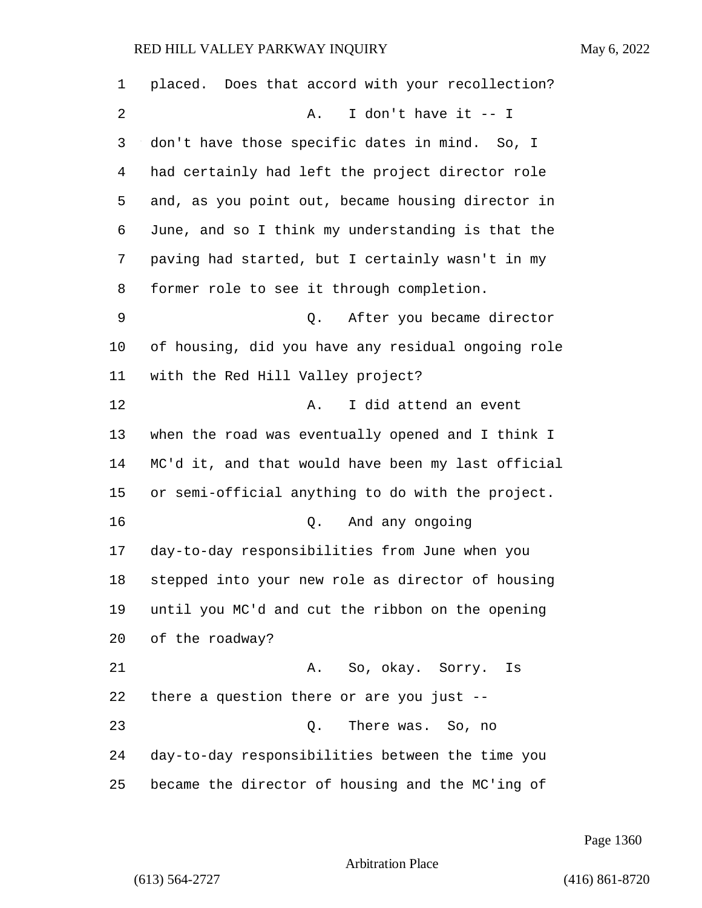| 1  | placed. Does that accord with your recollection?   |
|----|----------------------------------------------------|
| 2  | I don't have it -- I<br>Α.                         |
| 3  | don't have those specific dates in mind. So, I     |
| 4  | had certainly had left the project director role   |
| 5  | and, as you point out, became housing director in  |
| 6  | June, and so I think my understanding is that the  |
| 7  | paving had started, but I certainly wasn't in my   |
| 8  | former role to see it through completion.          |
| 9  | Q. After you became director                       |
| 10 | of housing, did you have any residual ongoing role |
| 11 | with the Red Hill Valley project?                  |
| 12 | I did attend an event<br>Α.                        |
| 13 | when the road was eventually opened and I think I  |
| 14 | MC'd it, and that would have been my last official |
| 15 | or semi-official anything to do with the project.  |
| 16 | And any ongoing<br>0.                              |
| 17 | day-to-day responsibilities from June when you     |
| 18 | stepped into your new role as director of housing  |
| 19 | until you MC'd and cut the ribbon on the opening   |
| 20 | of the roadway?                                    |
| 21 | A. So, okay. Sorry.<br>Is                          |
| 22 | there a question there or are you just --          |
| 23 | There was. So, no<br>Q.                            |
| 24 | day-to-day responsibilities between the time you   |
| 25 | became the director of housing and the MC'ing of   |

Page 1360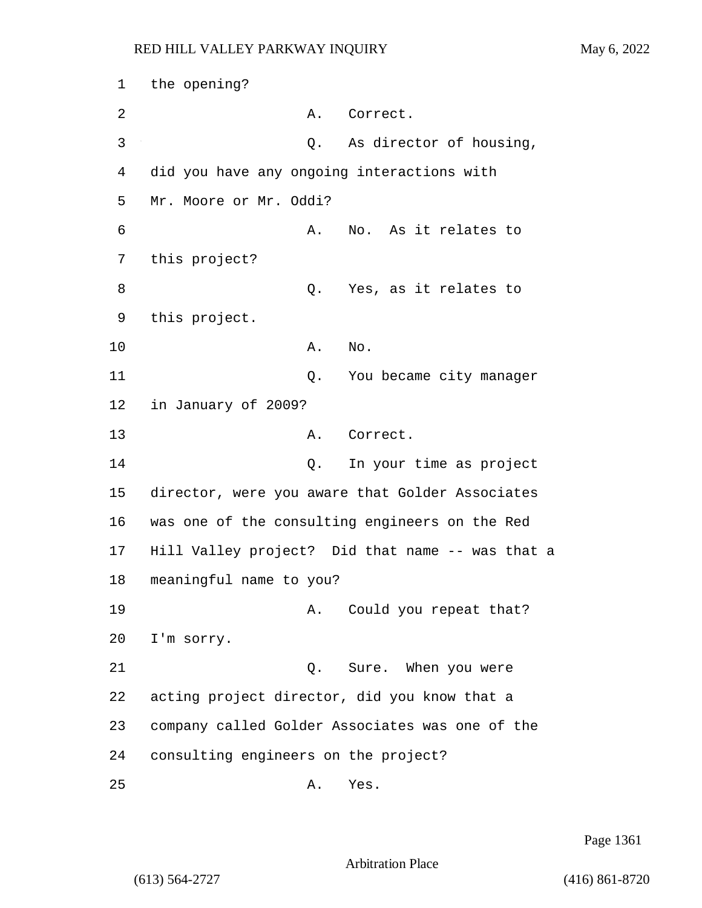1 the opening? 2 A. Correct. 3 Q. As director of housing, 4 did you have any ongoing interactions with 5 Mr. Moore or Mr. Oddi? 6 A. No. As it relates to 7 this project? 8 as it relates to the control of the Yes, as it relates to 9 this project. 10 A. No. 11 C. You became city manager 12 in January of 2009? 13 A. Correct. 14 Q. In your time as project 15 director, were you aware that Golder Associates 16 was one of the consulting engineers on the Red 17 Hill Valley project? Did that name -- was that a 18 meaningful name to you? 19 A. Could you repeat that? 20 I'm sorry. 21 Q. Sure. When you were 22 acting project director, did you know that a 23 company called Golder Associates was one of the 24 consulting engineers on the project? 25 A. Yes.

Page 1361

Arbitration Place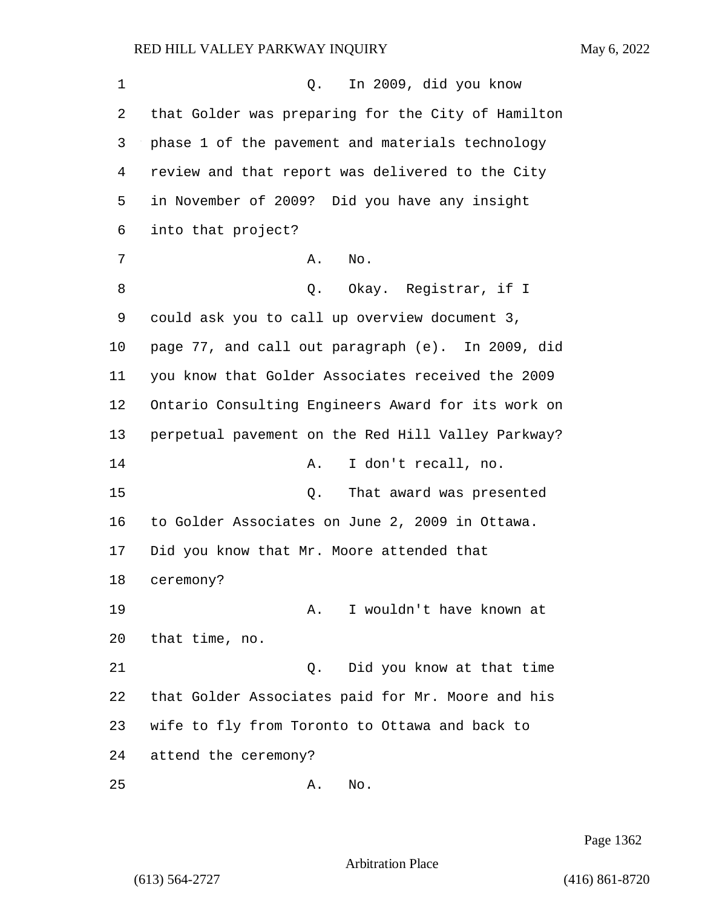1 Q. In 2009, did you know that Golder was preparing for the City of Hamilton phase 1 of the pavement and materials technology review and that report was delivered to the City in November of 2009? Did you have any insight into that project? 7 A. No. 8 Q. Okay. Registrar, if I could ask you to call up overview document 3, page 77, and call out paragraph (e). In 2009, did you know that Golder Associates received the 2009 Ontario Consulting Engineers Award for its work on perpetual pavement on the Red Hill Valley Parkway? 14 A. I don't recall, no. 15 Q. That award was presented to Golder Associates on June 2, 2009 in Ottawa. Did you know that Mr. Moore attended that ceremony? 19 A. I wouldn't have known at that time, no. 21 Q. Did you know at that time that Golder Associates paid for Mr. Moore and his wife to fly from Toronto to Ottawa and back to attend the ceremony? 25 A. No.

Page 1362

Arbitration Place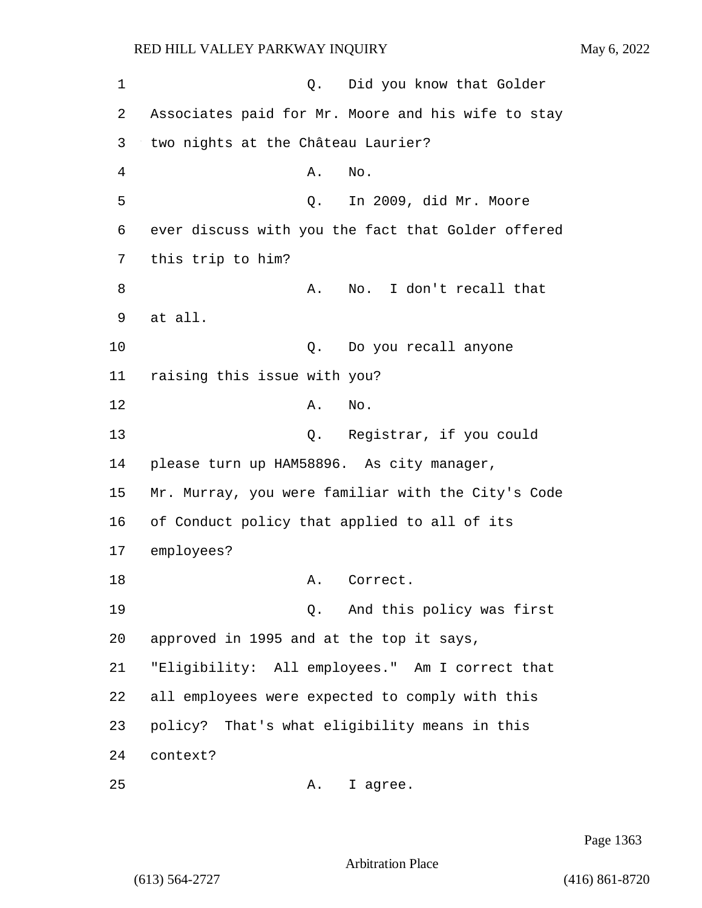1 C. Did you know that Golder 2 Associates paid for Mr. Moore and his wife to stay 3 two nights at the Château Laurier? 4 A. No. 5 Q. In 2009, did Mr. Moore 6 ever discuss with you the fact that Golder offered 7 this trip to him? 8 A. No. I don't recall that 9 at all. 10 Q. Do you recall anyone 11 raising this issue with you? 12 A. No. 13 Q. Registrar, if you could 14 please turn up HAM58896. As city manager, 15 Mr. Murray, you were familiar with the City's Code 16 of Conduct policy that applied to all of its 17 employees? 18 A. Correct. 19 Q. And this policy was first 20 approved in 1995 and at the top it says, 21 "Eligibility: All employees." Am I correct that 22 all employees were expected to comply with this 23 policy? That's what eligibility means in this 24 context? 25 A. I agree.

Page 1363

Arbitration Place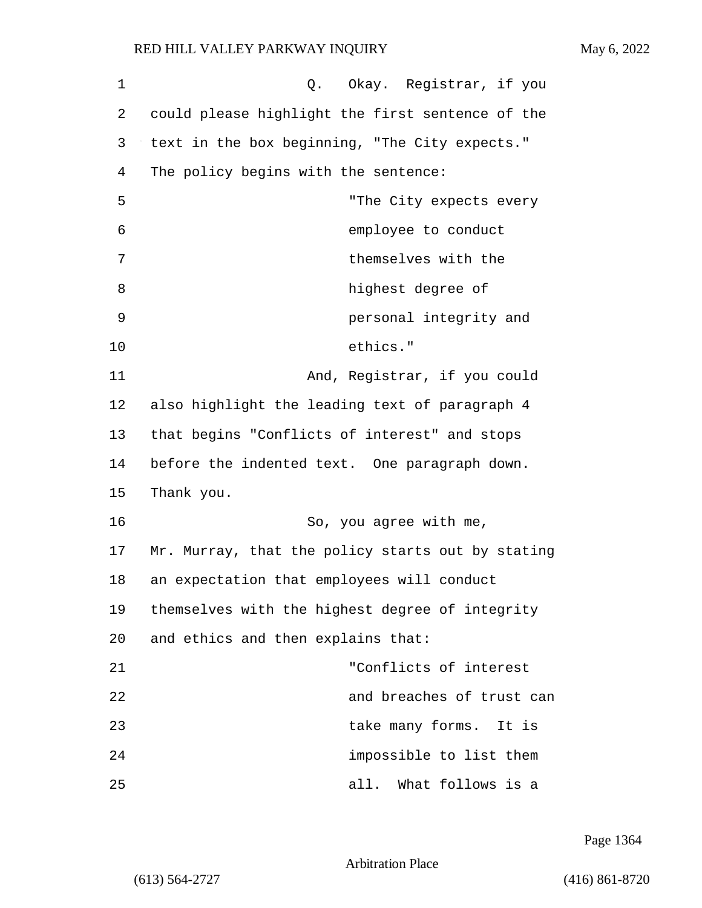| 1  | Q. Okay. Registrar, if you                        |
|----|---------------------------------------------------|
| 2  | could please highlight the first sentence of the  |
| 3  | text in the box beginning, "The City expects."    |
| 4  | The policy begins with the sentence:              |
| 5  | "The City expects every                           |
| 6  | employee to conduct                               |
| 7  | themselves with the                               |
| 8  | highest degree of                                 |
| 9  | personal integrity and                            |
| 10 | ethics."                                          |
| 11 | And, Registrar, if you could                      |
| 12 | also highlight the leading text of paragraph 4    |
| 13 | that begins "Conflicts of interest" and stops     |
| 14 | before the indented text. One paragraph down.     |
| 15 | Thank you.                                        |
| 16 | So, you agree with me,                            |
| 17 | Mr. Murray, that the policy starts out by stating |
| 18 | an expectation that employees will conduct        |
| 19 | themselves with the highest degree of integrity   |
| 20 | and ethics and then explains that:                |
| 21 | "Conflicts of interest                            |
| 22 | and breaches of trust can                         |
| 23 | take many forms. It is                            |
| 24 | impossible to list them                           |
| 25 | What follows is a<br>all.                         |

Page 1364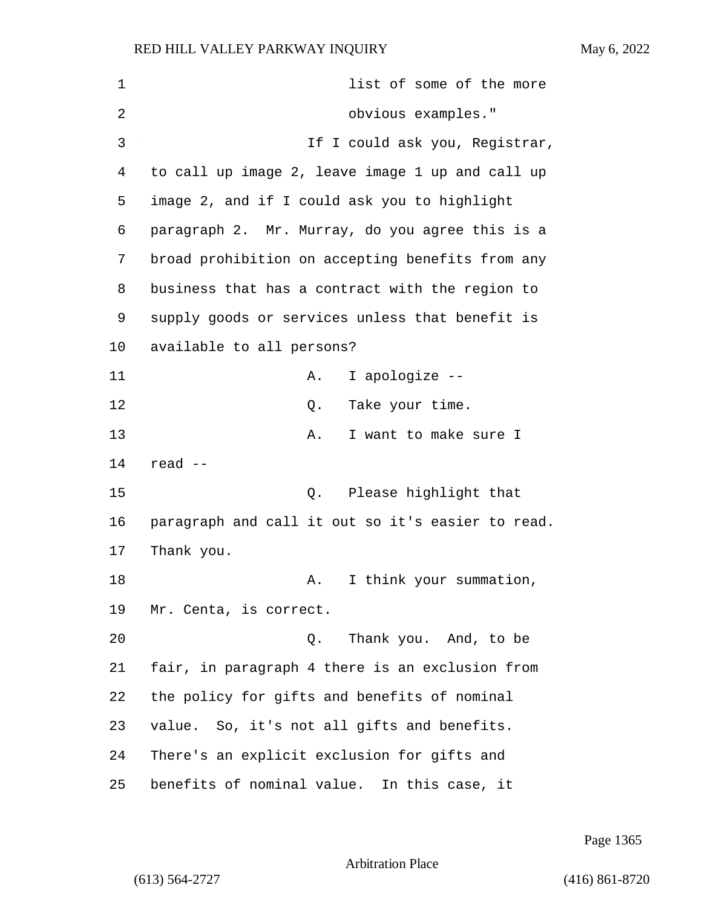| 1  | list of some of the more                          |
|----|---------------------------------------------------|
| 2  | obvious examples."                                |
| 3  | If I could ask you, Registrar,                    |
| 4  | to call up image 2, leave image 1 up and call up  |
| 5  | image 2, and if I could ask you to highlight      |
| 6  | paragraph 2. Mr. Murray, do you agree this is a   |
| 7  | broad prohibition on accepting benefits from any  |
| 8  | business that has a contract with the region to   |
| 9  | supply goods or services unless that benefit is   |
| 10 | available to all persons?                         |
| 11 | I apologize --<br>А.                              |
| 12 | Take your time.<br>Q.                             |
| 13 | I want to make sure I<br>Α.                       |
| 14 | read --                                           |
| 15 | Please highlight that<br>Q.                       |
| 16 | paragraph and call it out so it's easier to read. |
| 17 | Thank you.                                        |
| 18 | A. I think your summation,                        |
| 19 | Mr. Centa, is correct.                            |
| 20 | Thank you. And, to be<br>О.                       |
| 21 | fair, in paragraph 4 there is an exclusion from   |
| 22 | the policy for gifts and benefits of nominal      |
| 23 | value. So, it's not all gifts and benefits.       |
| 24 | There's an explicit exclusion for gifts and       |
| 25 | benefits of nominal value. In this case, it       |

Page 1365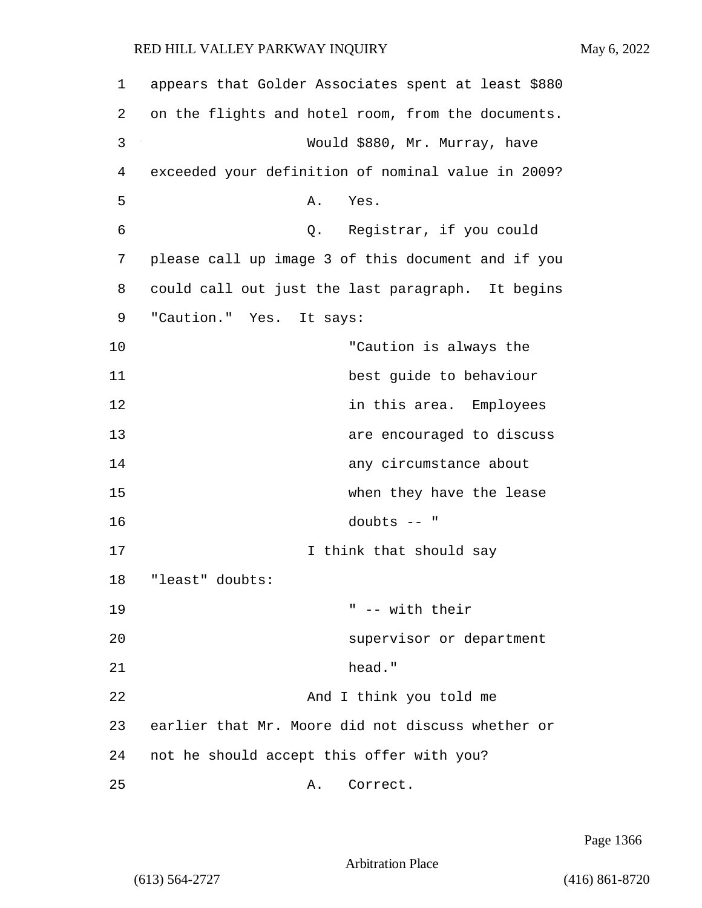| 1  | appears that Golder Associates spent at least \$880 |
|----|-----------------------------------------------------|
| 2  | on the flights and hotel room, from the documents.  |
| 3  | Would \$880, Mr. Murray, have                       |
| 4  | exceeded your definition of nominal value in 2009?  |
| 5  | Yes.<br>Α.                                          |
| 6  | Q. Registrar, if you could                          |
| 7  | please call up image 3 of this document and if you  |
| 8  | could call out just the last paragraph. It begins   |
| 9  | "Caution." Yes. It says:                            |
| 10 | "Caution is always the                              |
| 11 | best guide to behaviour                             |
| 12 | in this area. Employees                             |
| 13 | are encouraged to discuss                           |
| 14 | any circumstance about                              |
| 15 | when they have the lease                            |
| 16 | doubts $--$ "                                       |
| 17 | I think that should say                             |
| 18 | "least" doubts:                                     |
| 19 | " -- with their                                     |
| 20 | supervisor or department                            |
| 21 | head."                                              |
| 22 | And I think you told me                             |
| 23 | earlier that Mr. Moore did not discuss whether or   |
| 24 | not he should accept this offer with you?           |
| 25 | Correct.<br>Α.                                      |

Page 1366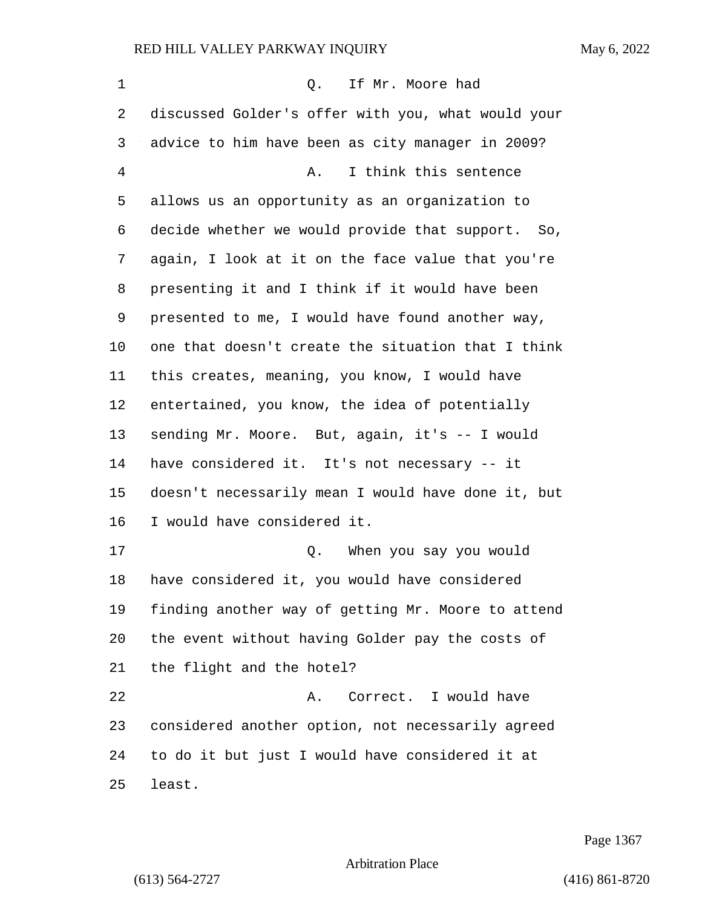1 and 1 Q. If Mr. Moore had discussed Golder's offer with you, what would your advice to him have been as city manager in 2009? 4 A. I think this sentence allows us an opportunity as an organization to decide whether we would provide that support. So, again, I look at it on the face value that you're presenting it and I think if it would have been presented to me, I would have found another way, one that doesn't create the situation that I think this creates, meaning, you know, I would have entertained, you know, the idea of potentially sending Mr. Moore. But, again, it's -- I would have considered it. It's not necessary -- it doesn't necessarily mean I would have done it, but I would have considered it. 17 Q. When you say you would have considered it, you would have considered finding another way of getting Mr. Moore to attend the event without having Golder pay the costs of the flight and the hotel? 22 A. Correct. I would have considered another option, not necessarily agreed to do it but just I would have considered it at least.

Page 1367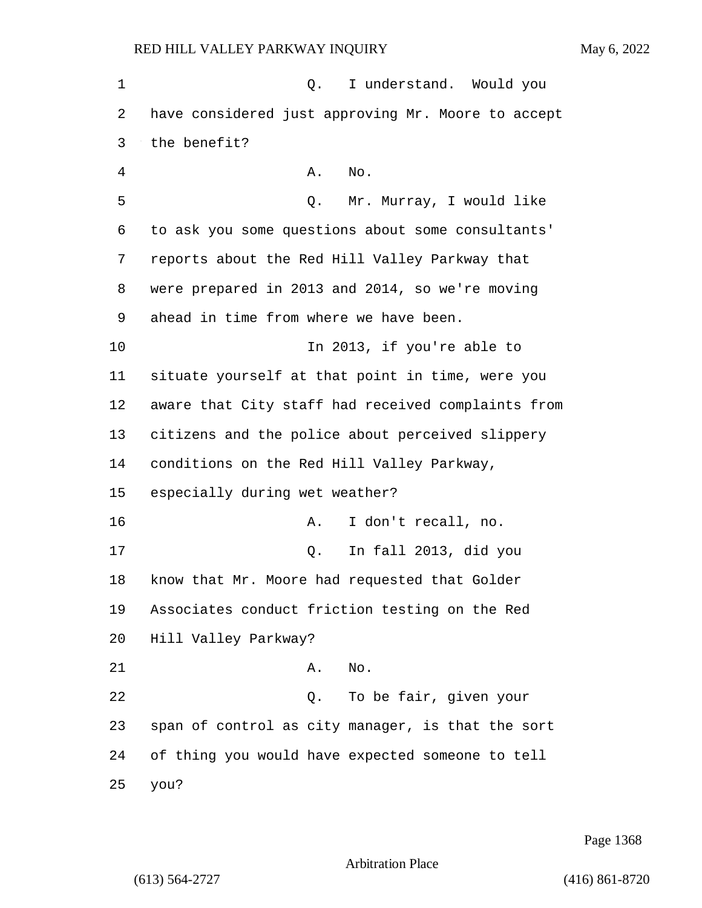1 and of the policies of the understand. Would you have considered just approving Mr. Moore to accept the benefit? 4 A. No. 5 Q. Mr. Murray, I would like to ask you some questions about some consultants' reports about the Red Hill Valley Parkway that were prepared in 2013 and 2014, so we're moving ahead in time from where we have been. 10 In 2013, if you're able to situate yourself at that point in time, were you aware that City staff had received complaints from citizens and the police about perceived slippery conditions on the Red Hill Valley Parkway, especially during wet weather? 16 A. I don't recall, no. 17 Q. In fall 2013, did you know that Mr. Moore had requested that Golder Associates conduct friction testing on the Red Hill Valley Parkway? 21 A. No. 22 Q. To be fair, given your span of control as city manager, is that the sort of thing you would have expected someone to tell 25 you?

Page 1368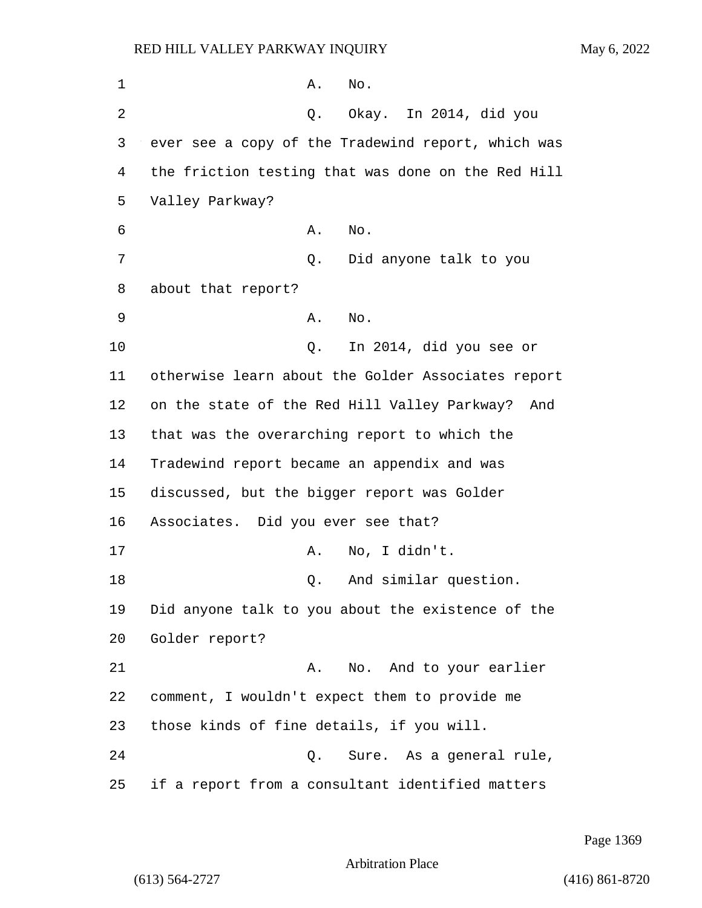| 1  | No.<br>Α.                                           |
|----|-----------------------------------------------------|
| 2  | Okay. In 2014, did you<br>Q.                        |
| 3  | ever see a copy of the Tradewind report, which was  |
| 4  | the friction testing that was done on the Red Hill  |
| 5  | Valley Parkway?                                     |
| 6  | No.<br>Α.                                           |
| 7  | Did anyone talk to you<br>Q.                        |
| 8  | about that report?                                  |
| 9  | Α.<br>No.                                           |
| 10 | In 2014, did you see or<br>Q.                       |
| 11 | otherwise learn about the Golder Associates report  |
| 12 | on the state of the Red Hill Valley Parkway?<br>And |
| 13 | that was the overarching report to which the        |
| 14 | Tradewind report became an appendix and was         |
| 15 | discussed, but the bigger report was Golder         |
| 16 | Associates. Did you ever see that?                  |
| 17 | No, I didn't.<br>Α.                                 |
| 18 | And similar question.<br>Q.                         |
| 19 | Did anyone talk to you about the existence of the   |
| 20 | Golder report?                                      |
| 21 | No. And to your earlier<br>Α.                       |
| 22 | comment, I wouldn't expect them to provide me       |
| 23 | those kinds of fine details, if you will.           |
| 24 | Sure. As a general rule,<br>Q.                      |
| 25 | if a report from a consultant identified matters    |

Page 1369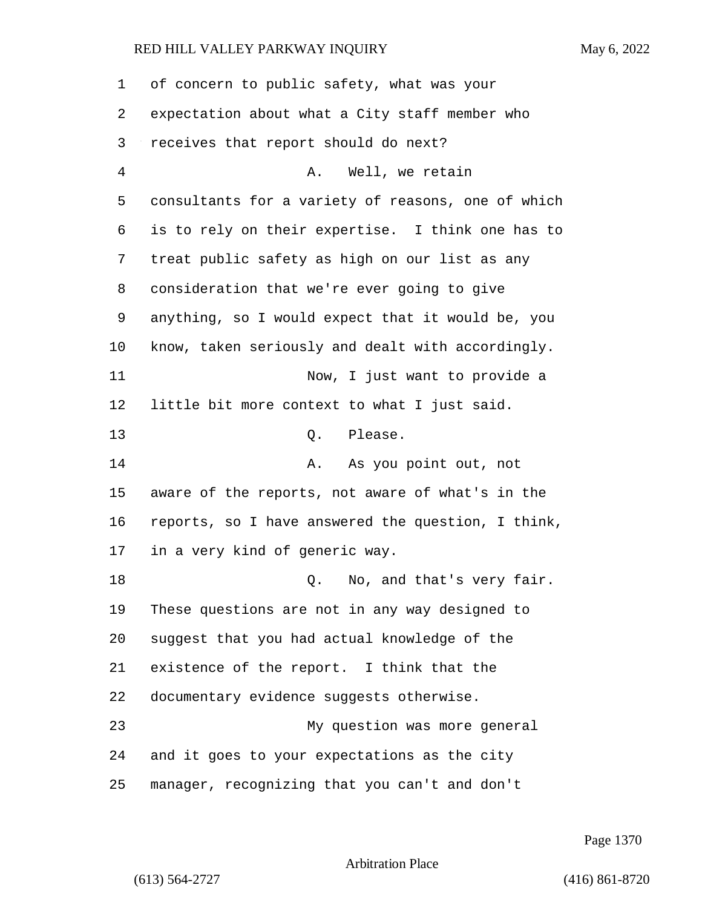| 1  | of concern to public safety, what was your         |
|----|----------------------------------------------------|
| 2  | expectation about what a City staff member who     |
| 3  | receives that report should do next?               |
| 4  | Well, we retain<br>Α.                              |
| 5  | consultants for a variety of reasons, one of which |
| 6  | is to rely on their expertise. I think one has to  |
| 7  | treat public safety as high on our list as any     |
| 8  | consideration that we're ever going to give        |
| 9  | anything, so I would expect that it would be, you  |
| 10 | know, taken seriously and dealt with accordingly.  |
| 11 | Now, I just want to provide a                      |
| 12 | little bit more context to what I just said.       |
| 13 | Q. Please.                                         |
| 14 | As you point out, not<br>Α.                        |
| 15 | aware of the reports, not aware of what's in the   |
| 16 | reports, so I have answered the question, I think, |
| 17 | in a very kind of generic way.                     |
| 18 | No, and that's very fair.<br>Q.                    |
| 19 | These questions are not in any way designed to     |
| 20 | suggest that you had actual knowledge of the       |
| 21 | existence of the report. I think that the          |
| 22 | documentary evidence suggests otherwise.           |
| 23 | My question was more general                       |
| 24 | and it goes to your expectations as the city       |
| 25 | manager, recognizing that you can't and don't      |

Page 1370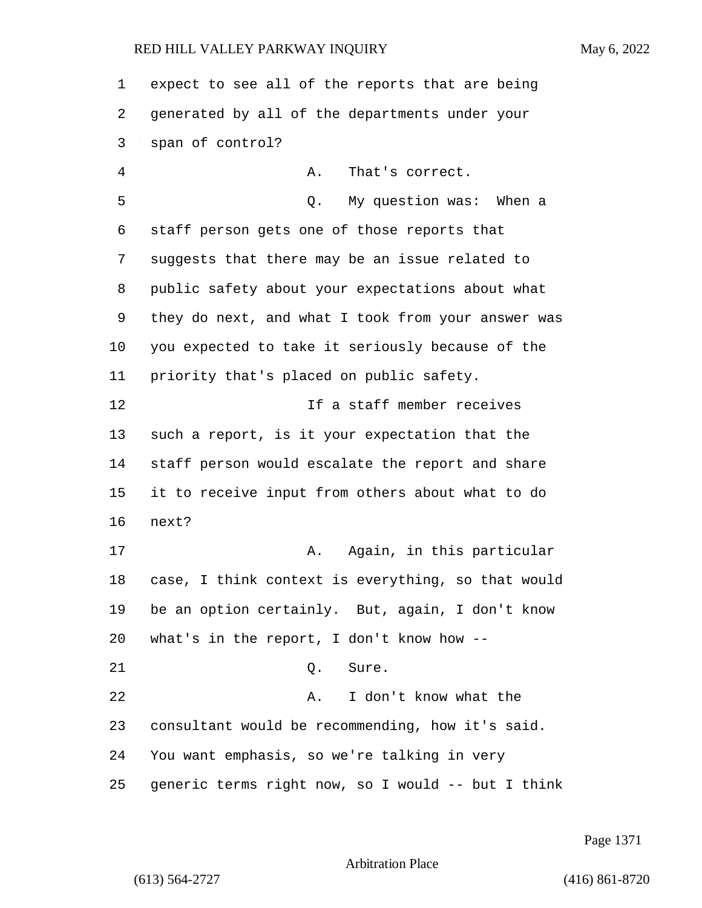expect to see all of the reports that are being generated by all of the departments under your span of control? 4 A. That's correct. 5 Q. My question was: When a staff person gets one of those reports that suggests that there may be an issue related to public safety about your expectations about what they do next, and what I took from your answer was you expected to take it seriously because of the priority that's placed on public safety. 12 If a staff member receives such a report, is it your expectation that the staff person would escalate the report and share it to receive input from others about what to do next? 17 A. Again, in this particular case, I think context is everything, so that would be an option certainly. But, again, I don't know what's in the report, I don't know how -- 21 0. Sure. 22 A. I don't know what the consultant would be recommending, how it's said. You want emphasis, so we're talking in very generic terms right now, so I would -- but I think

Page 1371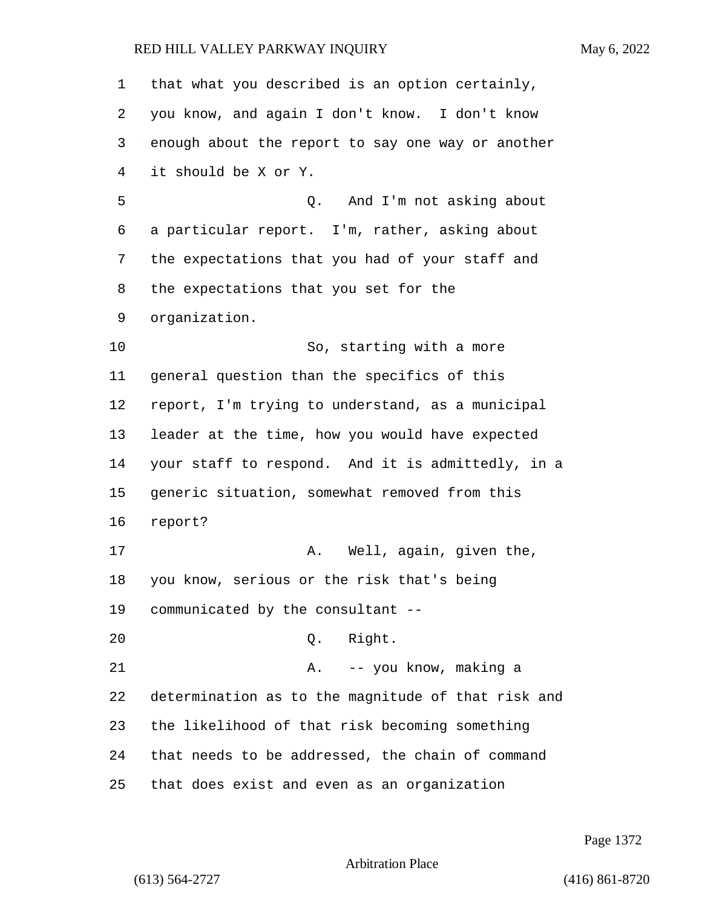| $\mathbf 1$ | that what you described is an option certainly,    |
|-------------|----------------------------------------------------|
| 2           | you know, and again I don't know. I don't know     |
| 3           | enough about the report to say one way or another  |
| 4           | it should be X or Y.                               |
| 5           | And I'm not asking about<br>Q.                     |
| 6           | a particular report. I'm, rather, asking about     |
| 7           | the expectations that you had of your staff and    |
| 8           | the expectations that you set for the              |
| 9           | organization.                                      |
| 10          | So, starting with a more                           |
| 11          | general question than the specifics of this        |
| 12          | report, I'm trying to understand, as a municipal   |
| 13          | leader at the time, how you would have expected    |
| 14          | your staff to respond. And it is admittedly, in a  |
| 15          | generic situation, somewhat removed from this      |
| 16          | report?                                            |
| 17          | Well, again, given the,<br>Α.                      |
| 18          | you know, serious or the risk that's being         |
| 19          | communicated by the consultant --                  |
| 20          | Right.<br>Q.                                       |
| 21          | A. -- you know, making a                           |
| 22          | determination as to the magnitude of that risk and |
| 23          | the likelihood of that risk becoming something     |
| 24          | that needs to be addressed, the chain of command   |
| 25          | that does exist and even as an organization        |

Page 1372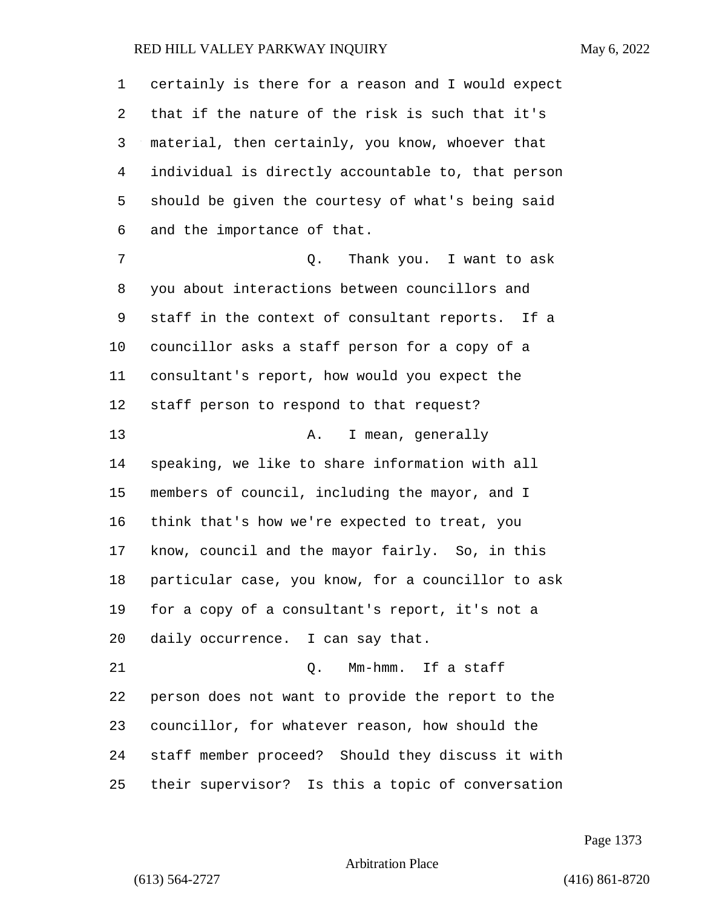| 1  | certainly is there for a reason and I would expect |
|----|----------------------------------------------------|
| 2  | that if the nature of the risk is such that it's   |
| 3  | material, then certainly, you know, whoever that   |
| 4  | individual is directly accountable to, that person |
| 5  | should be given the courtesy of what's being said  |
| 6  | and the importance of that.                        |
| 7  | Thank you. I want to ask<br>Q.                     |
| 8  | you about interactions between councillors and     |
| 9  | staff in the context of consultant reports. If a   |
| 10 | councillor asks a staff person for a copy of a     |
| 11 | consultant's report, how would you expect the      |
| 12 | staff person to respond to that request?           |
| 13 | I mean, generally<br>Α.                            |
| 14 | speaking, we like to share information with all    |
| 15 | members of council, including the mayor, and I     |
| 16 | think that's how we're expected to treat, you      |
| 17 | know, council and the mayor fairly. So, in this    |
| 18 | particular case, you know, for a councillor to ask |
| 19 | for a copy of a consultant's report, it's not a    |
| 20 | daily occurrence. I can say that.                  |
| 21 | 0. Mm-hmm. If a staff                              |
| 22 | person does not want to provide the report to the  |
| 23 | councillor, for whatever reason, how should the    |
| 24 | staff member proceed? Should they discuss it with  |
| 25 | their supervisor? Is this a topic of conversation  |

Page 1373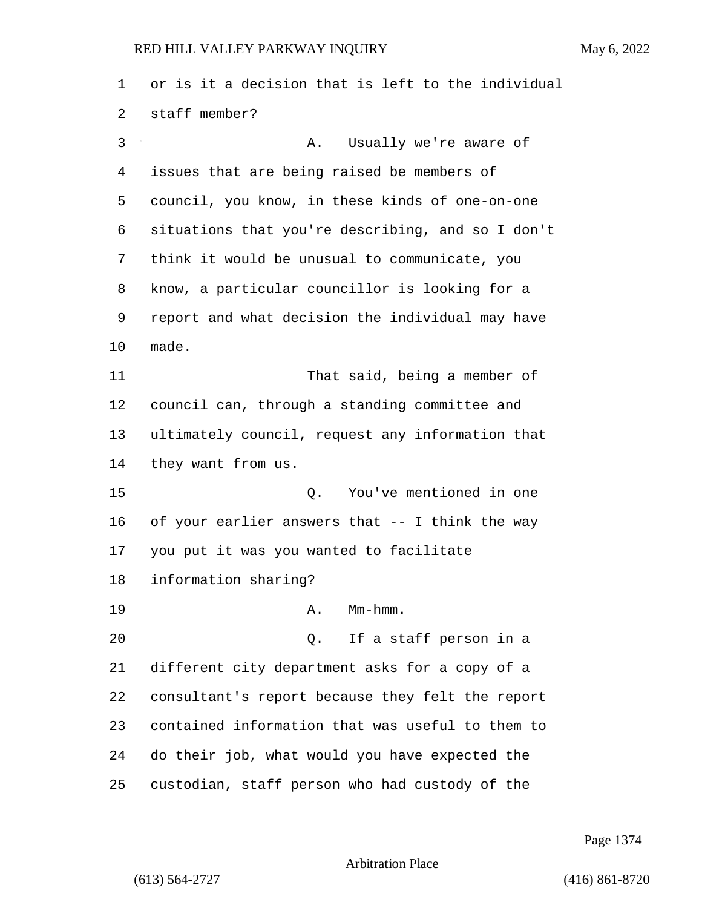or is it a decision that is left to the individual staff member? 3 A. Usually we're aware of issues that are being raised be members of council, you know, in these kinds of one-on-one situations that you're describing, and so I don't think it would be unusual to communicate, you know, a particular councillor is looking for a report and what decision the individual may have made. 11 That said, being a member of council can, through a standing committee and ultimately council, request any information that they want from us. 15 Q. You've mentioned in one of your earlier answers that -- I think the way you put it was you wanted to facilitate information sharing? 19 A. Mm-hmm. 20 Q. If a staff person in a different city department asks for a copy of a consultant's report because they felt the report contained information that was useful to them to do their job, what would you have expected the custodian, staff person who had custody of the

Page 1374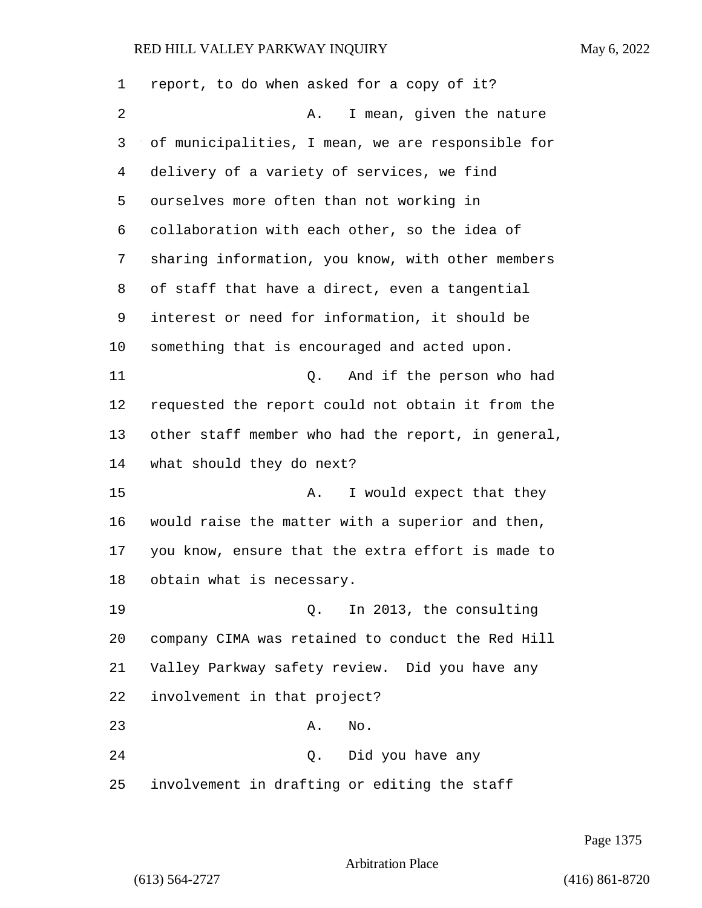report, to do when asked for a copy of it? 2 A. I mean, given the nature of municipalities, I mean, we are responsible for delivery of a variety of services, we find ourselves more often than not working in collaboration with each other, so the idea of sharing information, you know, with other members of staff that have a direct, even a tangential interest or need for information, it should be something that is encouraged and acted upon. 11 Q. And if the person who had requested the report could not obtain it from the other staff member who had the report, in general, what should they do next? 15 A. I would expect that they would raise the matter with a superior and then, you know, ensure that the extra effort is made to obtain what is necessary. 19 Q. In 2013, the consulting company CIMA was retained to conduct the Red Hill Valley Parkway safety review. Did you have any involvement in that project? 23 A. No. 24 Q. Did you have any involvement in drafting or editing the staff

Page 1375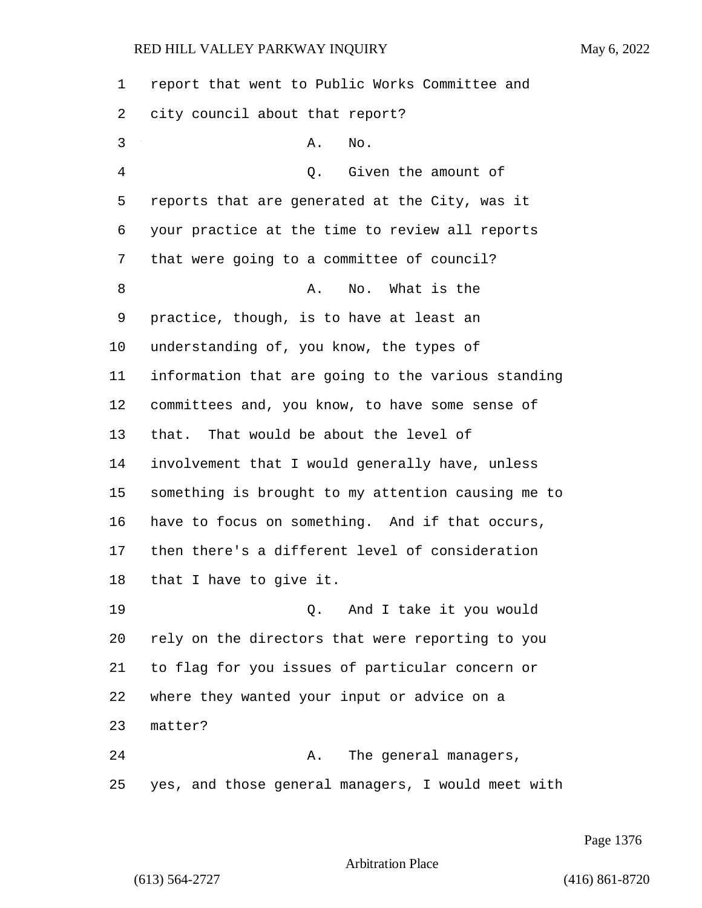report that went to Public Works Committee and city council about that report? 3 A. No. 4 Q. Given the amount of reports that are generated at the City, was it your practice at the time to review all reports that were going to a committee of council? 8 A. No. What is the practice, though, is to have at least an understanding of, you know, the types of information that are going to the various standing committees and, you know, to have some sense of that. That would be about the level of involvement that I would generally have, unless something is brought to my attention causing me to have to focus on something. And if that occurs, then there's a different level of consideration that I have to give it. 19 Q. And I take it you would rely on the directors that were reporting to you to flag for you issues of particular concern or where they wanted your input or advice on a matter? 24 A. The general managers, yes, and those general managers, I would meet with

Page 1376

Arbitration Place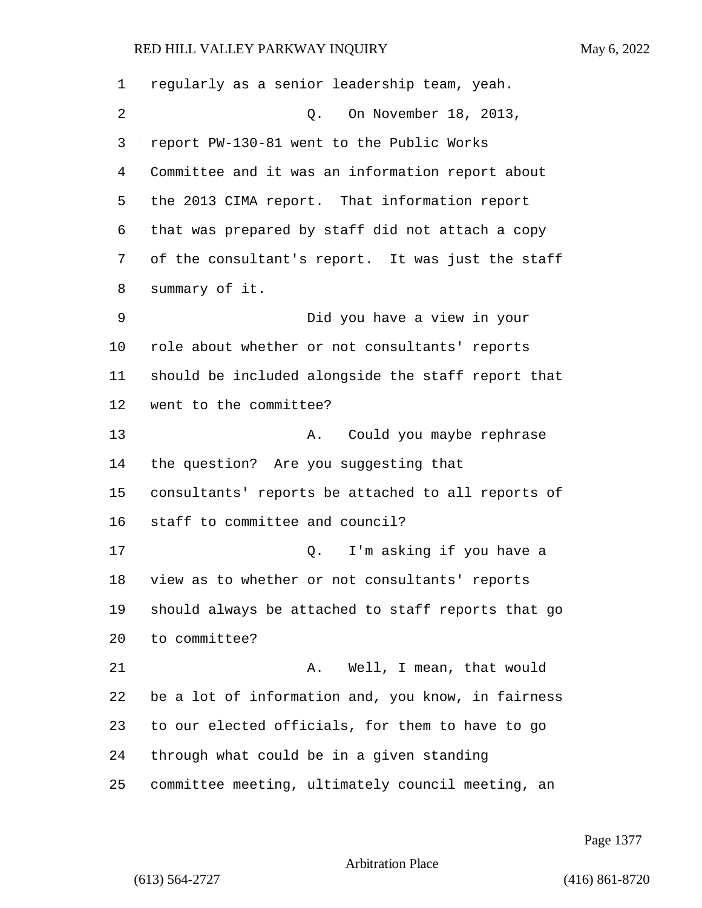| 1  | regularly as a senior leadership team, yeah.       |
|----|----------------------------------------------------|
| 2  | On November 18, 2013,<br>Q.                        |
| 3  | report PW-130-81 went to the Public Works          |
| 4  | Committee and it was an information report about   |
| 5  | the 2013 CIMA report. That information report      |
| 6  | that was prepared by staff did not attach a copy   |
| 7  | of the consultant's report. It was just the staff  |
| 8  | summary of it.                                     |
| 9  | Did you have a view in your                        |
| 10 | role about whether or not consultants' reports     |
| 11 | should be included alongside the staff report that |
| 12 | went to the committee?                             |
| 13 | Could you maybe rephrase<br>Α.                     |
| 14 | the question? Are you suggesting that              |
| 15 | consultants' reports be attached to all reports of |
| 16 | staff to committee and council?                    |
| 17 | I'm asking if you have a<br>Q.                     |
| 18 | view as to whether or not consultants' reports     |
| 19 | should always be attached to staff reports that go |
| 20 | to committee?                                      |
| 21 | Well, I mean, that would<br>Α.                     |
| 22 | be a lot of information and, you know, in fairness |
| 23 | to our elected officials, for them to have to go   |
| 24 | through what could be in a given standing          |
| 25 | committee meeting, ultimately council meeting, an  |

Page 1377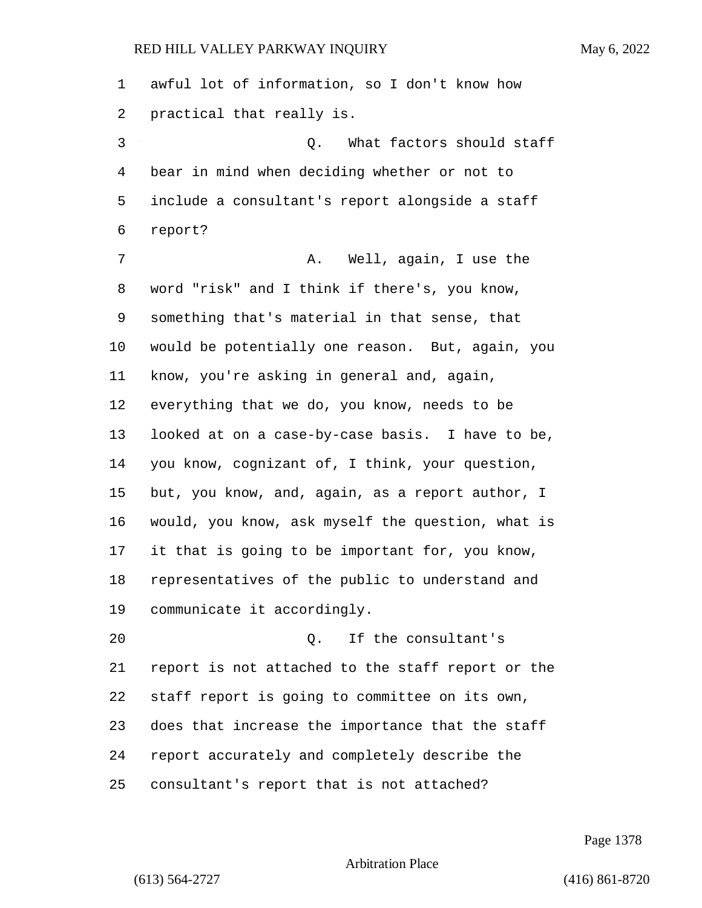awful lot of information, so I don't know how practical that really is. 3 Q. What factors should staff bear in mind when deciding whether or not to include a consultant's report alongside a staff report? 7 A. Well, again, I use the word "risk" and I think if there's, you know, something that's material in that sense, that would be potentially one reason. But, again, you know, you're asking in general and, again, everything that we do, you know, needs to be looked at on a case-by-case basis. I have to be, you know, cognizant of, I think, your question, but, you know, and, again, as a report author, I would, you know, ask myself the question, what is it that is going to be important for, you know, representatives of the public to understand and communicate it accordingly. 20 Q. If the consultant's report is not attached to the staff report or the staff report is going to committee on its own, does that increase the importance that the staff report accurately and completely describe the consultant's report that is not attached?

Page 1378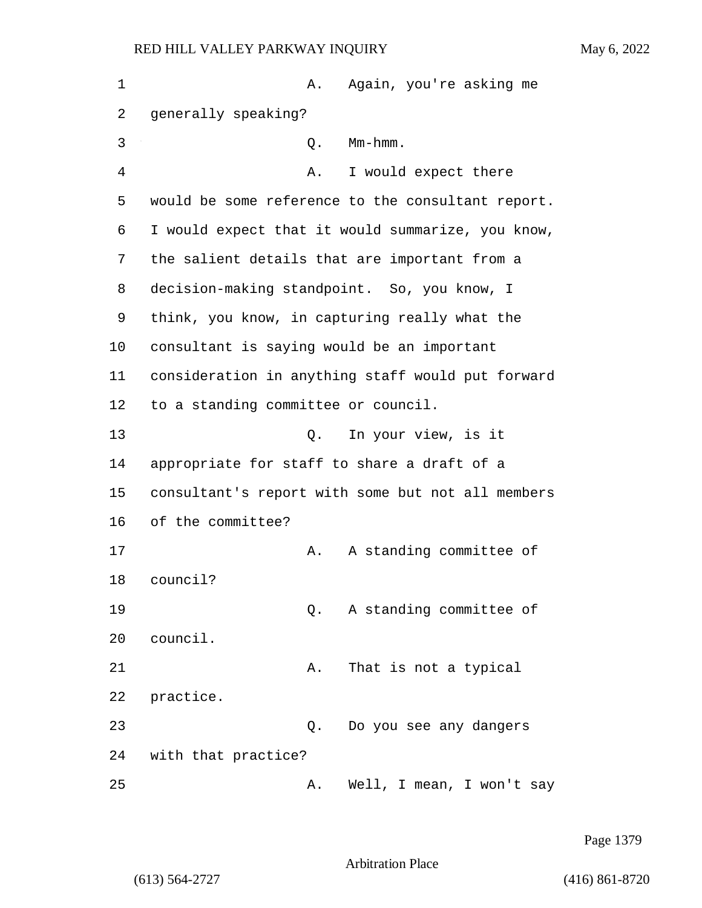| $\mathbf 1$ | Again, you're asking me<br>Α.                     |
|-------------|---------------------------------------------------|
| 2           | generally speaking?                               |
| 3           | $Mm-hmm$ .<br>Q.                                  |
| 4           | I would expect there<br>Α.                        |
| 5           | would be some reference to the consultant report. |
| 6           | I would expect that it would summarize, you know, |
| 7           | the salient details that are important from a     |
| 8           | decision-making standpoint. So, you know, I       |
| 9           | think, you know, in capturing really what the     |
| 10          | consultant is saying would be an important        |
| 11          | consideration in anything staff would put forward |
| 12          | to a standing committee or council.               |
| 13          | In your view, is it<br>О.                         |
| 14          | appropriate for staff to share a draft of a       |
| 15          | consultant's report with some but not all members |
| 16          | of the committee?                                 |
| 17          | A standing committee of<br>Α.                     |
| 18          | council?                                          |
| 19          | A standing committee of<br>Q.                     |
| 20          | council.                                          |
| 21          | That is not a typical<br>Α.                       |
| 22          | practice.                                         |
| 23          | Do you see any dangers<br>Q.                      |
| 24          | with that practice?                               |
| 25          | Well, I mean, I won't say<br>Α.                   |

Page 1379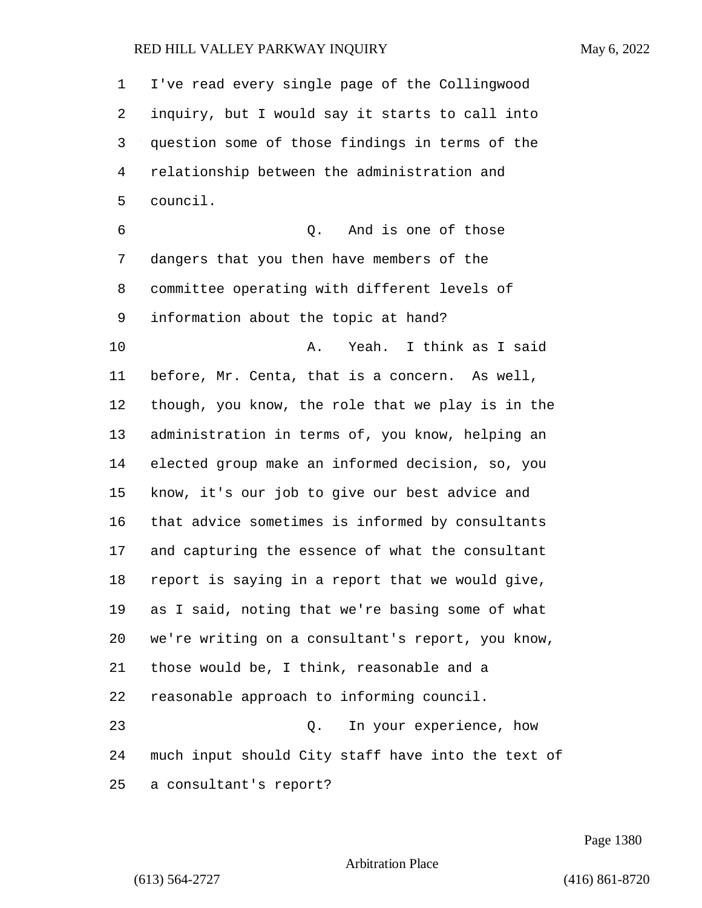I've read every single page of the Collingwood inquiry, but I would say it starts to call into question some of those findings in terms of the relationship between the administration and council. 6 Q. And is one of those dangers that you then have members of the committee operating with different levels of information about the topic at hand? 10 A. Yeah. I think as I said before, Mr. Centa, that is a concern. As well, though, you know, the role that we play is in the administration in terms of, you know, helping an elected group make an informed decision, so, you know, it's our job to give our best advice and that advice sometimes is informed by consultants and capturing the essence of what the consultant report is saying in a report that we would give, as I said, noting that we're basing some of what we're writing on a consultant's report, you know, those would be, I think, reasonable and a reasonable approach to informing council. 23 Q. In your experience, how much input should City staff have into the text of a consultant's report?

Page 1380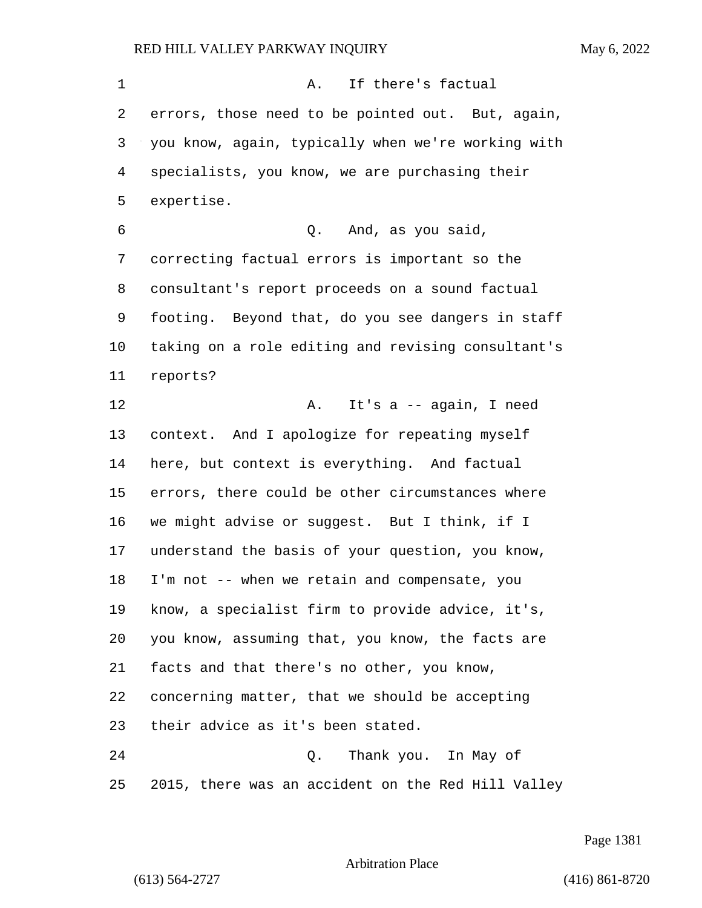1 A. If there's factual errors, those need to be pointed out. But, again, you know, again, typically when we're working with specialists, you know, we are purchasing their expertise. 6 Q. And, as you said, correcting factual errors is important so the consultant's report proceeds on a sound factual footing. Beyond that, do you see dangers in staff taking on a role editing and revising consultant's reports? 12 A. It's a -- again, I need context. And I apologize for repeating myself here, but context is everything. And factual errors, there could be other circumstances where we might advise or suggest. But I think, if I understand the basis of your question, you know, I'm not -- when we retain and compensate, you know, a specialist firm to provide advice, it's, you know, assuming that, you know, the facts are facts and that there's no other, you know, concerning matter, that we should be accepting their advice as it's been stated. 24 Q. Thank you. In May of 2015, there was an accident on the Red Hill Valley

Page 1381

Arbitration Place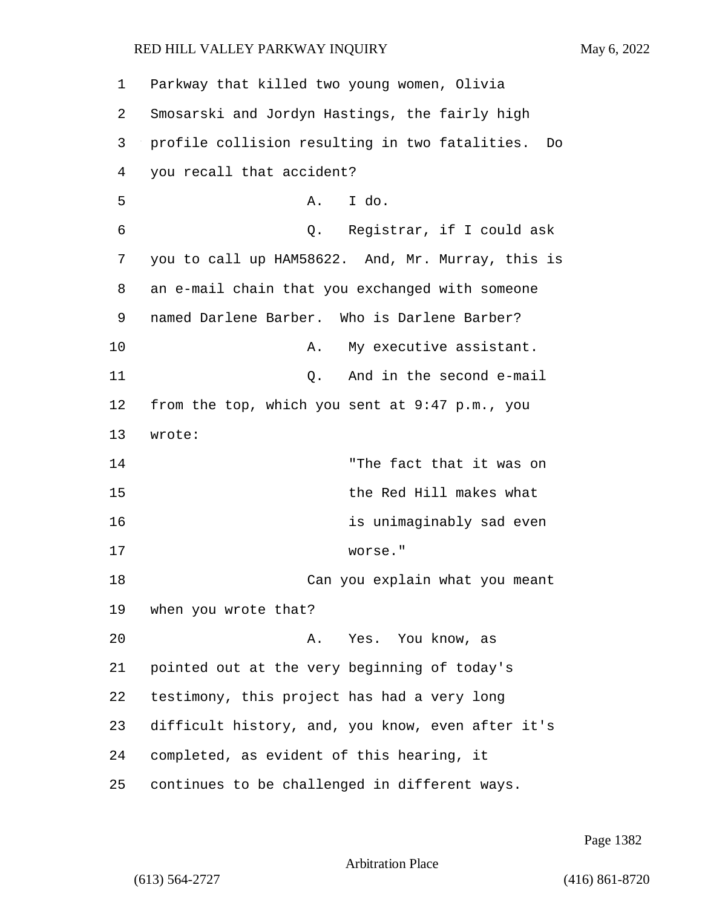| 1  | Parkway that killed two young women, Olivia          |
|----|------------------------------------------------------|
| 2  | Smosarski and Jordyn Hastings, the fairly high       |
| 3  | profile collision resulting in two fatalities.<br>Do |
| 4  | you recall that accident?                            |
| 5  | I do.<br>Α.                                          |
| 6  | Q. Registrar, if I could ask                         |
| 7  | you to call up HAM58622. And, Mr. Murray, this is    |
| 8  | an e-mail chain that you exchanged with someone      |
| 9  | named Darlene Barber. Who is Darlene Barber?         |
| 10 | My executive assistant.<br>Α.                        |
| 11 | And in the second e-mail<br>Q.                       |
| 12 | from the top, which you sent at 9:47 p.m., you       |
| 13 | wrote:                                               |
| 14 | "The fact that it was on                             |
| 15 | the Red Hill makes what                              |
| 16 | is unimaginably sad even                             |
| 17 | worse."                                              |
| 18 | Can you explain what you meant                       |
| 19 | when you wrote that?                                 |
| 20 | Yes. You know, as<br>Α.                              |
| 21 | pointed out at the very beginning of today's         |
| 22 | testimony, this project has had a very long          |
| 23 | difficult history, and, you know, even after it's    |
| 24 | completed, as evident of this hearing, it            |
| 25 | continues to be challenged in different ways.        |

Page 1382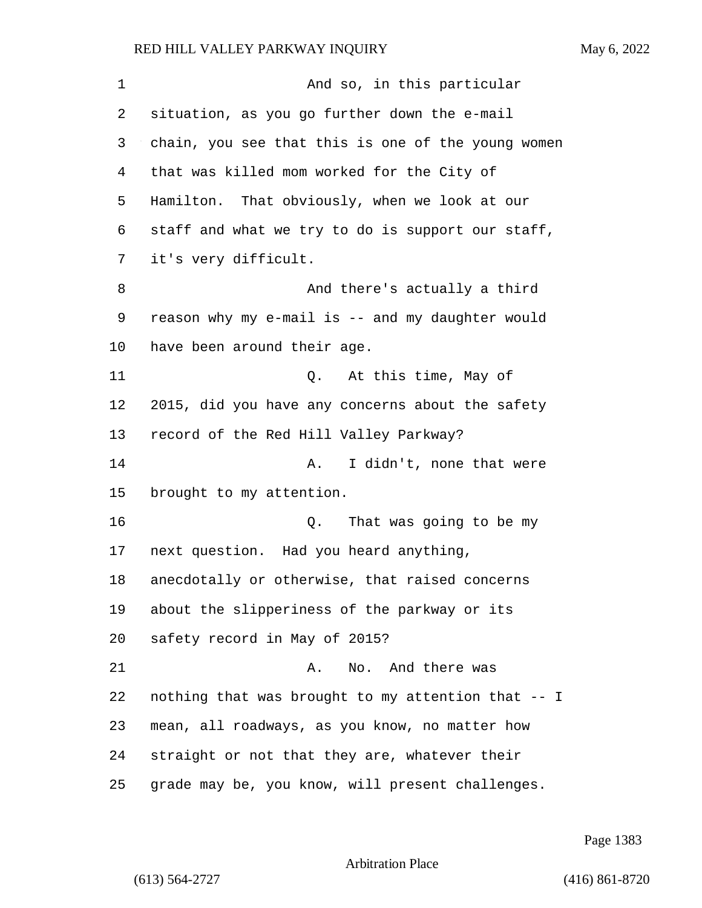1 And so, in this particular situation, as you go further down the e-mail chain, you see that this is one of the young women that was killed mom worked for the City of Hamilton. That obviously, when we look at our staff and what we try to do is support our staff, it's very difficult. 8 And there's actually a third reason why my e-mail is -- and my daughter would have been around their age. 11 Q. At this time, May of 2015, did you have any concerns about the safety record of the Red Hill Valley Parkway? 14 A. I didn't, none that were brought to my attention. 16 Q. That was going to be my next question. Had you heard anything, anecdotally or otherwise, that raised concerns about the slipperiness of the parkway or its safety record in May of 2015? 21 A. No. And there was nothing that was brought to my attention that -- I mean, all roadways, as you know, no matter how straight or not that they are, whatever their grade may be, you know, will present challenges.

Page 1383

Arbitration Place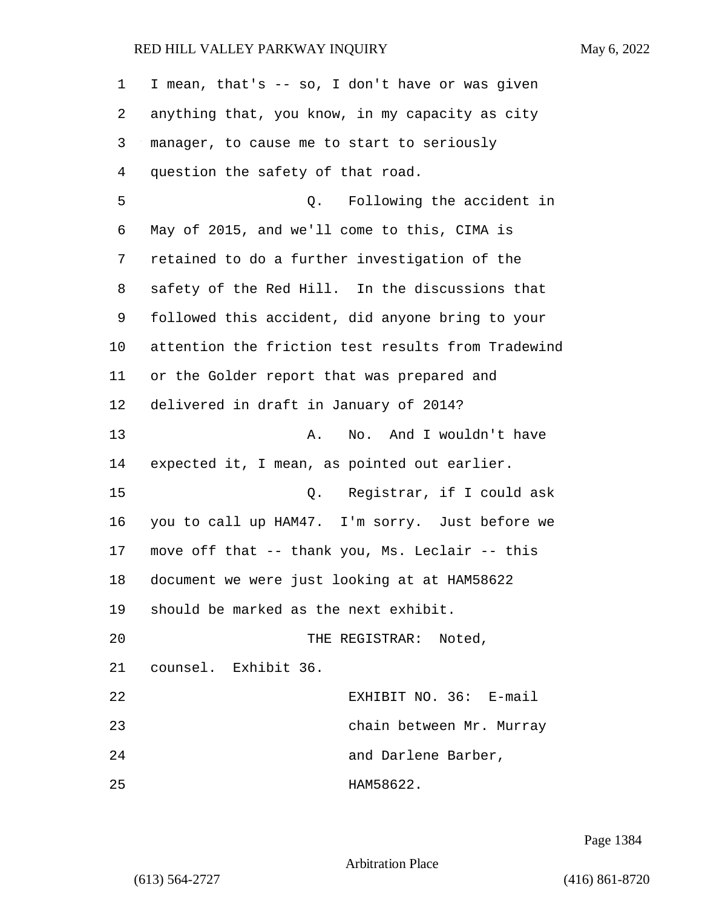| 1  | I mean, that's -- so, I don't have or was given    |
|----|----------------------------------------------------|
| 2  | anything that, you know, in my capacity as city    |
| 3  | manager, to cause me to start to seriously         |
| 4  | question the safety of that road.                  |
| 5  | Q. Following the accident in                       |
| 6  | May of 2015, and we'll come to this, CIMA is       |
| 7  | retained to do a further investigation of the      |
| 8  | safety of the Red Hill. In the discussions that    |
| 9  | followed this accident, did anyone bring to your   |
| 10 | attention the friction test results from Tradewind |
| 11 | or the Golder report that was prepared and         |
| 12 | delivered in draft in January of 2014?             |
| 13 | No. And I wouldn't have<br>Α.                      |
| 14 | expected it, I mean, as pointed out earlier.       |
| 15 | Q. Registrar, if I could ask                       |
| 16 | you to call up HAM47. I'm sorry. Just before we    |
| 17 | move off that -- thank you, Ms. Leclair -- this    |
| 18 | document we were just looking at at HAM58622       |
| 19 | should be marked as the next exhibit.              |
| 20 | THE REGISTRAR: Noted,                              |
| 21 | counsel. Exhibit 36.                               |
| 22 | EXHIBIT NO. 36: E-mail                             |
| 23 | chain between Mr. Murray                           |
| 24 | and Darlene Barber,                                |
| 25 | HAM58622.                                          |

Page 1384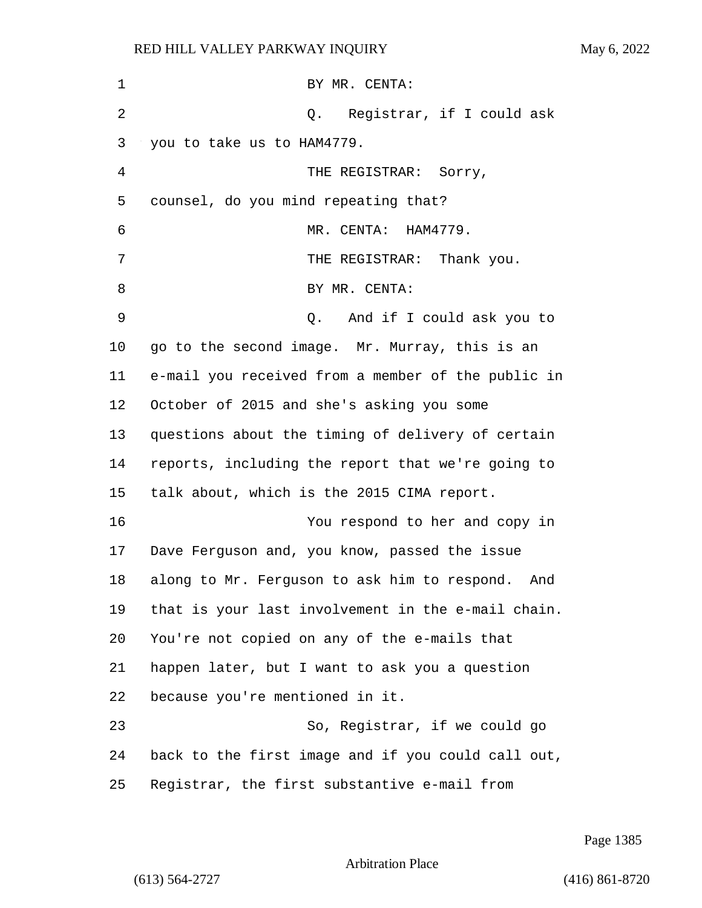| 1       | BY MR. CENTA:                                       |
|---------|-----------------------------------------------------|
| 2       | Q. Registrar, if I could ask                        |
| 3       | you to take us to HAM4779.                          |
| 4       | THE REGISTRAR: Sorry,                               |
| 5       | counsel, do you mind repeating that?                |
| 6       | MR. CENTA: HAM4779.                                 |
| 7       | THE REGISTRAR: Thank you.                           |
| 8       | BY MR. CENTA:                                       |
| 9       | And if I could ask you to<br>0.                     |
| $10 \,$ | go to the second image. Mr. Murray, this is an      |
| 11      | e-mail you received from a member of the public in  |
| 12      | October of 2015 and she's asking you some           |
| 13      | questions about the timing of delivery of certain   |
| 14      | reports, including the report that we're going to   |
| 15      | talk about, which is the 2015 CIMA report.          |
| 16      | You respond to her and copy in                      |
| 17      | Dave Ferguson and, you know, passed the issue       |
| 18      | along to Mr. Ferguson to ask him to respond.<br>And |
| 19      | that is your last involvement in the e-mail chain.  |
| 20      | You're not copied on any of the e-mails that        |
| 21      | happen later, but I want to ask you a question      |
| 22      | because you're mentioned in it.                     |
| 23      | So, Registrar, if we could go                       |
| 24      | back to the first image and if you could call out,  |
| 25      | Registrar, the first substantive e-mail from        |

Page 1385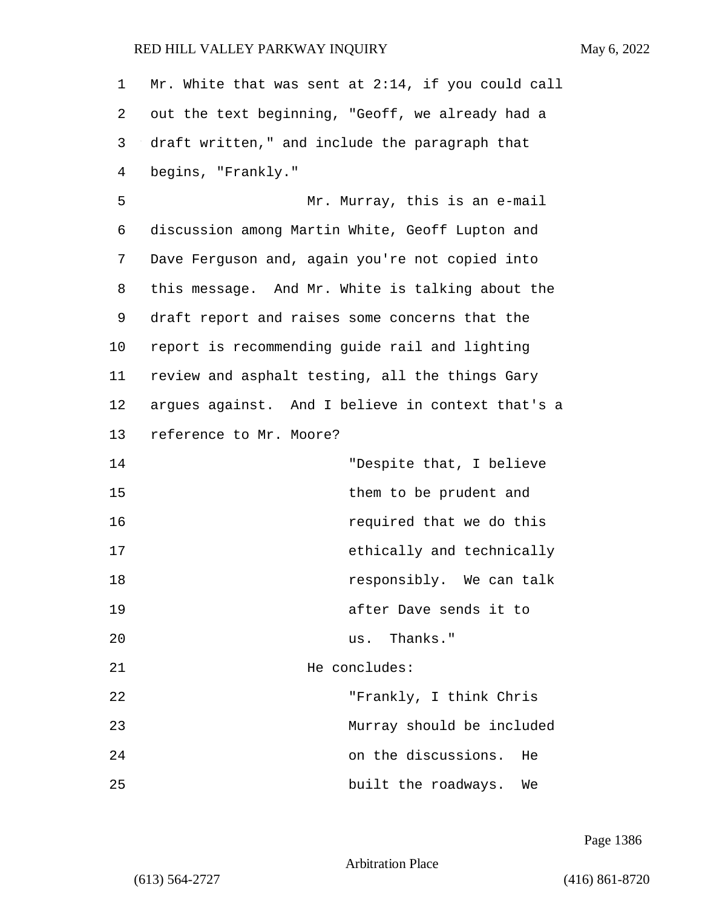Mr. White that was sent at 2:14, if you could call out the text beginning, "Geoff, we already had a draft written," and include the paragraph that begins, "Frankly."

5 Mr. Murray, this is an e-mail discussion among Martin White, Geoff Lupton and Dave Ferguson and, again you're not copied into this message. And Mr. White is talking about the draft report and raises some concerns that the report is recommending guide rail and lighting review and asphalt testing, all the things Gary argues against. And I believe in context that's a reference to Mr. Moore?

14 "Despite that, I believe 15 them to be prudent and 16 required that we do this 17 ethically and technically 18 **responsibly.** We can talk 19 after Dave sends it to 20 us. Thanks." 21 He concludes: 22 "Frankly, I think Chris 23 Murray should be included 24 on the discussions. He 25 built the roadways. We

Page 1386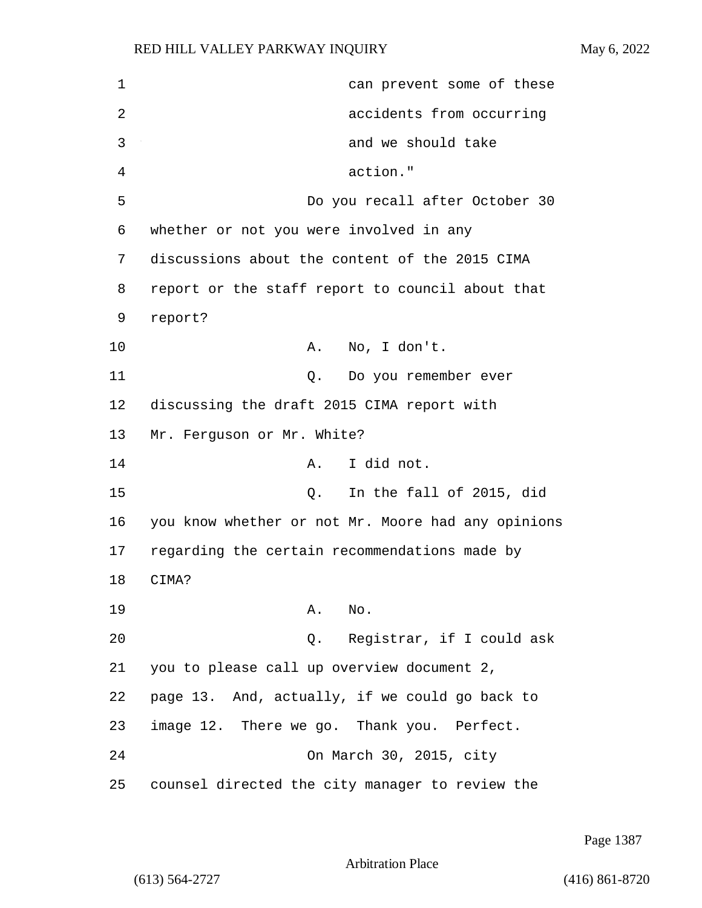| $\mathbf 1$ | can prevent some of these                          |
|-------------|----------------------------------------------------|
| 2           | accidents from occurring                           |
| 3           | and we should take                                 |
| 4           | action."                                           |
| 5           | Do you recall after October 30                     |
| 6           | whether or not you were involved in any            |
| 7           | discussions about the content of the 2015 CIMA     |
| 8           | report or the staff report to council about that   |
| 9           | report?                                            |
| 10          | No, I don't.<br>Α.                                 |
| 11          | Q. Do you remember ever                            |
| 12          | discussing the draft 2015 CIMA report with         |
| 13          | Mr. Ferguson or Mr. White?                         |
| 14          | I did not.<br>A.,                                  |
| 15          | In the fall of 2015, did<br>Q.                     |
| 16          | you know whether or not Mr. Moore had any opinions |
| 17          | regarding the certain recommendations made by      |
| 18          | CIMA?                                              |
| 19          | No.<br>Α.                                          |
| 20          | Registrar, if I could ask<br>Q.                    |
| 21          | you to please call up overview document 2,         |
| 22          | page 13. And, actually, if we could go back to     |
| 23          | image 12. There we go. Thank you. Perfect.         |
| 24          | On March 30, 2015, city                            |
| 25          | counsel directed the city manager to review the    |

Page 1387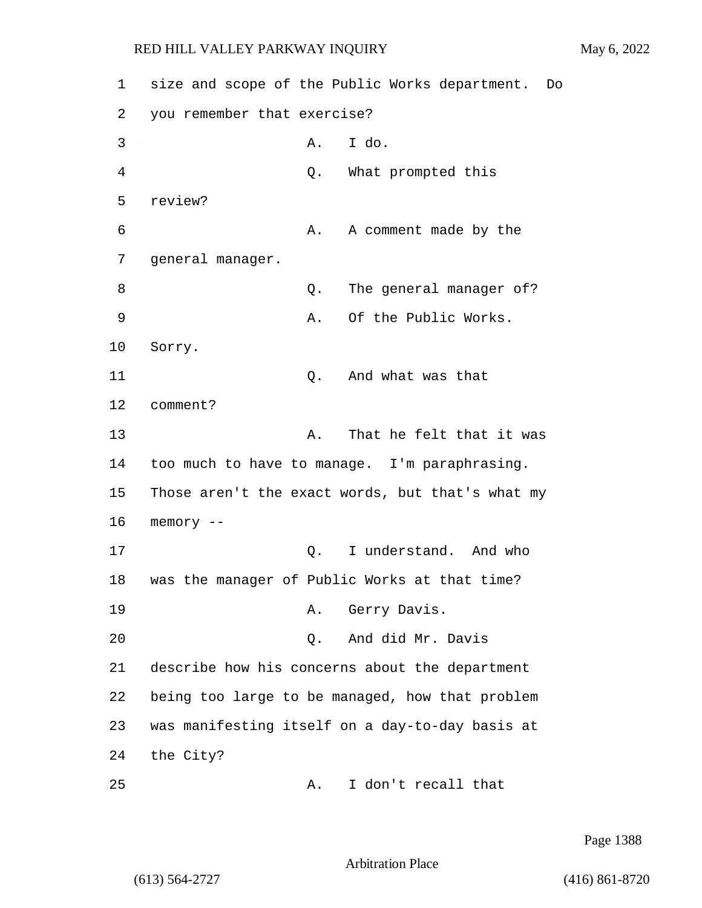1 size and scope of the Public Works department. Do 2 you remember that exercise? 3 A. I do. 4 Q. What prompted this 5 review? 6 A. A comment made by the 7 general manager. 8 a set of  $Q$ . The general manager of? 9 A. Of the Public Works. 10 Sorry. 11 Q. And what was that 12 comment? 13 A. That he felt that it was 14 too much to have to manage. I'm paraphrasing. 15 Those aren't the exact words, but that's what my 16 memory -- 17 and the contract of the contract and who controlled a model and who controlled a model of the contract of the contract of the contract of the contract of the contract of the contract of the contract of the contract of t 18 was the manager of Public Works at that time? 19 A. Gerry Davis. 20 Q. And did Mr. Davis 21 describe how his concerns about the department 22 being too large to be managed, how that problem 23 was manifesting itself on a day-to-day basis at 24 the City? 25 A. I don't recall that

Page 1388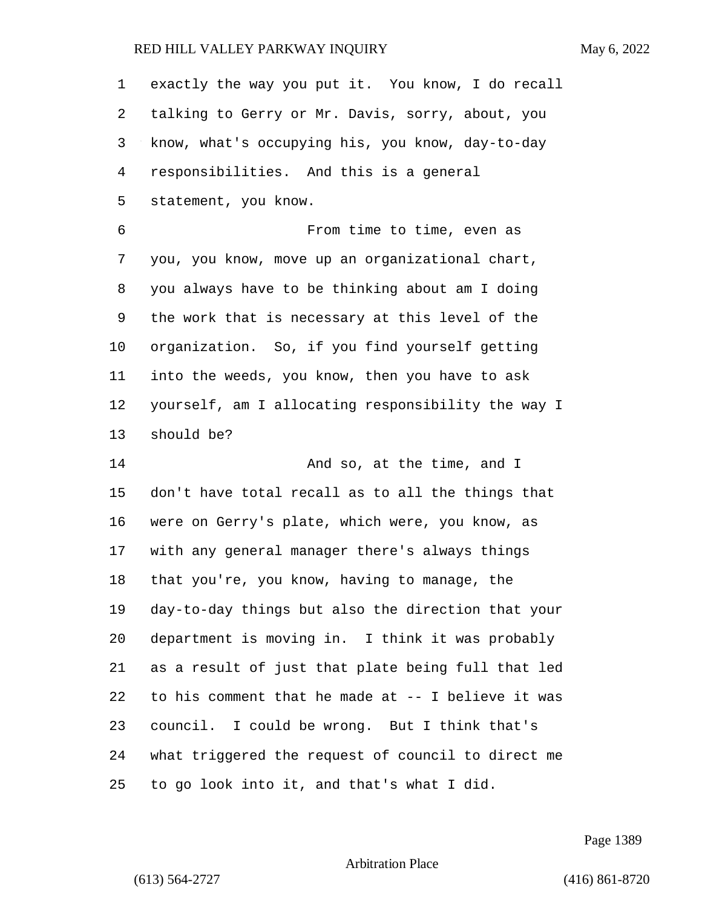exactly the way you put it. You know, I do recall talking to Gerry or Mr. Davis, sorry, about, you know, what's occupying his, you know, day-to-day responsibilities. And this is a general statement, you know. 6 From time to time, even as you, you know, move up an organizational chart, you always have to be thinking about am I doing the work that is necessary at this level of the organization. So, if you find yourself getting into the weeds, you know, then you have to ask yourself, am I allocating responsibility the way I should be? 14 And so, at the time, and I don't have total recall as to all the things that were on Gerry's plate, which were, you know, as with any general manager there's always things that you're, you know, having to manage, the day-to-day things but also the direction that your department is moving in. I think it was probably as a result of just that plate being full that led to his comment that he made at -- I believe it was council. I could be wrong. But I think that's what triggered the request of council to direct me to go look into it, and that's what I did.

Page 1389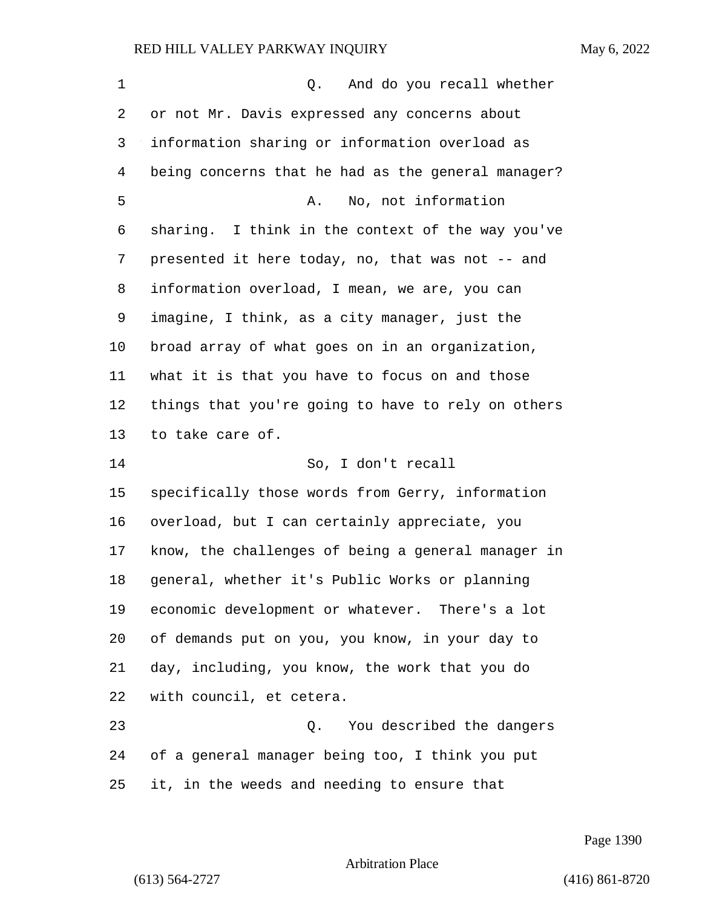| $\mathbf 1$    | And do you recall whether<br>Q.                    |
|----------------|----------------------------------------------------|
| 2              | or not Mr. Davis expressed any concerns about      |
| 3              | information sharing or information overload as     |
| $\overline{4}$ | being concerns that he had as the general manager? |
| 5              | No, not information<br>Α.                          |
| 6              | sharing. I think in the context of the way you've  |
| 7              | presented it here today, no, that was not -- and   |
| 8              | information overload, I mean, we are, you can      |
| 9              | imagine, I think, as a city manager, just the      |
| 10             | broad array of what goes on in an organization,    |
| 11             | what it is that you have to focus on and those     |
| 12             | things that you're going to have to rely on others |
| 13             | to take care of.                                   |
| 14             | So, I don't recall                                 |
| 15             | specifically those words from Gerry, information   |
| 16             | overload, but I can certainly appreciate, you      |
| 17             | know, the challenges of being a general manager in |
| 18             | general, whether it's Public Works or planning     |
| 19             | economic development or whatever. There's a lot    |
| 20             | of demands put on you, you know, in your day to    |
| 21             | day, including, you know, the work that you do     |
| 22             | with council, et cetera.                           |
| 23             | You described the dangers<br>Q.                    |
| 24             | of a general manager being too, I think you put    |
| 25             | it, in the weeds and needing to ensure that        |

Page 1390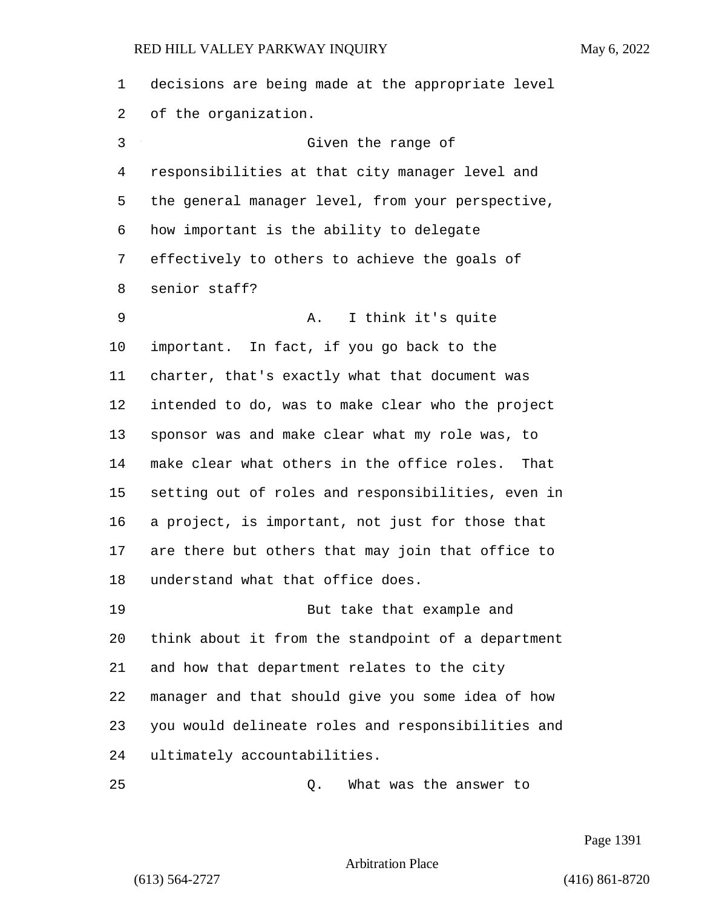decisions are being made at the appropriate level of the organization. 3 Given the range of responsibilities at that city manager level and the general manager level, from your perspective, how important is the ability to delegate effectively to others to achieve the goals of senior staff? 9 A. I think it's quite important. In fact, if you go back to the charter, that's exactly what that document was intended to do, was to make clear who the project sponsor was and make clear what my role was, to make clear what others in the office roles. That setting out of roles and responsibilities, even in a project, is important, not just for those that are there but others that may join that office to understand what that office does. 19 But take that example and think about it from the standpoint of a department and how that department relates to the city manager and that should give you some idea of how you would delineate roles and responsibilities and ultimately accountabilities. 25 Q. What was the answer to

Page 1391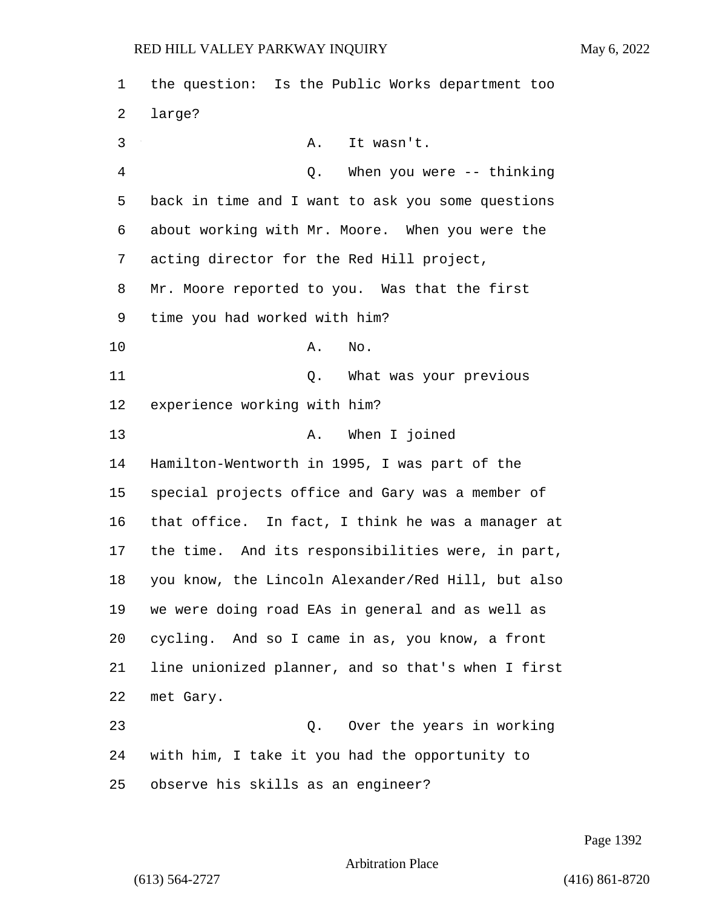the question: Is the Public Works department too large? 3 A. It wasn't. 4 Q. When you were -- thinking back in time and I want to ask you some questions about working with Mr. Moore. When you were the acting director for the Red Hill project, Mr. Moore reported to you. Was that the first time you had worked with him? 10 A. No. 11 Q. What was your previous experience working with him? 13 A. When I joined Hamilton-Wentworth in 1995, I was part of the special projects office and Gary was a member of that office. In fact, I think he was a manager at the time. And its responsibilities were, in part, you know, the Lincoln Alexander/Red Hill, but also we were doing road EAs in general and as well as cycling. And so I came in as, you know, a front line unionized planner, and so that's when I first met Gary. 23 Q. Over the years in working with him, I take it you had the opportunity to observe his skills as an engineer?

Page 1392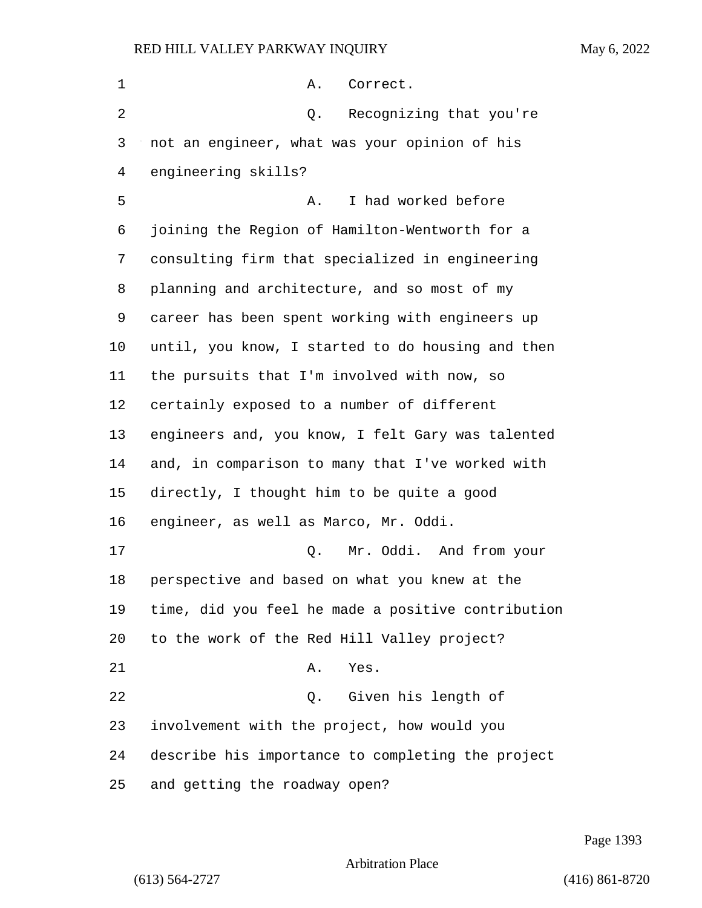| 1  | Α.<br>Correct.                                     |
|----|----------------------------------------------------|
| 2  | Recognizing that you're<br>Q.                      |
| 3  | not an engineer, what was your opinion of his      |
| 4  | engineering skills?                                |
| 5  | I had worked before<br>Α.                          |
| 6  | joining the Region of Hamilton-Wentworth for a     |
| 7  | consulting firm that specialized in engineering    |
| 8  | planning and architecture, and so most of my       |
| 9  | career has been spent working with engineers up    |
| 10 | until, you know, I started to do housing and then  |
| 11 | the pursuits that I'm involved with now, so        |
| 12 | certainly exposed to a number of different         |
| 13 | engineers and, you know, I felt Gary was talented  |
| 14 | and, in comparison to many that I've worked with   |
| 15 | directly, I thought him to be quite a good         |
| 16 | engineer, as well as Marco, Mr. Oddi.              |
| 17 | Mr. Oddi. And from your<br>Q.                      |
| 18 | perspective and based on what you knew at the      |
| 19 | time, did you feel he made a positive contribution |
| 20 | to the work of the Red Hill Valley project?        |
| 21 | Yes.<br>Α.                                         |
| 22 | Given his length of<br>Q.                          |
| 23 | involvement with the project, how would you        |
| 24 | describe his importance to completing the project  |
| 25 | and getting the roadway open?                      |

Page 1393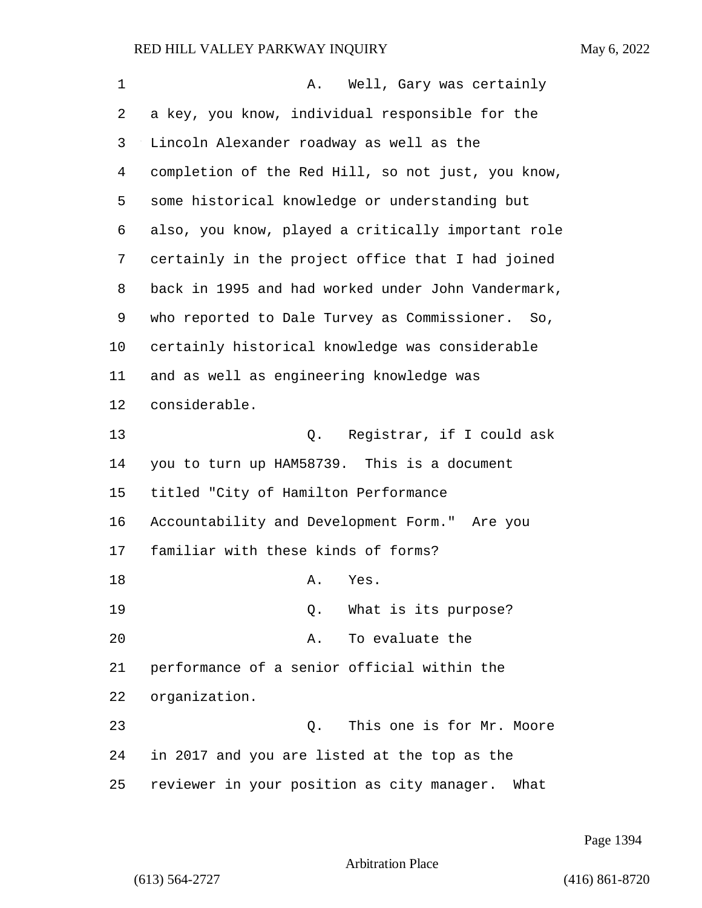| 1  | Well, Gary was certainly<br>Α.                     |
|----|----------------------------------------------------|
| 2  | a key, you know, individual responsible for the    |
| 3  | Lincoln Alexander roadway as well as the           |
| 4  | completion of the Red Hill, so not just, you know, |
| 5  | some historical knowledge or understanding but     |
| 6  | also, you know, played a critically important role |
| 7  | certainly in the project office that I had joined  |
| 8  | back in 1995 and had worked under John Vandermark, |
| 9  | who reported to Dale Turvey as Commissioner. So,   |
| 10 | certainly historical knowledge was considerable    |
| 11 | and as well as engineering knowledge was           |
| 12 | considerable.                                      |
| 13 | Registrar, if I could ask<br>Q.                    |
| 14 | you to turn up HAM58739. This is a document        |
| 15 | titled "City of Hamilton Performance               |
| 16 | Accountability and Development Form." Are you      |
| 17 | familiar with these kinds of forms?                |
| 18 | Yes.<br>Α.                                         |
| 19 | What is its purpose?<br>Q.                         |
| 20 | To evaluate the<br>Α.                              |
| 21 | performance of a senior official within the        |
| 22 | organization.                                      |
| 23 | This one is for Mr. Moore<br>Q.                    |
| 24 | in 2017 and you are listed at the top as the       |
| 25 | reviewer in your position as city manager. What    |

Page 1394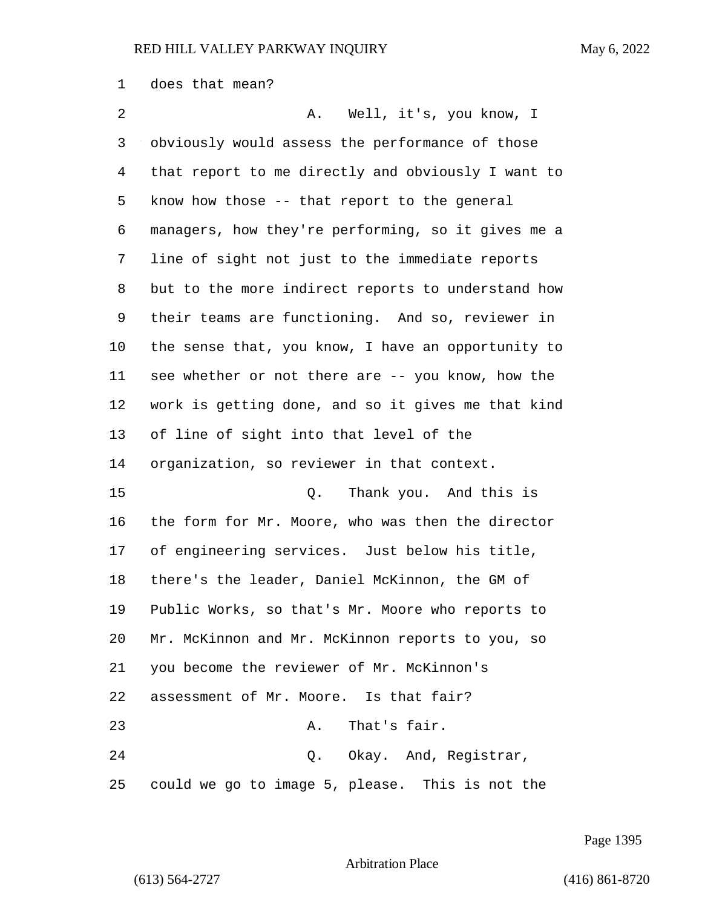does that mean?

2 A. Well, it's, you know, I obviously would assess the performance of those that report to me directly and obviously I want to know how those -- that report to the general managers, how they're performing, so it gives me a line of sight not just to the immediate reports but to the more indirect reports to understand how their teams are functioning. And so, reviewer in the sense that, you know, I have an opportunity to see whether or not there are -- you know, how the work is getting done, and so it gives me that kind of line of sight into that level of the organization, so reviewer in that context. 15 Q. Thank you. And this is the form for Mr. Moore, who was then the director of engineering services. Just below his title, there's the leader, Daniel McKinnon, the GM of Public Works, so that's Mr. Moore who reports to Mr. McKinnon and Mr. McKinnon reports to you, so you become the reviewer of Mr. McKinnon's assessment of Mr. Moore. Is that fair? 23 A. That's fair. 24 Q. Okay. And, Registrar, could we go to image 5, please. This is not the

Page 1395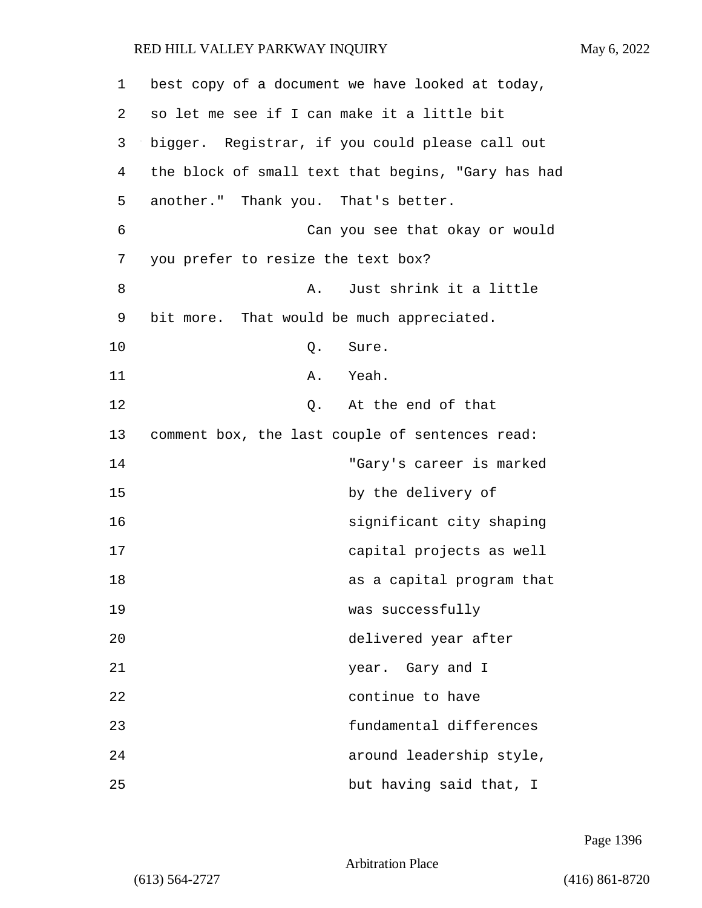| 1  | best copy of a document we have looked at today,   |
|----|----------------------------------------------------|
| 2  | so let me see if I can make it a little bit        |
| 3  | bigger. Registrar, if you could please call out    |
| 4  | the block of small text that begins, "Gary has had |
| 5  | another." Thank you. That's better.                |
| 6  | Can you see that okay or would                     |
| 7  | you prefer to resize the text box?                 |
| 8  | Just shrink it a little<br>Α.                      |
| 9  | bit more. That would be much appreciated.          |
| 10 | Sure.<br>Q.                                        |
| 11 | Yeah.<br>Α.                                        |
| 12 | At the end of that<br>Q.                           |
| 13 | comment box, the last couple of sentences read:    |
| 14 | "Gary's career is marked                           |
| 15 | by the delivery of                                 |
| 16 | significant city shaping                           |
| 17 | capital projects as well                           |
| 18 | as a capital program that                          |
| 19 | was successfully                                   |
| 20 | delivered year after                               |
| 21 | year. Gary and I                                   |
| 22 | continue to have                                   |
| 23 | fundamental differences                            |
| 24 | around leadership style,                           |
| 25 | but having said that, I                            |

Page 1396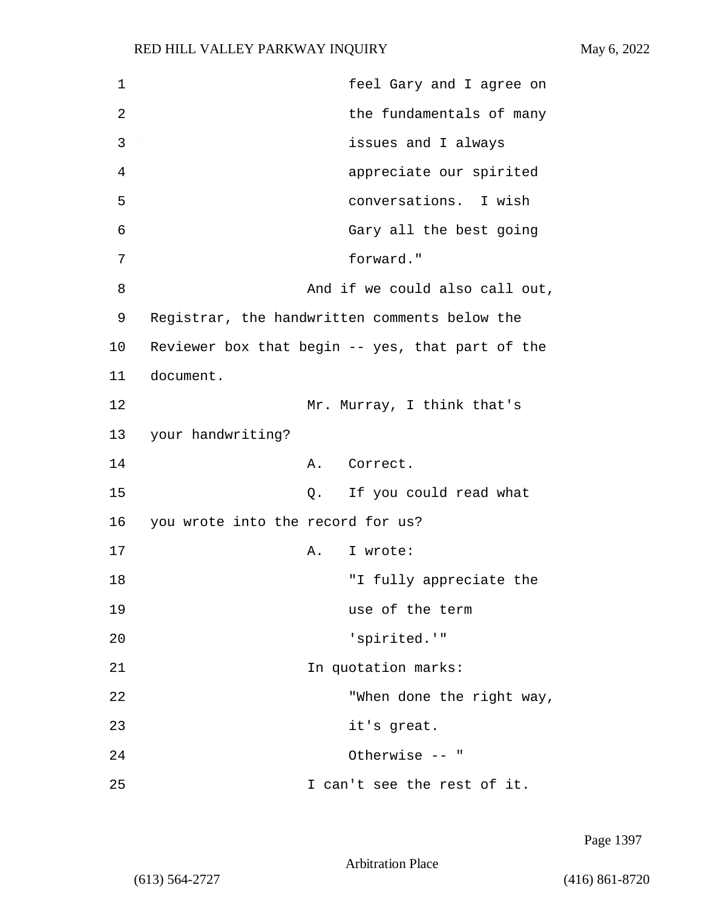1 feel Gary and I agree on 2 and the fundamentals of many 3 issues and I always 4 appreciate our spirited 5 conversations. I wish 6 Gary all the best going 7 forward." 8 and if we could also call out, 9 Registrar, the handwritten comments below the 10 Reviewer box that begin -- yes, that part of the 11 document. 12 Mr. Murray, I think that's 13 your handwriting? 14 A. Correct. 15 Q. If you could read what 16 you wrote into the record for us? 17 A. I wrote: 18 The Contract Tully appreciate the state of the Tully appreciate the state of the state of the state of the state of the state of the state of the state of the state of the state of the state of the state of the state of 19 use of the term 20 Separated.'" 21 122 In quotation marks: 22 TWhen done the right way, 23 it's great. 24 Otherwise -- " 25 I can't see the rest of it.

Page 1397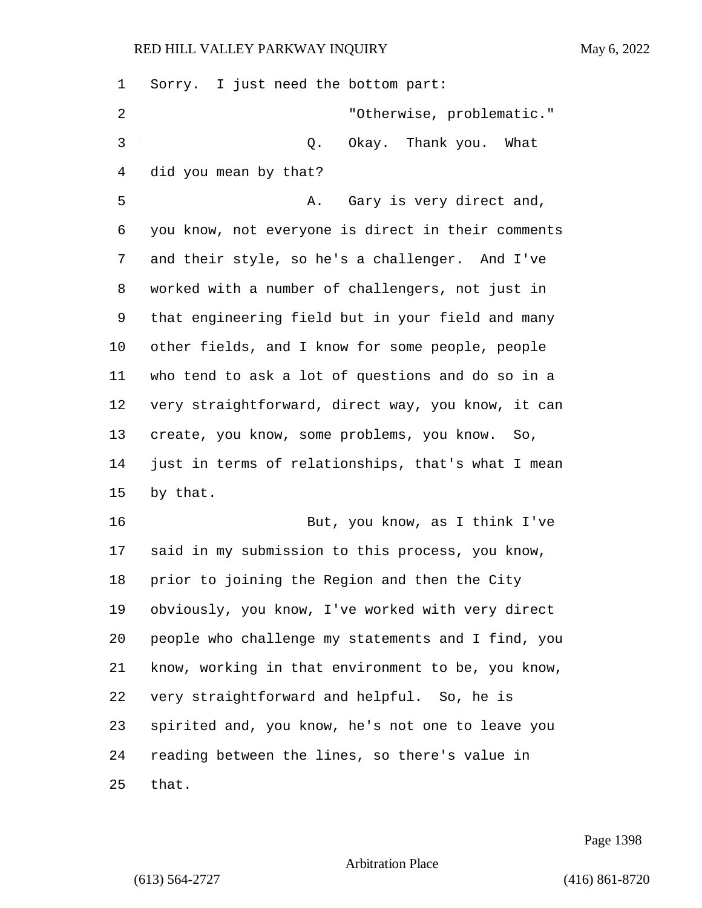| 1  | Sorry. I just need the bottom part:                |
|----|----------------------------------------------------|
| 2  | "Otherwise, problematic."                          |
| 3  | Okay. Thank you. What<br>Q.                        |
| 4  | did you mean by that?                              |
| 5  | Gary is very direct and,<br>Α.                     |
| 6  | you know, not everyone is direct in their comments |
| 7  | and their style, so he's a challenger. And I've    |
| 8  | worked with a number of challengers, not just in   |
| 9  | that engineering field but in your field and many  |
| 10 | other fields, and I know for some people, people   |
| 11 | who tend to ask a lot of questions and do so in a  |
| 12 | very straightforward, direct way, you know, it can |
| 13 | create, you know, some problems, you know. So,     |
| 14 | just in terms of relationships, that's what I mean |
| 15 | by that.                                           |
| 16 | But, you know, as I think I've                     |
| 17 | said in my submission to this process, you know,   |
| 18 | prior to joining the Region and then the City      |
| 19 | obviously, you know, I've worked with very direct  |
| 20 | people who challenge my statements and I find, you |
| 21 | know, working in that environment to be, you know, |
| 22 | very straightforward and helpful. So, he is        |
| 23 | spirited and, you know, he's not one to leave you  |
| 24 | reading between the lines, so there's value in     |
| 25 | that.                                              |

Page 1398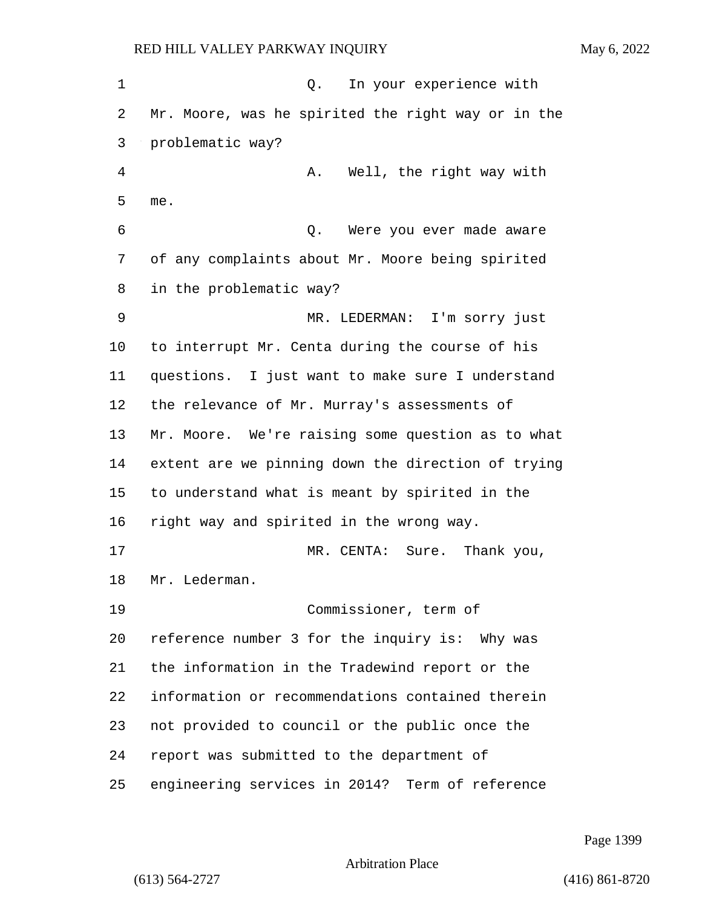1 Q. In your experience with Mr. Moore, was he spirited the right way or in the problematic way? 4 A. Well, the right way with me. 6 Q. Were you ever made aware of any complaints about Mr. Moore being spirited in the problematic way? 9 MR. LEDERMAN: I'm sorry just to interrupt Mr. Centa during the course of his questions. I just want to make sure I understand the relevance of Mr. Murray's assessments of Mr. Moore. We're raising some question as to what extent are we pinning down the direction of trying to understand what is meant by spirited in the right way and spirited in the wrong way. 17 MR. CENTA: Sure. Thank you, Mr. Lederman. 19 Commissioner, term of reference number 3 for the inquiry is: Why was the information in the Tradewind report or the information or recommendations contained therein not provided to council or the public once the report was submitted to the department of engineering services in 2014? Term of reference

Page 1399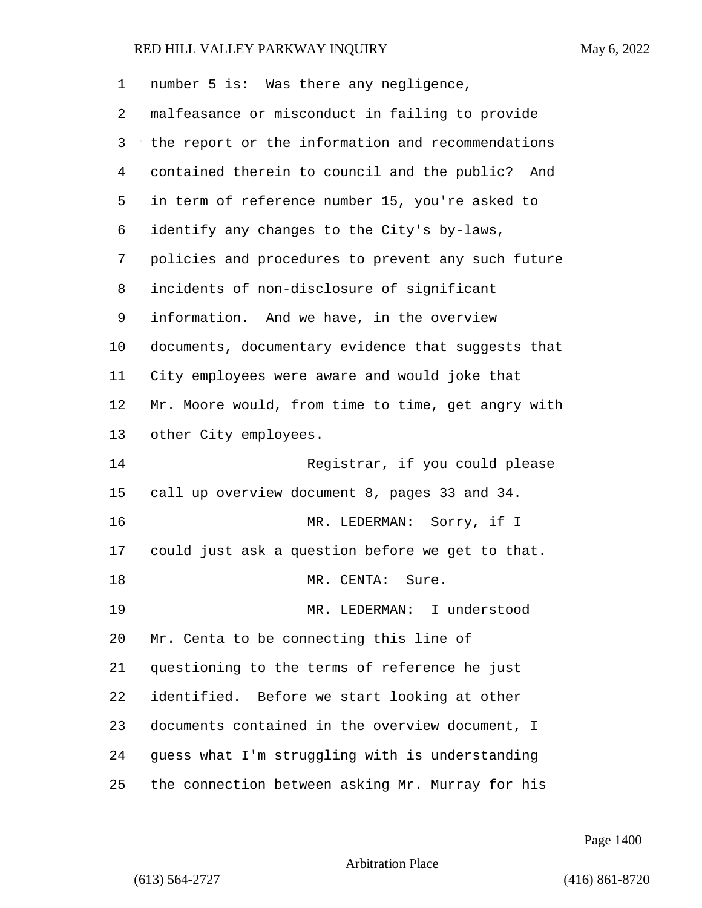number 5 is: Was there any negligence, malfeasance or misconduct in failing to provide the report or the information and recommendations contained therein to council and the public? And in term of reference number 15, you're asked to identify any changes to the City's by-laws, policies and procedures to prevent any such future incidents of non-disclosure of significant information. And we have, in the overview documents, documentary evidence that suggests that City employees were aware and would joke that Mr. Moore would, from time to time, get angry with other City employees. 14 Registrar, if you could please call up overview document 8, pages 33 and 34.

16 MR. LEDERMAN: Sorry, if I could just ask a question before we get to that. 18 MR. CENTA: Sure. 19 MR. LEDERMAN: I understood Mr. Centa to be connecting this line of questioning to the terms of reference he just identified. Before we start looking at other documents contained in the overview document, I guess what I'm struggling with is understanding the connection between asking Mr. Murray for his

Page 1400

Arbitration Place

(613) 564-2727 (416) 861-8720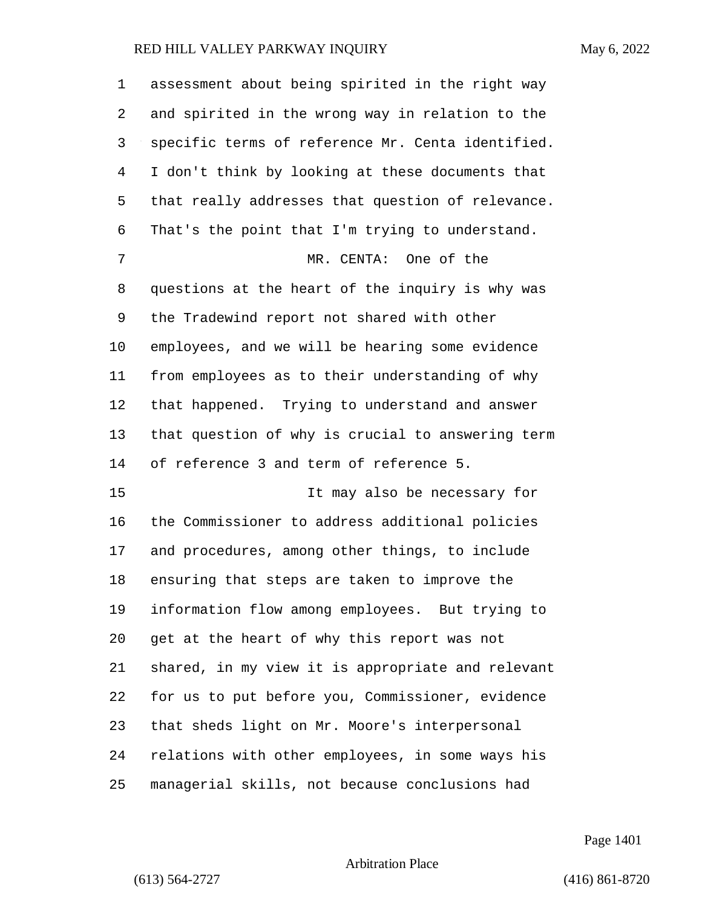| 1  | assessment about being spirited in the right way  |
|----|---------------------------------------------------|
| 2  | and spirited in the wrong way in relation to the  |
| 3  | specific terms of reference Mr. Centa identified. |
| 4  | I don't think by looking at these documents that  |
| 5  | that really addresses that question of relevance. |
| 6  | That's the point that I'm trying to understand.   |
| 7  | MR. CENTA: One of the                             |
| 8  | questions at the heart of the inquiry is why was  |
| 9  | the Tradewind report not shared with other        |
| 10 | employees, and we will be hearing some evidence   |
| 11 | from employees as to their understanding of why   |
| 12 | that happened. Trying to understand and answer    |
| 13 | that question of why is crucial to answering term |
| 14 | of reference 3 and term of reference 5.           |
| 15 | It may also be necessary for                      |
| 16 | the Commissioner to address additional policies   |
| 17 | and procedures, among other things, to include    |
| 18 | ensuring that steps are taken to improve the      |
| 19 | information flow among employees. But trying to   |
| 20 | get at the heart of why this report was not       |
| 21 | shared, in my view it is appropriate and relevant |
| 22 | for us to put before you, Commissioner, evidence  |
| 23 | that sheds light on Mr. Moore's interpersonal     |
| 24 | relations with other employees, in some ways his  |
| 25 | managerial skills, not because conclusions had    |

Page 1401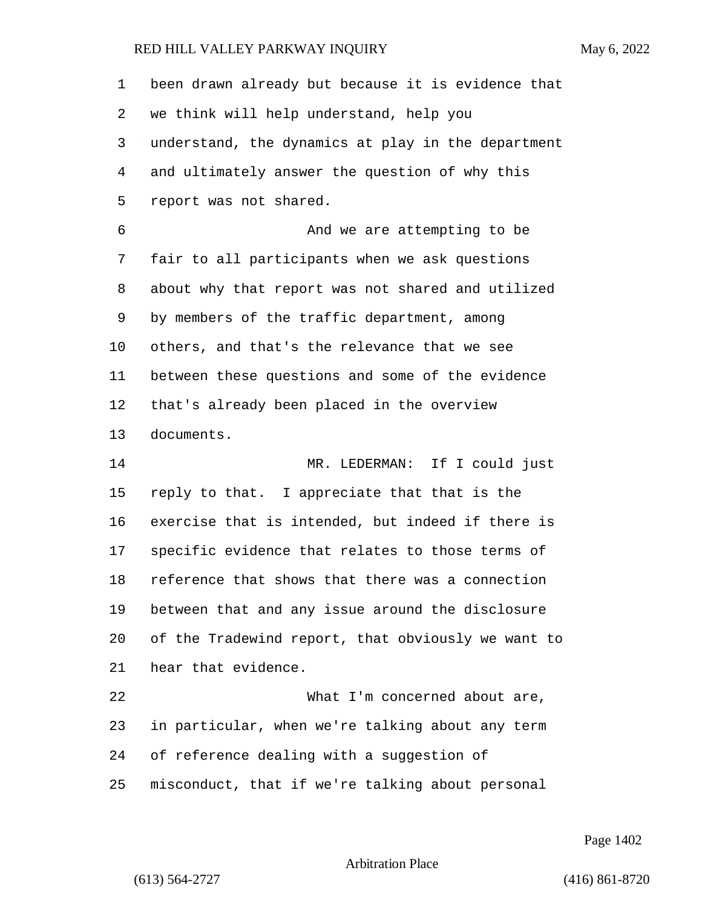| $\mathbf 1$ | been drawn already but because it is evidence that |
|-------------|----------------------------------------------------|
| 2           | we think will help understand, help you            |
| 3           | understand, the dynamics at play in the department |
| 4           | and ultimately answer the question of why this     |
| 5           | report was not shared.                             |
| 6           | And we are attempting to be                        |
| 7           | fair to all participants when we ask questions     |
| 8           | about why that report was not shared and utilized  |
| 9           | by members of the traffic department, among        |
| 10          | others, and that's the relevance that we see       |
| 11          | between these questions and some of the evidence   |
| 12          | that's already been placed in the overview         |
| 13          | documents.                                         |
| 14          | MR. LEDERMAN: If I could just                      |
| 15          | reply to that. I appreciate that that is the       |
| 16          | exercise that is intended, but indeed if there is  |
| 17          | specific evidence that relates to those terms of   |
| 18          | reference that shows that there was a connection   |
| 19          | between that and any issue around the disclosure   |
| 20          | of the Tradewind report, that obviously we want to |
| 21          | hear that evidence.                                |
| 22          | What I'm concerned about are,                      |
| 23          | in particular, when we're talking about any term   |
| 24          | of reference dealing with a suggestion of          |
| 25          | misconduct, that if we're talking about personal   |

Page 1402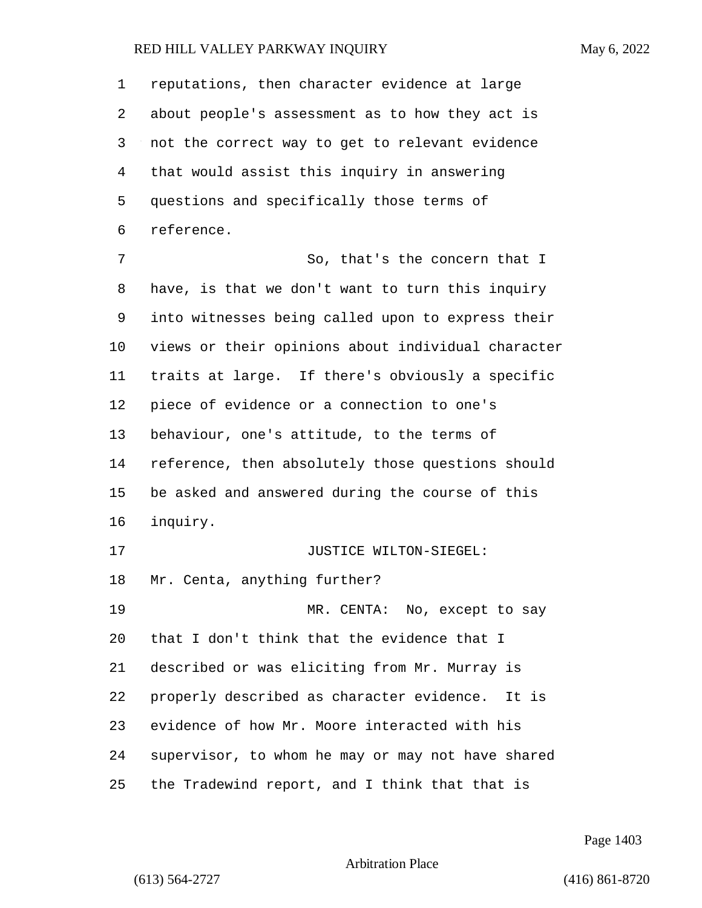reputations, then character evidence at large about people's assessment as to how they act is not the correct way to get to relevant evidence that would assist this inquiry in answering questions and specifically those terms of reference. 7 So, that's the concern that I

 have, is that we don't want to turn this inquiry into witnesses being called upon to express their views or their opinions about individual character traits at large. If there's obviously a specific piece of evidence or a connection to one's behaviour, one's attitude, to the terms of reference, then absolutely those questions should be asked and answered during the course of this inquiry. **JUSTICE WILTON-SIEGEL:**  Mr. Centa, anything further? 19 MR. CENTA: No, except to say that I don't think that the evidence that I described or was eliciting from Mr. Murray is properly described as character evidence. It is evidence of how Mr. Moore interacted with his supervisor, to whom he may or may not have shared

the Tradewind report, and I think that that is

Page 1403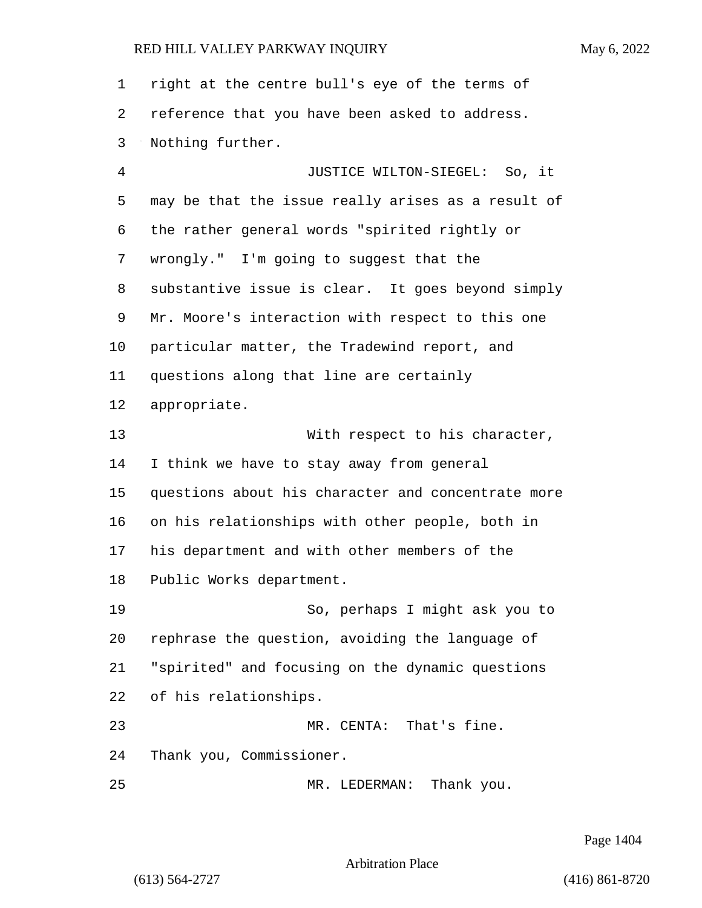right at the centre bull's eye of the terms of reference that you have been asked to address. Nothing further. 4 JUSTICE WILTON-SIEGEL: So, it may be that the issue really arises as a result of the rather general words "spirited rightly or wrongly." I'm going to suggest that the substantive issue is clear. It goes beyond simply Mr. Moore's interaction with respect to this one particular matter, the Tradewind report, and questions along that line are certainly appropriate. 13 With respect to his character, I think we have to stay away from general questions about his character and concentrate more on his relationships with other people, both in his department and with other members of the Public Works department. 19 So, perhaps I might ask you to rephrase the question, avoiding the language of "spirited" and focusing on the dynamic questions of his relationships. 23 MR. CENTA: That's fine. Thank you, Commissioner. 25 MR. LEDERMAN: Thank you.

Page 1404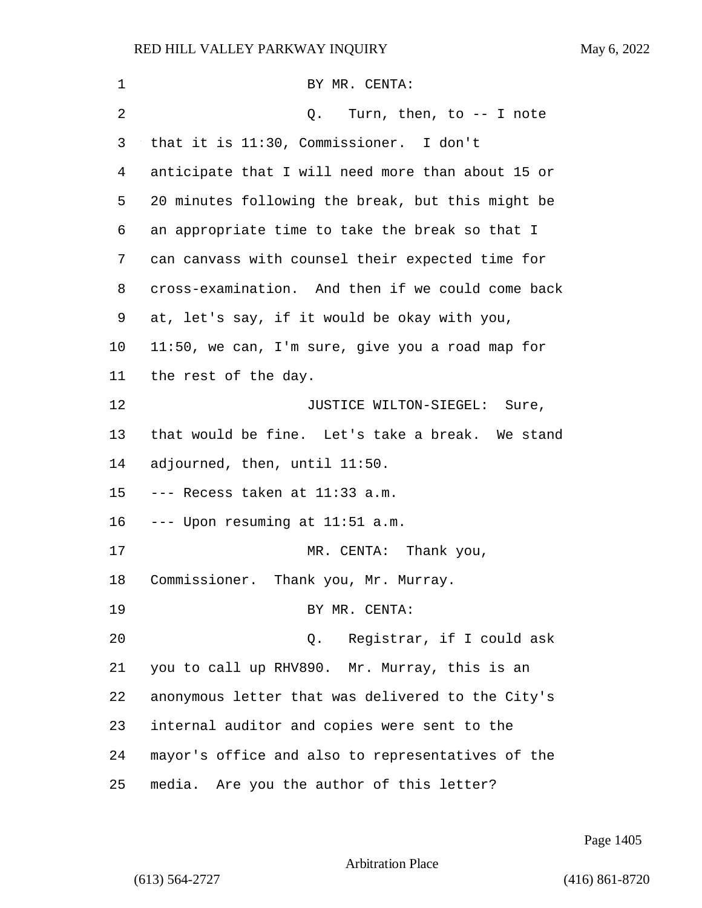| 1       | BY MR. CENTA:                                     |
|---------|---------------------------------------------------|
| 2       | Turn, then, to -- I note<br>Q.                    |
| 3       | that it is 11:30, Commissioner. I don't           |
| 4       | anticipate that I will need more than about 15 or |
| 5       | 20 minutes following the break, but this might be |
| 6       | an appropriate time to take the break so that I   |
| 7       | can canvass with counsel their expected time for  |
| 8       | cross-examination. And then if we could come back |
| 9       | at, let's say, if it would be okay with you,      |
| $10 \,$ | 11:50, we can, I'm sure, give you a road map for  |
| 11      | the rest of the day.                              |
| 12      | JUSTICE WILTON-SIEGEL: Sure,                      |
| 13      | that would be fine. Let's take a break. We stand  |
| 14      | adjourned, then, until 11:50.                     |
| 15      | --- Recess taken at 11:33 a.m.                    |
| 16      | --- Upon resuming at 11:51 a.m.                   |
| 17      | MR. CENTA: Thank you,                             |
| 18      | Commissioner. Thank you, Mr. Murray.              |
| 19      | BY MR. CENTA:                                     |
| 20      | Registrar, if I could ask<br>Q.                   |
| 21      | you to call up RHV890. Mr. Murray, this is an     |
| 22      | anonymous letter that was delivered to the City's |
| 23      | internal auditor and copies were sent to the      |
| 24      | mayor's office and also to representatives of the |
| 25      | media. Are you the author of this letter?         |

Page 1405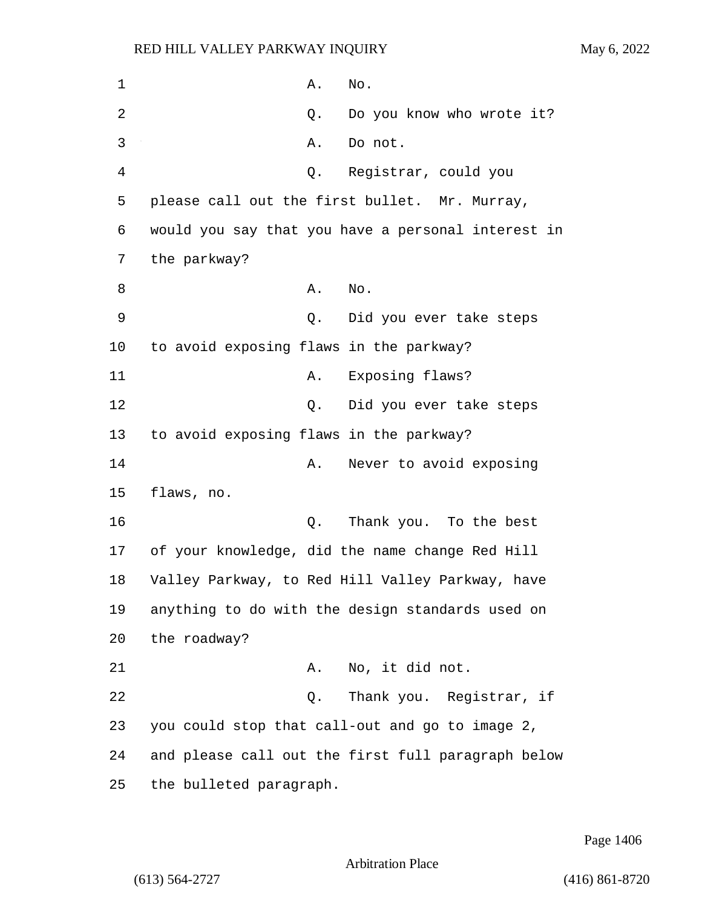1 A. No. 2 Q. Do you know who wrote it? 3 A. Do not. 4 Q. Registrar, could you 5 please call out the first bullet. Mr. Murray, 6 would you say that you have a personal interest in 7 the parkway? 8 A. No. 9 Q. Did you ever take steps 10 to avoid exposing flaws in the parkway? 11 A. Exposing flaws? 12 Did you ever take steps 13 to avoid exposing flaws in the parkway? 14 A. Never to avoid exposing 15 flaws, no. 16 Q. Thank you. To the best 17 of your knowledge, did the name change Red Hill 18 Valley Parkway, to Red Hill Valley Parkway, have 19 anything to do with the design standards used on 20 the roadway? 21 A. No, it did not. 22 Q. Thank you. Registrar, if 23 you could stop that call-out and go to image 2, 24 and please call out the first full paragraph below 25 the bulleted paragraph.

Page 1406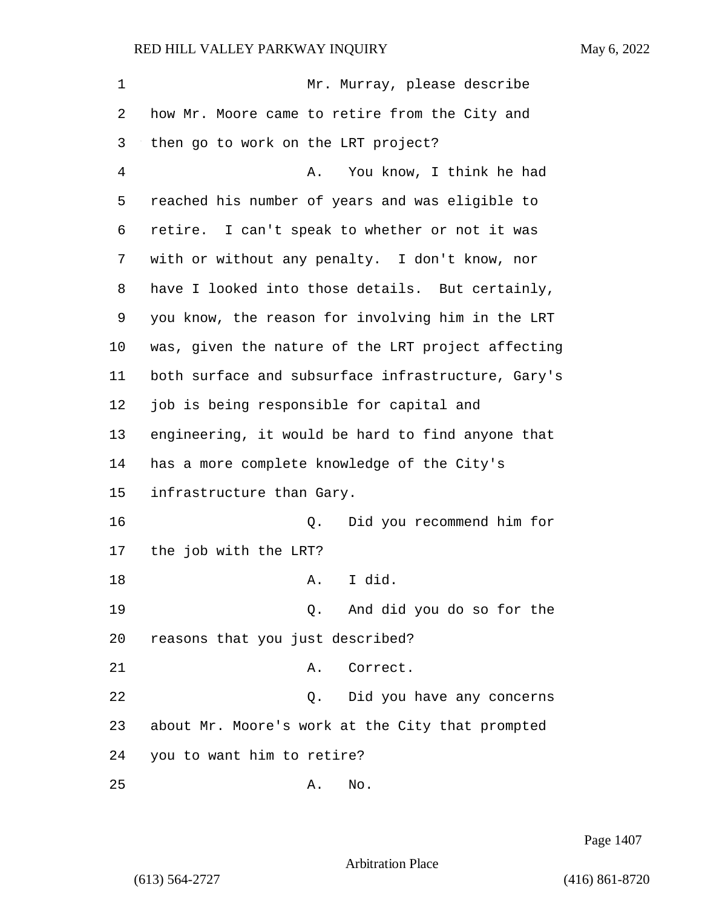| 1  | Mr. Murray, please describe                        |
|----|----------------------------------------------------|
| 2  | how Mr. Moore came to retire from the City and     |
| 3  | then go to work on the LRT project?                |
| 4  | You know, I think he had<br>Α.                     |
| 5  | reached his number of years and was eligible to    |
| 6  | retire. I can't speak to whether or not it was     |
| 7  | with or without any penalty. I don't know, nor     |
| 8  | have I looked into those details. But certainly,   |
| 9  | you know, the reason for involving him in the LRT  |
| 10 | was, given the nature of the LRT project affecting |
| 11 | both surface and subsurface infrastructure, Gary's |
| 12 | job is being responsible for capital and           |
| 13 | engineering, it would be hard to find anyone that  |
| 14 | has a more complete knowledge of the City's        |
| 15 | infrastructure than Gary.                          |
| 16 | Did you recommend him for<br>Q.                    |
| 17 | the job with the LRT?                              |
| 18 | I did.<br>Α.                                       |
| 19 | And did you do so for the<br>Q.                    |
| 20 | reasons that you just described?                   |
| 21 | Correct.<br>Α.                                     |
| 22 | Did you have any concerns<br>Q.                    |
| 23 | about Mr. Moore's work at the City that prompted   |
| 24 | you to want him to retire?                         |
| 25 | No.<br>Α.                                          |

Page 1407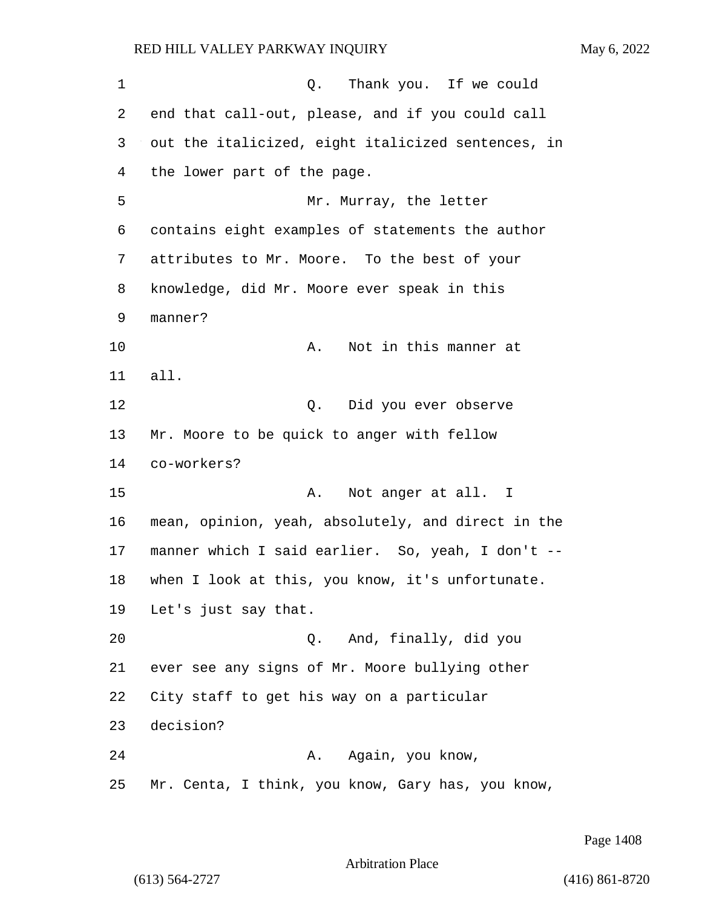1 and 1 Q. Thank you. If we could end that call-out, please, and if you could call out the italicized, eight italicized sentences, in the lower part of the page. 5 Mr. Murray, the letter contains eight examples of statements the author attributes to Mr. Moore. To the best of your knowledge, did Mr. Moore ever speak in this manner? 10 A. Not in this manner at all. 12 Q. Did you ever observe Mr. Moore to be quick to anger with fellow co-workers? 15 A. Not anger at all. I mean, opinion, yeah, absolutely, and direct in the manner which I said earlier. So, yeah, I don't -- when I look at this, you know, it's unfortunate. Let's just say that. 20 Q. And, finally, did you ever see any signs of Mr. Moore bullying other City staff to get his way on a particular decision? 24 A. Again, you know, Mr. Centa, I think, you know, Gary has, you know,

Page 1408

### Arbitration Place

(613) 564-2727 (416) 861-8720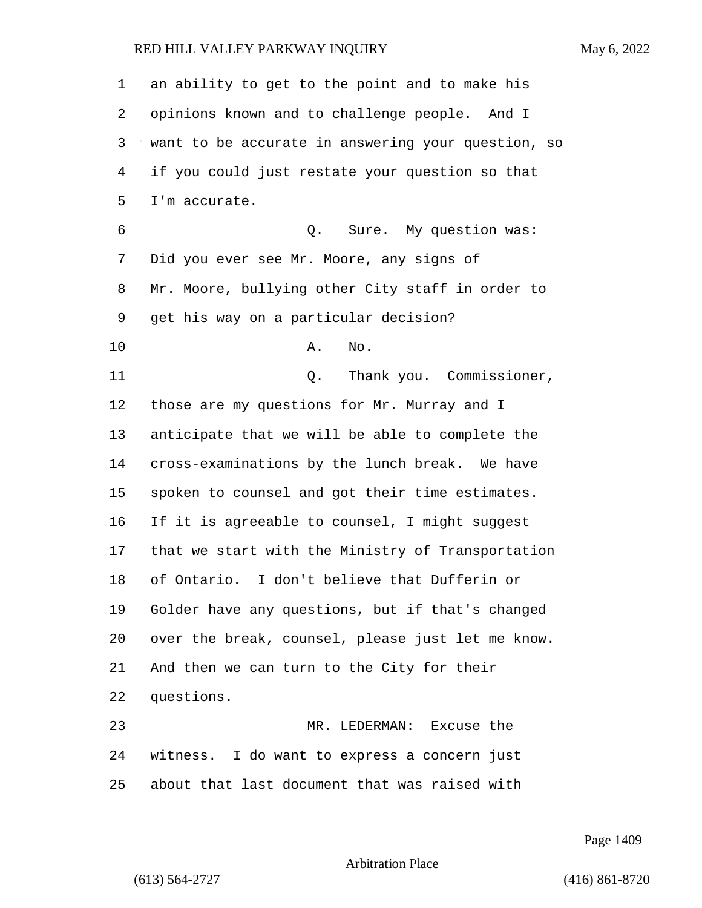| 1              | an ability to get to the point and to make his     |
|----------------|----------------------------------------------------|
| 2              | opinions known and to challenge people. And I      |
| 3              | want to be accurate in answering your question, so |
| $\overline{4}$ | if you could just restate your question so that    |
| 5              | I'm accurate.                                      |
| 6              | Q. Sure. My question was:                          |
| 7              | Did you ever see Mr. Moore, any signs of           |
| 8              | Mr. Moore, bullying other City staff in order to   |
| 9              | get his way on a particular decision?              |
| 10             | No.<br>Α.                                          |
| 11             | Thank you. Commissioner,<br>Q.                     |
| 12             | those are my questions for Mr. Murray and I        |
| 13             | anticipate that we will be able to complete the    |
| 14             | cross-examinations by the lunch break. We have     |
| 15             | spoken to counsel and got their time estimates.    |
| 16             | If it is agreeable to counsel, I might suggest     |
| 17             | that we start with the Ministry of Transportation  |
| 18             | of Ontario. I don't believe that Dufferin or       |
| 19             | Golder have any questions, but if that's changed   |
| 20             | over the break, counsel, please just let me know.  |
| 21             | And then we can turn to the City for their         |
| 22             | questions.                                         |
| 23             | MR. LEDERMAN: Excuse the                           |
| 24             | witness. I do want to express a concern just       |
| 25             | about that last document that was raised with      |

Page 1409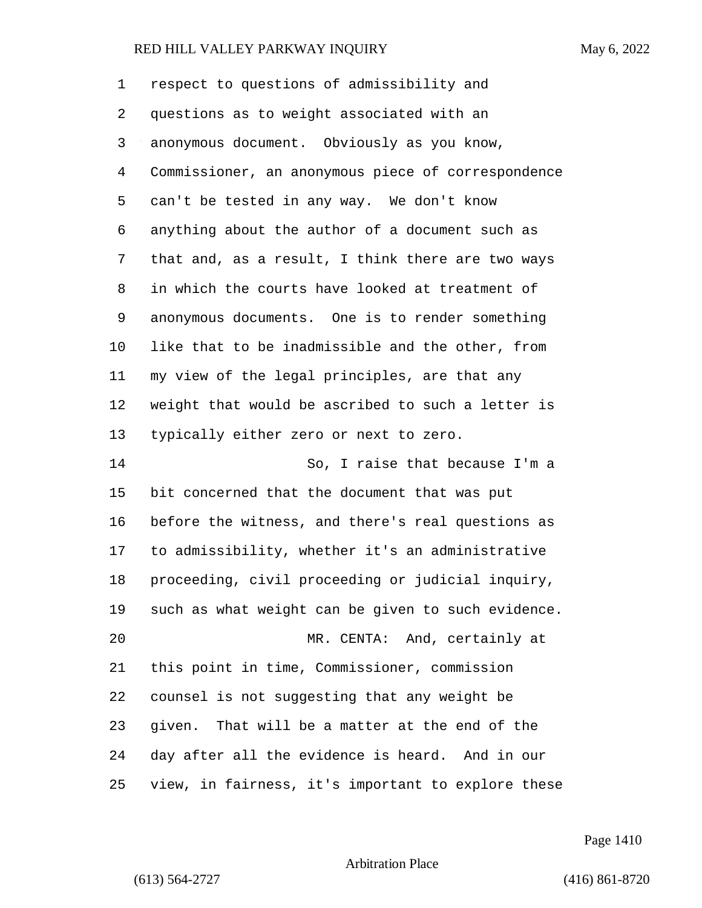| 1              | respect to questions of admissibility and          |
|----------------|----------------------------------------------------|
| 2              | questions as to weight associated with an          |
| 3              | anonymous document. Obviously as you know,         |
| $\overline{4}$ | Commissioner, an anonymous piece of correspondence |
| 5              | can't be tested in any way. We don't know          |
| 6              | anything about the author of a document such as    |
| 7              | that and, as a result, I think there are two ways  |
| 8              | in which the courts have looked at treatment of    |
| 9              | anonymous documents. One is to render something    |
| 10             | like that to be inadmissible and the other, from   |
| 11             | my view of the legal principles, are that any      |
| 12             | weight that would be ascribed to such a letter is  |
| 13             | typically either zero or next to zero.             |
| 14             | So, I raise that because I'm a                     |
| 15             | bit concerned that the document that was put       |
| 16             | before the witness, and there's real questions as  |
| 17             | to admissibility, whether it's an administrative   |
| 18             | proceeding, civil proceeding or judicial inquiry,  |
| 19             | such as what weight can be given to such evidence. |
| 20             | MR. CENTA: And, certainly at                       |
| 21             | this point in time, Commissioner, commission       |
| 22             | counsel is not suggesting that any weight be       |
| 23             | given. That will be a matter at the end of the     |
| 24             | day after all the evidence is heard. And in our    |
| 25             | view, in fairness, it's important to explore these |

Page 1410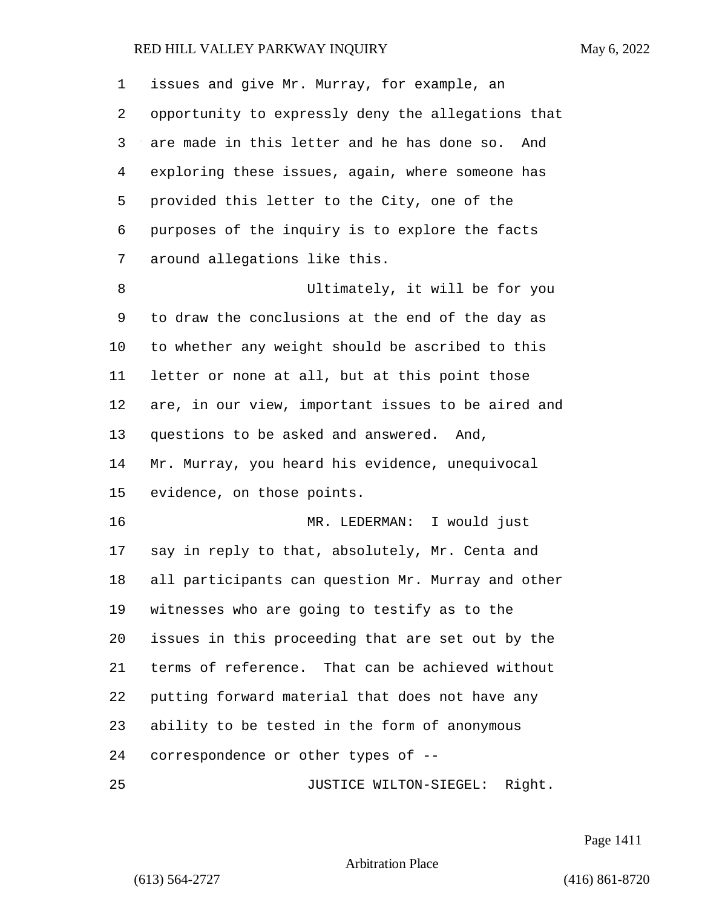| 1       | issues and give Mr. Murray, for example, an        |
|---------|----------------------------------------------------|
| 2       | opportunity to expressly deny the allegations that |
| 3       | are made in this letter and he has done so. And    |
| 4       | exploring these issues, again, where someone has   |
| 5       | provided this letter to the City, one of the       |
| 6       | purposes of the inquiry is to explore the facts    |
| 7       | around allegations like this.                      |
| 8       | Ultimately, it will be for you                     |
| 9       | to draw the conclusions at the end of the day as   |
| $10 \,$ | to whether any weight should be ascribed to this   |
| 11      | letter or none at all, but at this point those     |
| 12      | are, in our view, important issues to be aired and |
| 13      | questions to be asked and answered. And,           |
| 14      | Mr. Murray, you heard his evidence, unequivocal    |
| 15      | evidence, on those points.                         |
| 16      | MR. LEDERMAN: I would just                         |
| 17      | say in reply to that, absolutely, Mr. Centa and    |
| 18      | all participants can question Mr. Murray and other |
| 19      | witnesses who are going to testify as to the       |
| 20      | issues in this proceeding that are set out by the  |
| 21      | terms of reference. That can be achieved without   |
| 22      | putting forward material that does not have any    |
| 23      | ability to be tested in the form of anonymous      |
| 24      | correspondence or other types of --                |
| 25      | JUSTICE WILTON-SIEGEL: Right.                      |

Page 1411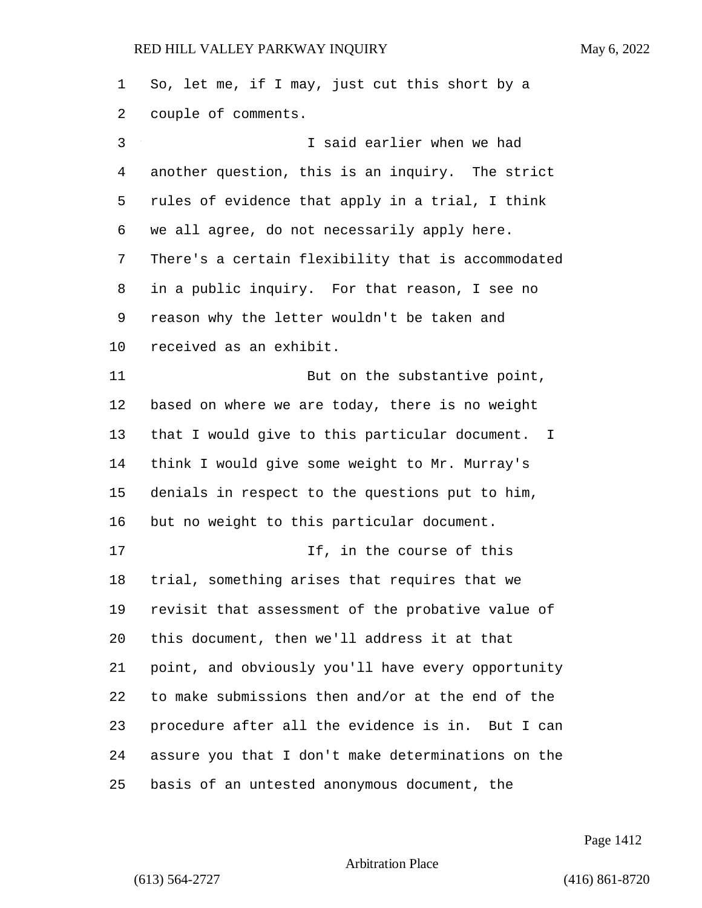So, let me, if I may, just cut this short by a couple of comments. 3 I said earlier when we had another question, this is an inquiry. The strict rules of evidence that apply in a trial, I think we all agree, do not necessarily apply here. There's a certain flexibility that is accommodated in a public inquiry. For that reason, I see no reason why the letter wouldn't be taken and received as an exhibit. 11 But on the substantive point, based on where we are today, there is no weight that I would give to this particular document. I think I would give some weight to Mr. Murray's denials in respect to the questions put to him, but no weight to this particular document. 17 If, in the course of this trial, something arises that requires that we revisit that assessment of the probative value of this document, then we'll address it at that point, and obviously you'll have every opportunity to make submissions then and/or at the end of the procedure after all the evidence is in. But I can assure you that I don't make determinations on the basis of an untested anonymous document, the

Page 1412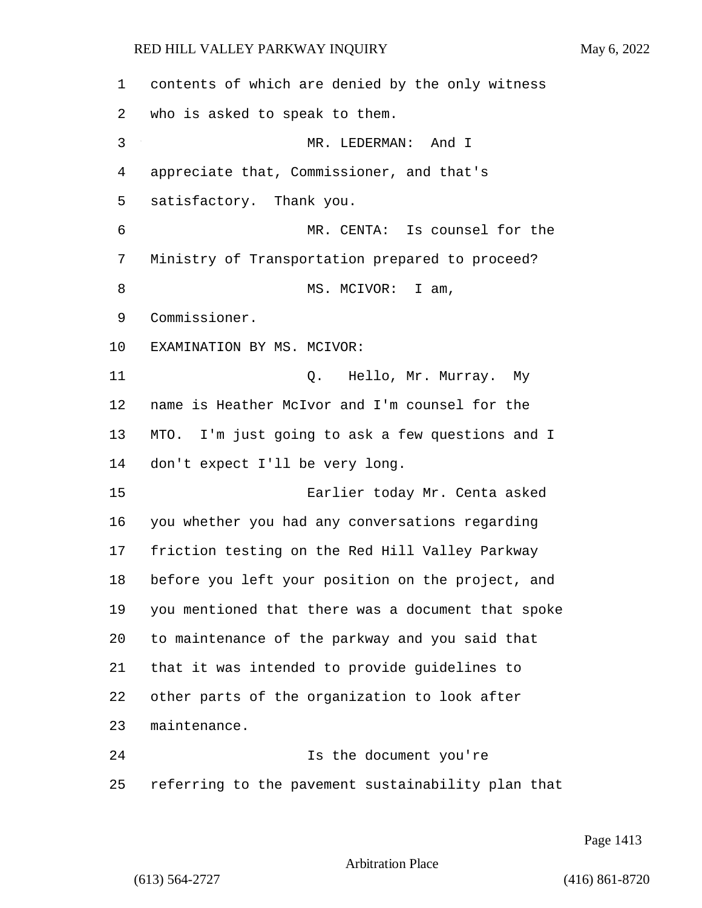contents of which are denied by the only witness who is asked to speak to them. 3 MR. LEDERMAN: And I appreciate that, Commissioner, and that's satisfactory. Thank you. 6 MR. CENTA: Is counsel for the Ministry of Transportation prepared to proceed? 8 MS. MCIVOR: I am, Commissioner. EXAMINATION BY MS. MCIVOR: 11 Q. Hello, Mr. Murray. My name is Heather McIvor and I'm counsel for the MTO. I'm just going to ask a few questions and I don't expect I'll be very long. 15 Earlier today Mr. Centa asked you whether you had any conversations regarding friction testing on the Red Hill Valley Parkway before you left your position on the project, and you mentioned that there was a document that spoke to maintenance of the parkway and you said that that it was intended to provide guidelines to other parts of the organization to look after maintenance. 24 Is the document you're referring to the pavement sustainability plan that

Page 1413

Arbitration Place

(613) 564-2727 (416) 861-8720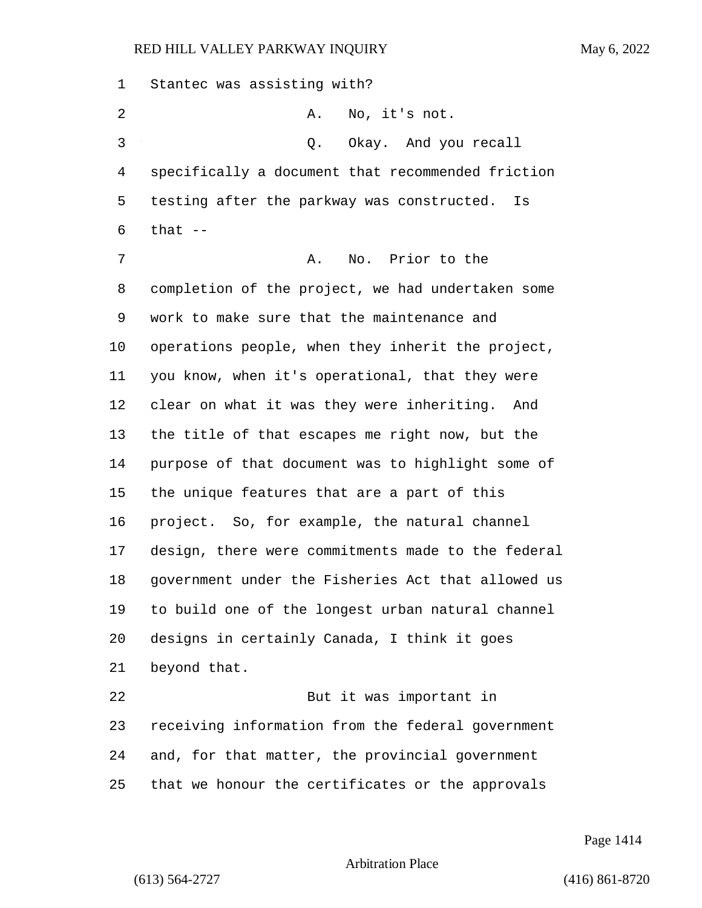Stantec was assisting with? 2 A. No, it's not. 3 Q. Okay. And you recall specifically a document that recommended friction testing after the parkway was constructed. Is that  $-$ 7 A. No. Prior to the completion of the project, we had undertaken some work to make sure that the maintenance and operations people, when they inherit the project, you know, when it's operational, that they were clear on what it was they were inheriting. And the title of that escapes me right now, but the purpose of that document was to highlight some of the unique features that are a part of this project. So, for example, the natural channel design, there were commitments made to the federal government under the Fisheries Act that allowed us to build one of the longest urban natural channel designs in certainly Canada, I think it goes beyond that. 22 But it was important in receiving information from the federal government and, for that matter, the provincial government that we honour the certificates or the approvals

Page 1414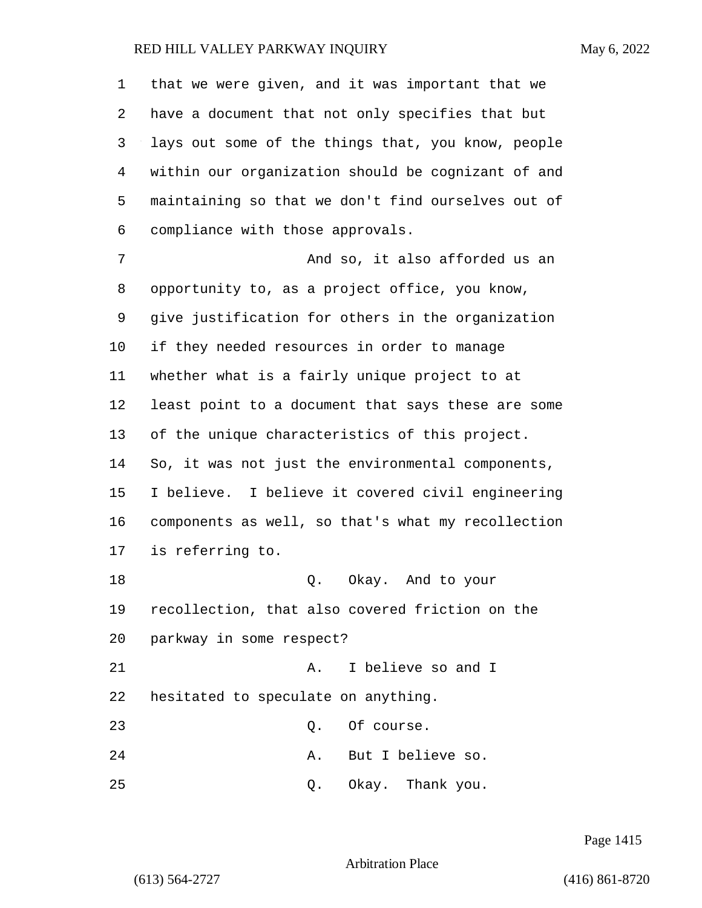that we were given, and it was important that we have a document that not only specifies that but lays out some of the things that, you know, people within our organization should be cognizant of and maintaining so that we don't find ourselves out of compliance with those approvals. 7 and so, it also afforded us an opportunity to, as a project office, you know, give justification for others in the organization if they needed resources in order to manage whether what is a fairly unique project to at least point to a document that says these are some of the unique characteristics of this project. So, it was not just the environmental components, I believe. I believe it covered civil engineering components as well, so that's what my recollection is referring to. 18 Q. Okay. And to your recollection, that also covered friction on the parkway in some respect? 21 A. I believe so and I hesitated to speculate on anything. 23 O. Of course. 24 A. But I believe so. 25 Q. Okay. Thank you.

Page 1415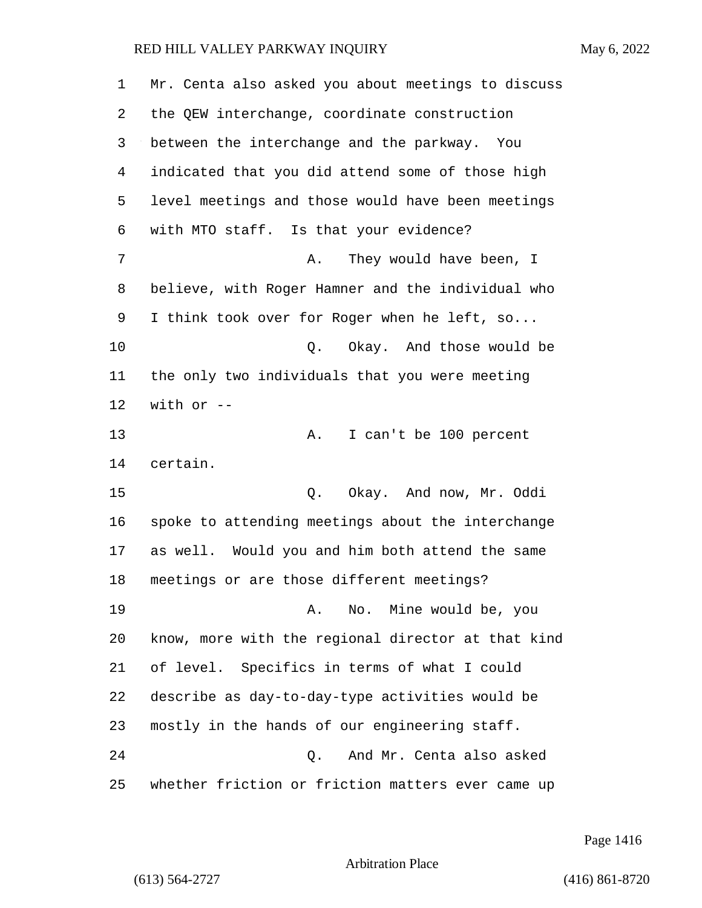| 1  | Mr. Centa also asked you about meetings to discuss |
|----|----------------------------------------------------|
| 2  | the QEW interchange, coordinate construction       |
| 3  | between the interchange and the parkway. You       |
| 4  | indicated that you did attend some of those high   |
| 5  | level meetings and those would have been meetings  |
| 6  | with MTO staff. Is that your evidence?             |
| 7  | They would have been, I<br>Α.                      |
| 8  | believe, with Roger Hamner and the individual who  |
| 9  | I think took over for Roger when he left, so       |
| 10 | Okay. And those would be<br>Q.                     |
| 11 | the only two individuals that you were meeting     |
| 12 | with or $-$                                        |
| 13 | I can't be 100 percent<br>Α.                       |
| 14 | certain.                                           |
| 15 | Q. Okay. And now, Mr. Oddi                         |
| 16 | spoke to attending meetings about the interchange  |
| 17 | as well. Would you and him both attend the same    |
| 18 | meetings or are those different meetings?          |
| 19 | No. Mine would be, you<br>Α.                       |
| 20 | know, more with the regional director at that kind |
| 21 | of level. Specifics in terms of what I could       |
| 22 | describe as day-to-day-type activities would be    |
| 23 | mostly in the hands of our engineering staff.      |
| 24 | And Mr. Centa also asked<br>Q.                     |
| 25 | whether friction or friction matters ever came up  |

Page 1416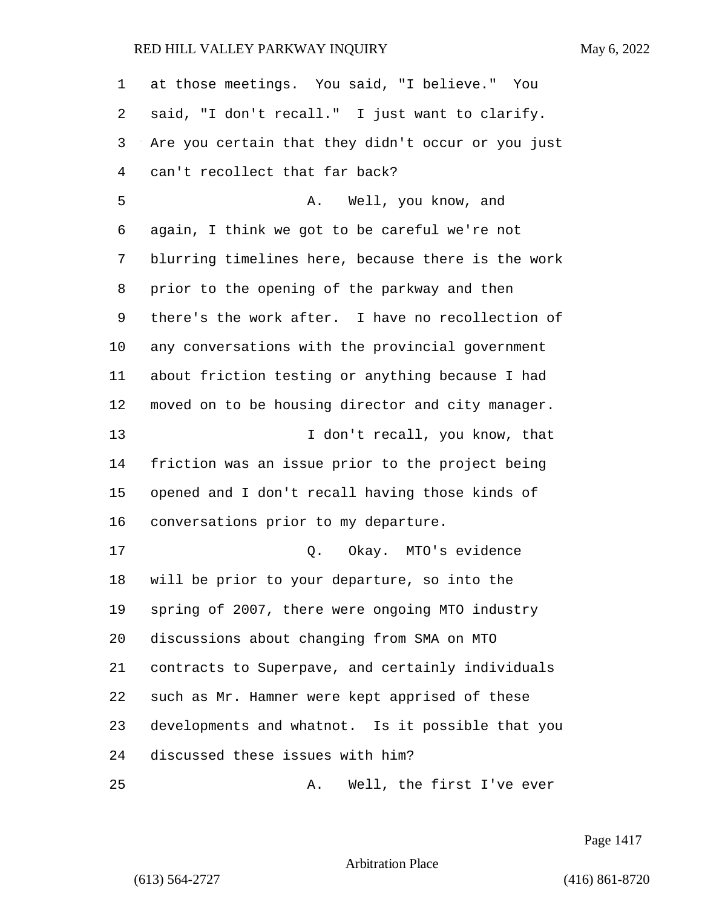| 1              | at those meetings. You said, "I believe." You      |
|----------------|----------------------------------------------------|
| 2              | said, "I don't recall." I just want to clarify.    |
| 3              | Are you certain that they didn't occur or you just |
| $\overline{4}$ | can't recollect that far back?                     |
| 5              | Well, you know, and<br>Α.                          |
| 6              | again, I think we got to be careful we're not      |
| 7              | blurring timelines here, because there is the work |
| 8              | prior to the opening of the parkway and then       |
| 9              | there's the work after. I have no recollection of  |
| 10             | any conversations with the provincial government   |
| 11             | about friction testing or anything because I had   |
| 12             | moved on to be housing director and city manager.  |
| 13             | I don't recall, you know, that                     |
| 14             | friction was an issue prior to the project being   |
| 15             | opened and I don't recall having those kinds of    |
| 16             | conversations prior to my departure.               |
| 17             | Okay. MTO's evidence<br>Q.                         |
| 18             | will be prior to your departure, so into the       |
| 19             | spring of 2007, there were ongoing MTO industry    |
| 20             | discussions about changing from SMA on MTO         |
| 21             | contracts to Superpave, and certainly individuals  |
| 22             | such as Mr. Hamner were kept apprised of these     |
| 23             | developments and whatnot. Is it possible that you  |
| 24             | discussed these issues with him?                   |
| 25             | Well, the first I've ever<br>Α.                    |

Page 1417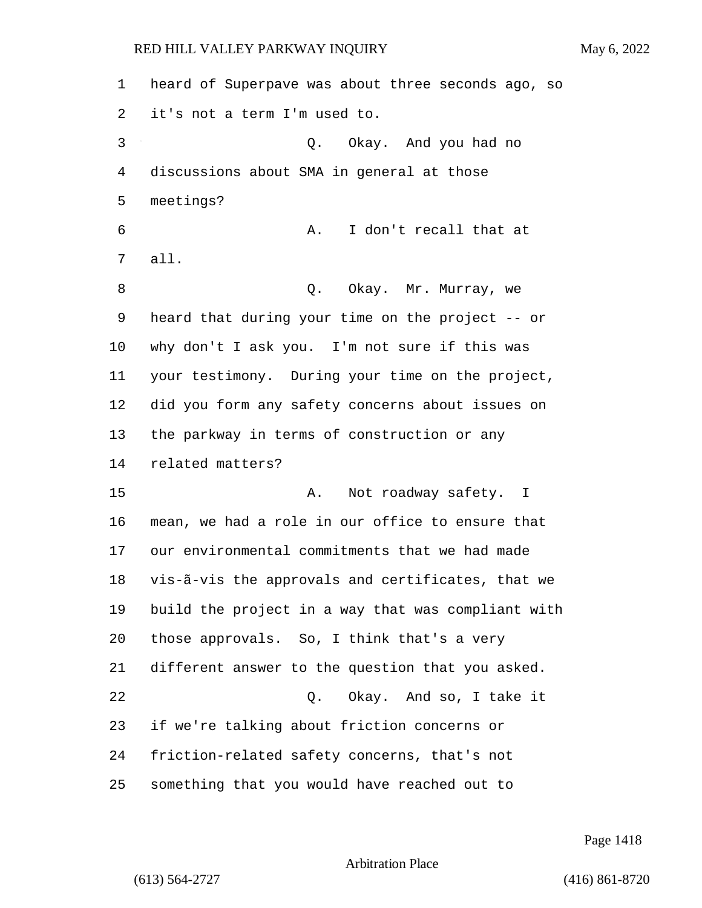| $\mathbf 1$ | heard of Superpave was about three seconds ago, so |
|-------------|----------------------------------------------------|
| 2           | it's not a term I'm used to.                       |
| 3           | Q. Okay. And you had no                            |
| 4           | discussions about SMA in general at those          |
| 5           | meetings?                                          |
| 6           | I don't recall that at<br>Α.                       |
| 7           | all.                                               |
| 8           | Q. Okay. Mr. Murray, we                            |
| 9           | heard that during your time on the project -- or   |
| 10          | why don't I ask you. I'm not sure if this was      |
| 11          | your testimony. During your time on the project,   |
| 12          | did you form any safety concerns about issues on   |
| 13          | the parkway in terms of construction or any        |
| 14          | related matters?                                   |
| 15          | Not roadway safety. I<br>A.                        |
| 16          | mean, we had a role in our office to ensure that   |
| 17          | our environmental commitments that we had made     |
| 18          | vis-ã-vis the approvals and certificates, that we  |
| 19          | build the project in a way that was compliant with |
| 20          | those approvals. So, I think that's a very         |
| 21          | different answer to the question that you asked.   |
| 22          | Q. Okay. And so, I take it                         |
| 23          | if we're talking about friction concerns or        |
| 24          | friction-related safety concerns, that's not       |
| 25          | something that you would have reached out to       |

Page 1418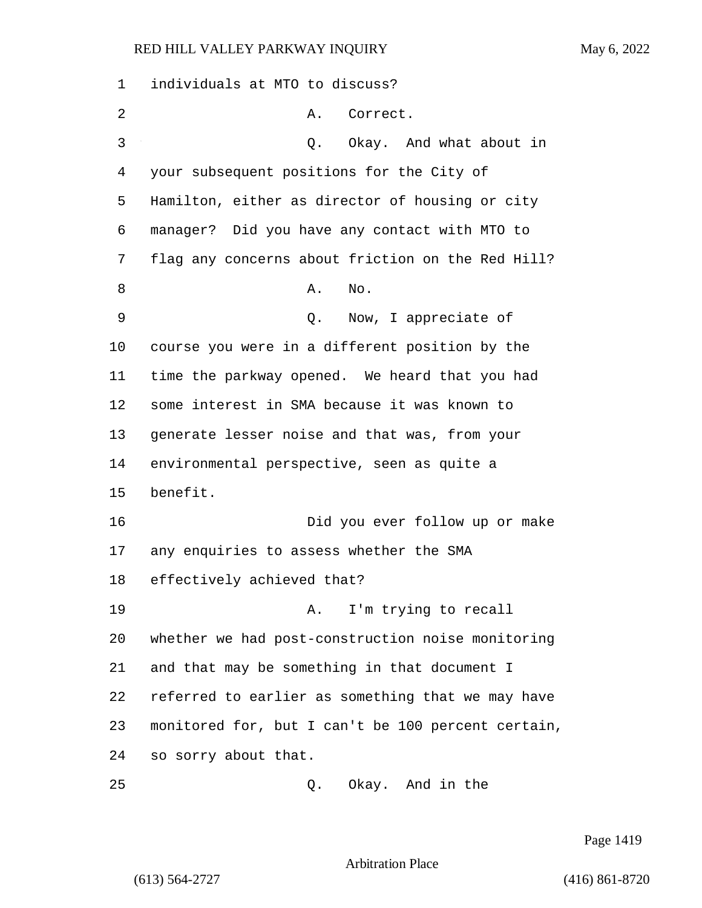| 1  | individuals at MTO to discuss?                     |
|----|----------------------------------------------------|
| 2  | Correct.<br>Α.                                     |
| 3  | Okay. And what about in<br>Q.                      |
| 4  | your subsequent positions for the City of          |
| 5  | Hamilton, either as director of housing or city    |
| 6  | manager? Did you have any contact with MTO to      |
| 7  | flag any concerns about friction on the Red Hill?  |
| 8  | Α.<br>No.                                          |
| 9  | Now, I appreciate of<br>Q.                         |
| 10 | course you were in a different position by the     |
| 11 | time the parkway opened. We heard that you had     |
| 12 | some interest in SMA because it was known to       |
| 13 | generate lesser noise and that was, from your      |
| 14 | environmental perspective, seen as quite a         |
| 15 | benefit.                                           |
| 16 | Did you ever follow up or make                     |
| 17 | any enquiries to assess whether the SMA            |
| 18 | effectively achieved that?                         |
| 19 | I'm trying to recall<br>A.                         |
| 20 | whether we had post-construction noise monitoring  |
| 21 | and that may be something in that document I       |
| 22 | referred to earlier as something that we may have  |
| 23 | monitored for, but I can't be 100 percent certain, |
| 24 | so sorry about that.                               |
| 25 | Okay. And in the<br>Q.                             |

Page 1419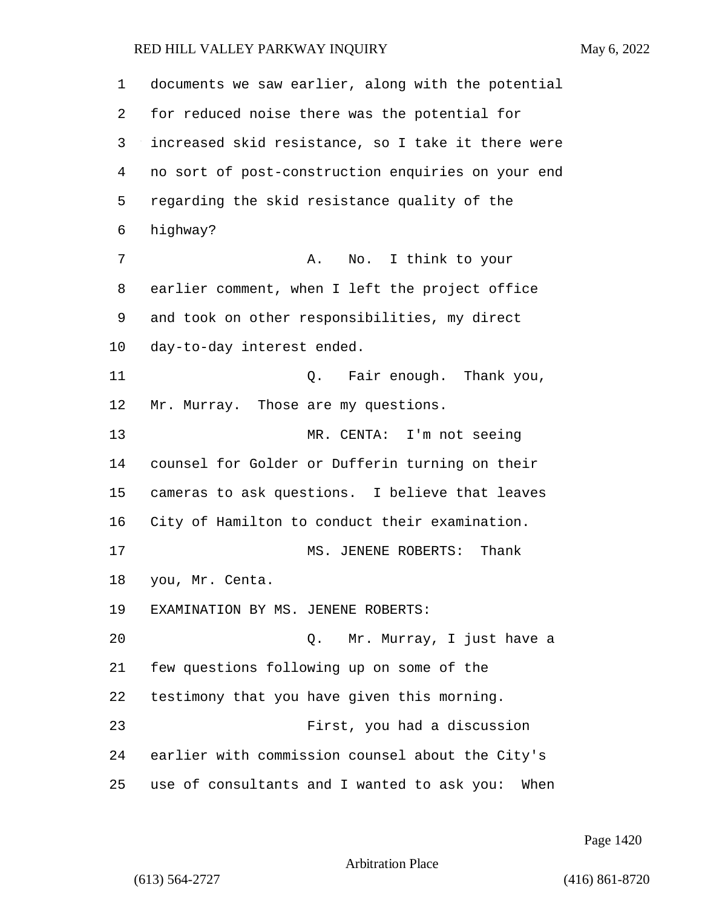| 1  | documents we saw earlier, along with the potential  |
|----|-----------------------------------------------------|
| 2  | for reduced noise there was the potential for       |
| 3  | increased skid resistance, so I take it there were  |
| 4  | no sort of post-construction enquiries on your end  |
| 5  | regarding the skid resistance quality of the        |
| 6  | highway?                                            |
| 7  | No. I think to your<br>Α.                           |
| 8  | earlier comment, when I left the project office     |
| 9  | and took on other responsibilities, my direct       |
| 10 | day-to-day interest ended.                          |
| 11 | Q. Fair enough. Thank you,                          |
| 12 | Mr. Murray. Those are my questions.                 |
| 13 | MR. CENTA: I'm not seeing                           |
| 14 | counsel for Golder or Dufferin turning on their     |
| 15 | cameras to ask questions. I believe that leaves     |
| 16 | City of Hamilton to conduct their examination.      |
| 17 | MS. JENENE ROBERTS:<br>Thank                        |
| 18 | you, Mr. Centa.                                     |
| 19 | EXAMINATION BY MS. JENENE ROBERTS:                  |
| 20 | Mr. Murray, I just have a<br>Q.                     |
| 21 | few questions following up on some of the           |
| 22 | testimony that you have given this morning.         |
| 23 | First, you had a discussion                         |
| 24 | earlier with commission counsel about the City's    |
| 25 | use of consultants and I wanted to ask you:<br>When |

Page 1420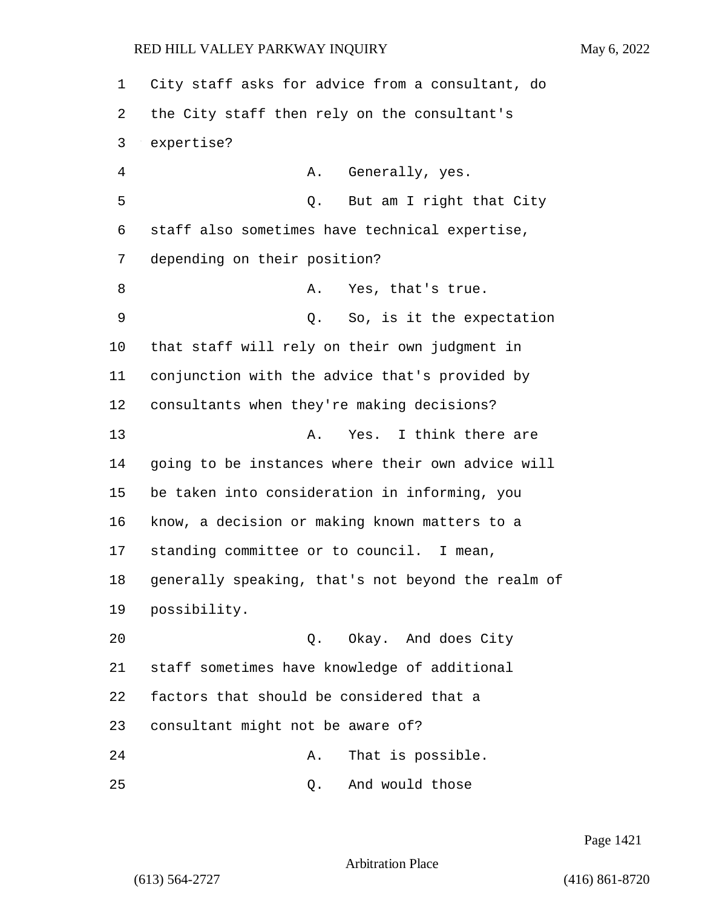City staff asks for advice from a consultant, do the City staff then rely on the consultant's expertise? 4 A. Generally, yes. 5 Q. But am I right that City staff also sometimes have technical expertise, depending on their position? 8 A. Yes, that's true. 9 Q. So, is it the expectation that staff will rely on their own judgment in conjunction with the advice that's provided by consultants when they're making decisions? 13 A. Yes. I think there are going to be instances where their own advice will be taken into consideration in informing, you know, a decision or making known matters to a standing committee or to council. I mean, generally speaking, that's not beyond the realm of possibility. 20 Q. Okay. And does City staff sometimes have knowledge of additional factors that should be considered that a consultant might not be aware of? 24 A. That is possible. 25 Q. And would those

Page 1421

Arbitration Place

(613) 564-2727 (416) 861-8720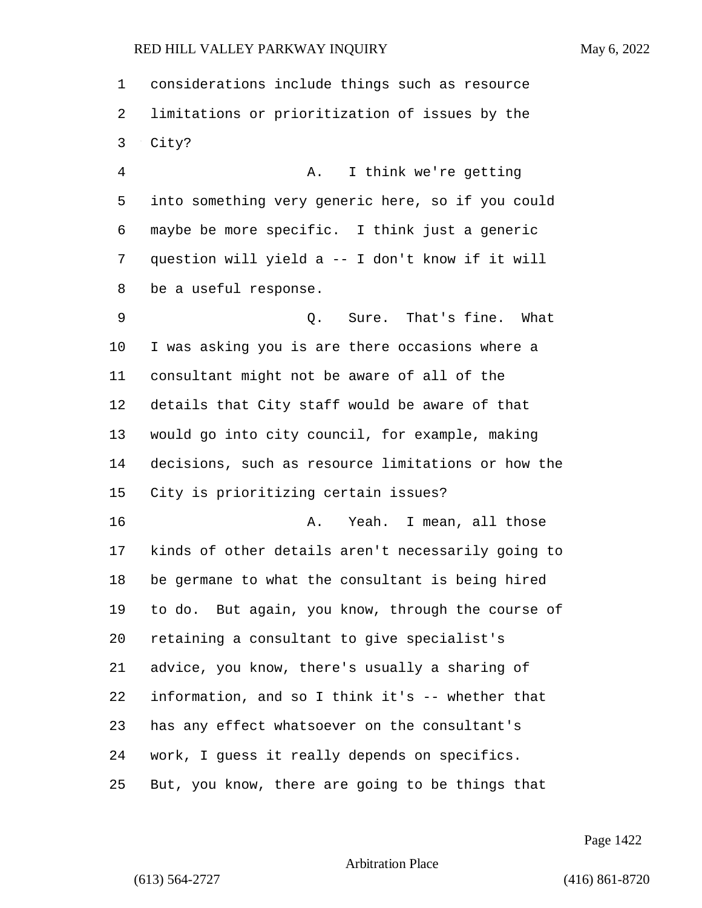considerations include things such as resource limitations or prioritization of issues by the City? 4 A. I think we're getting into something very generic here, so if you could maybe be more specific. I think just a generic question will yield a -- I don't know if it will be a useful response. 9 Q. Sure. That's fine. What I was asking you is are there occasions where a consultant might not be aware of all of the details that City staff would be aware of that would go into city council, for example, making decisions, such as resource limitations or how the City is prioritizing certain issues? 16 A. Yeah. I mean, all those kinds of other details aren't necessarily going to be germane to what the consultant is being hired to do. But again, you know, through the course of retaining a consultant to give specialist's advice, you know, there's usually a sharing of information, and so I think it's -- whether that has any effect whatsoever on the consultant's work, I guess it really depends on specifics.

But, you know, there are going to be things that

Page 1422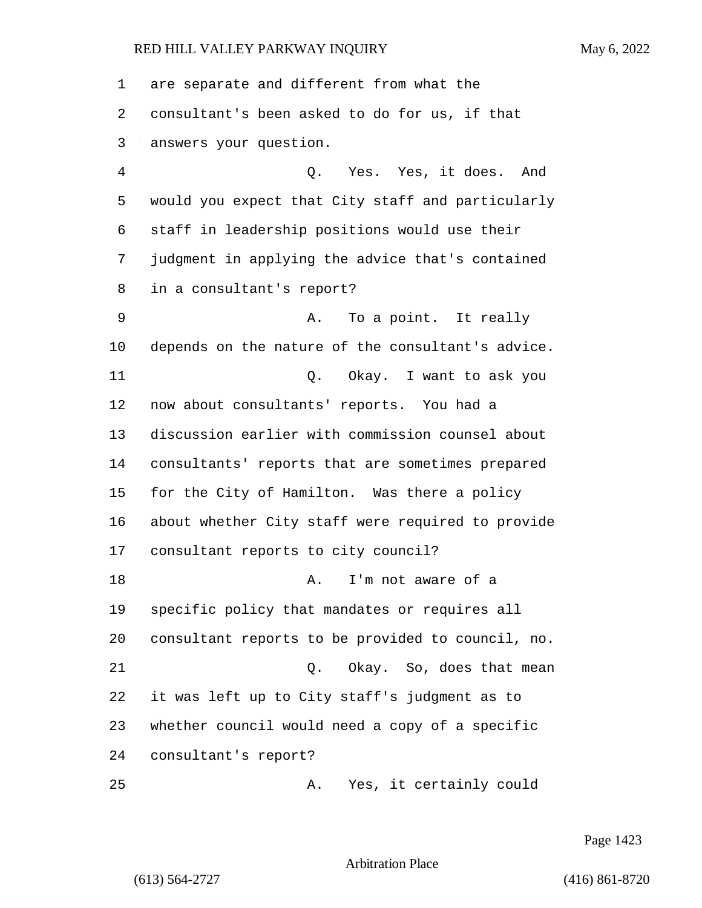are separate and different from what the consultant's been asked to do for us, if that answers your question. 4 Q. Yes. Yes, it does. And would you expect that City staff and particularly staff in leadership positions would use their judgment in applying the advice that's contained in a consultant's report? 9 A. To a point. It really depends on the nature of the consultant's advice. 11 Q. Okay. I want to ask you now about consultants' reports. You had a discussion earlier with commission counsel about consultants' reports that are sometimes prepared for the City of Hamilton. Was there a policy about whether City staff were required to provide consultant reports to city council? 18 A. I'm not aware of a specific policy that mandates or requires all consultant reports to be provided to council, no. 21 Q. Okay. So, does that mean it was left up to City staff's judgment as to whether council would need a copy of a specific consultant's report? 25 A. Yes, it certainly could

Page 1423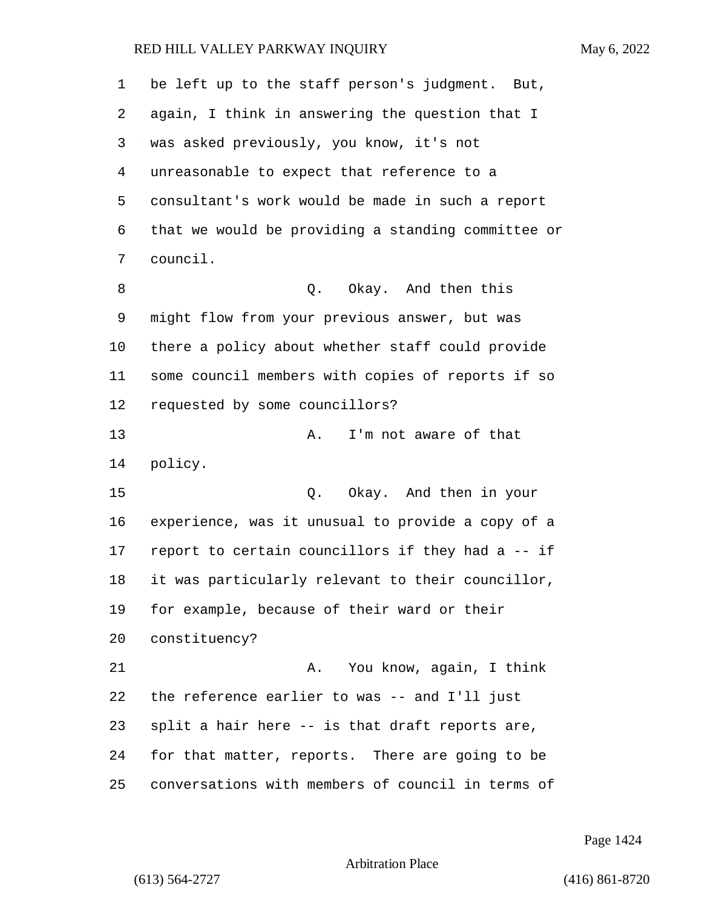| 1  | be left up to the staff person's judgment. But,    |
|----|----------------------------------------------------|
| 2  | again, I think in answering the question that I    |
| 3  | was asked previously, you know, it's not           |
| 4  | unreasonable to expect that reference to a         |
| 5  | consultant's work would be made in such a report   |
| 6  | that we would be providing a standing committee or |
| 7  | council.                                           |
| 8  | Q. Okay. And then this                             |
| 9  | might flow from your previous answer, but was      |
| 10 | there a policy about whether staff could provide   |
| 11 | some council members with copies of reports if so  |
| 12 | requested by some councillors?                     |
| 13 | I'm not aware of that<br>Α.                        |
| 14 | policy.                                            |
| 15 | Q. Okay. And then in your                          |
| 16 | experience, was it unusual to provide a copy of a  |
| 17 | report to certain councillors if they had a -- if  |
| 18 | it was particularly relevant to their councillor,  |
| 19 | for example, because of their ward or their        |
| 20 | constituency?                                      |
| 21 | You know, again, I think<br>Α.                     |
| 22 | the reference earlier to was -- and I'll just      |
| 23 | split a hair here -- is that draft reports are,    |
| 24 | for that matter, reports. There are going to be    |
| 25 | conversations with members of council in terms of  |

Page 1424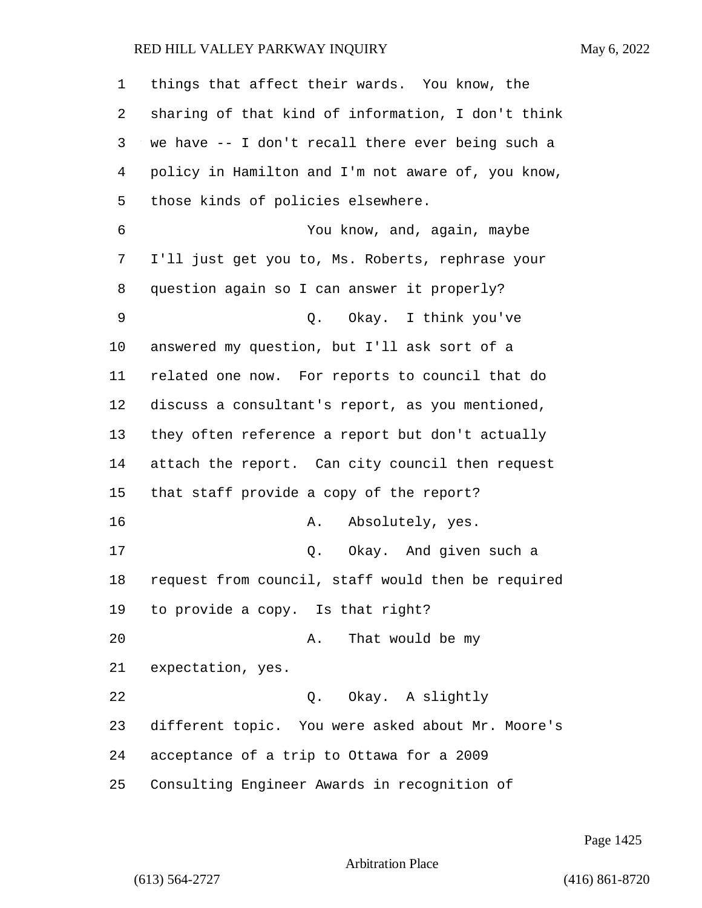things that affect their wards. You know, the sharing of that kind of information, I don't think we have -- I don't recall there ever being such a policy in Hamilton and I'm not aware of, you know, those kinds of policies elsewhere. 6 You know, and, again, maybe I'll just get you to, Ms. Roberts, rephrase your question again so I can answer it properly? 9 Q. Okay. I think you've answered my question, but I'll ask sort of a related one now. For reports to council that do discuss a consultant's report, as you mentioned, they often reference a report but don't actually attach the report. Can city council then request that staff provide a copy of the report? 16 A. Absolutely, yes. 17 Q. Okay. And given such a request from council, staff would then be required to provide a copy. Is that right? 20 A. That would be my expectation, yes. 22 Q. Okay. A slightly different topic. You were asked about Mr. Moore's acceptance of a trip to Ottawa for a 2009 Consulting Engineer Awards in recognition of

Page 1425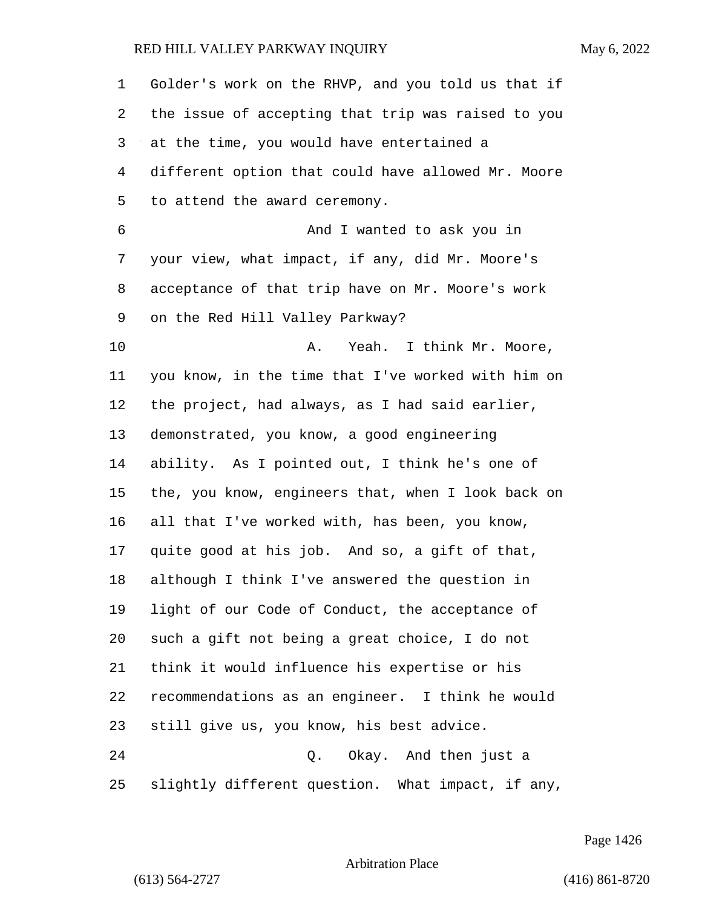| 1  | Golder's work on the RHVP, and you told us that if |
|----|----------------------------------------------------|
| 2  | the issue of accepting that trip was raised to you |
| 3  | at the time, you would have entertained a          |
| 4  | different option that could have allowed Mr. Moore |
| 5  | to attend the award ceremony.                      |
| 6  | And I wanted to ask you in                         |
| 7  | your view, what impact, if any, did Mr. Moore's    |
| 8  | acceptance of that trip have on Mr. Moore's work   |
| 9  | on the Red Hill Valley Parkway?                    |
| 10 | Yeah. I think Mr. Moore,<br>Α.                     |
| 11 | you know, in the time that I've worked with him on |
| 12 | the project, had always, as I had said earlier,    |
| 13 | demonstrated, you know, a good engineering         |
| 14 | ability. As I pointed out, I think he's one of     |
| 15 | the, you know, engineers that, when I look back on |
| 16 | all that I've worked with, has been, you know,     |
| 17 | quite good at his job. And so, a gift of that,     |
| 18 | although I think I've answered the question in     |
| 19 | light of our Code of Conduct, the acceptance of    |
| 20 | such a gift not being a great choice, I do not     |
| 21 | think it would influence his expertise or his      |
| 22 | recommendations as an engineer. I think he would   |
| 23 | still give us, you know, his best advice.          |
| 24 | Q. Okay. And then just a                           |
| 25 | slightly different question. What impact, if any,  |

Page 1426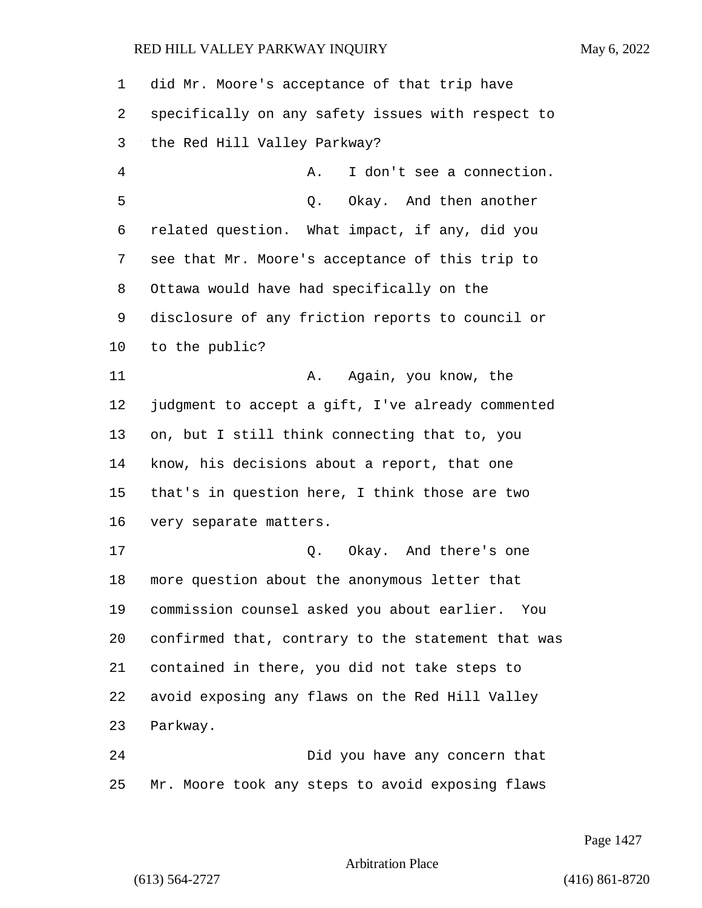did Mr. Moore's acceptance of that trip have specifically on any safety issues with respect to the Red Hill Valley Parkway? 4 A. I don't see a connection. 5 Q. Okay. And then another related question. What impact, if any, did you see that Mr. Moore's acceptance of this trip to Ottawa would have had specifically on the disclosure of any friction reports to council or to the public? 11 A. Again, you know, the judgment to accept a gift, I've already commented on, but I still think connecting that to, you know, his decisions about a report, that one that's in question here, I think those are two very separate matters. 17 and there's one of the original control of the control of the control of the control of the control of the control of the control of the control of the control of the control of the control of the control of the control more question about the anonymous letter that commission counsel asked you about earlier. You confirmed that, contrary to the statement that was contained in there, you did not take steps to avoid exposing any flaws on the Red Hill Valley Parkway. 24 Did you have any concern that Mr. Moore took any steps to avoid exposing flaws

Page 1427

Arbitration Place

(613) 564-2727 (416) 861-8720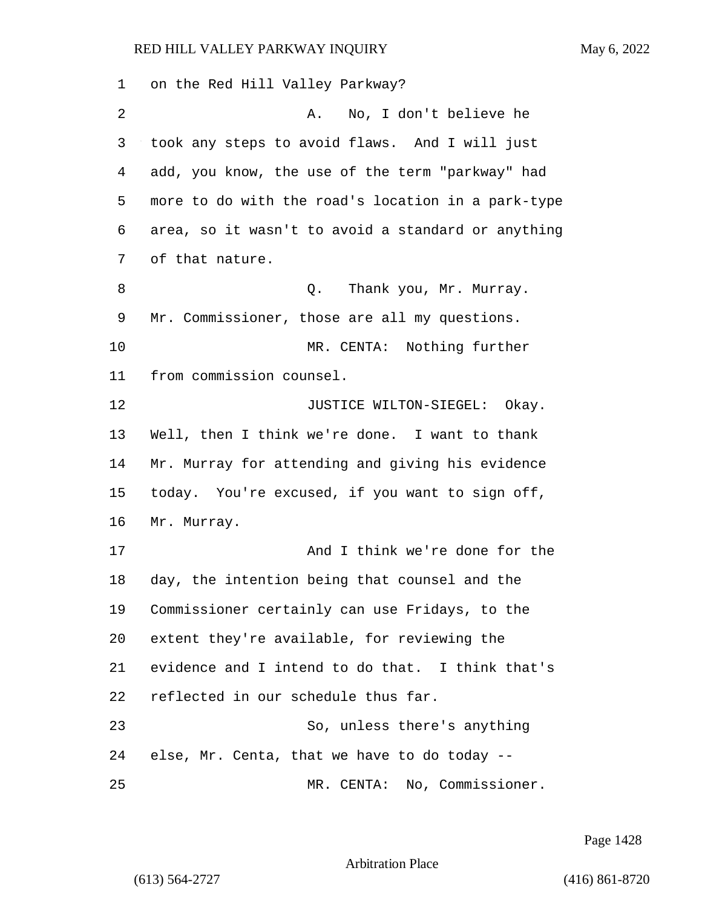on the Red Hill Valley Parkway? 2 A. No, I don't believe he took any steps to avoid flaws. And I will just add, you know, the use of the term "parkway" had more to do with the road's location in a park-type area, so it wasn't to avoid a standard or anything of that nature. 8 and Sulley 2. Thank you, Mr. Murray. Mr. Commissioner, those are all my questions. 10 MR. CENTA: Nothing further from commission counsel. **JUSTICE WILTON-SIEGEL:** Okay. Well, then I think we're done. I want to thank Mr. Murray for attending and giving his evidence today. You're excused, if you want to sign off, Mr. Murray. 17 And I think we're done for the day, the intention being that counsel and the Commissioner certainly can use Fridays, to the extent they're available, for reviewing the evidence and I intend to do that. I think that's reflected in our schedule thus far. 23 So, unless there's anything else, Mr. Centa, that we have to do today -- 25 MR. CENTA: No, Commissioner.

Page 1428

Arbitration Place

(613) 564-2727 (416) 861-8720